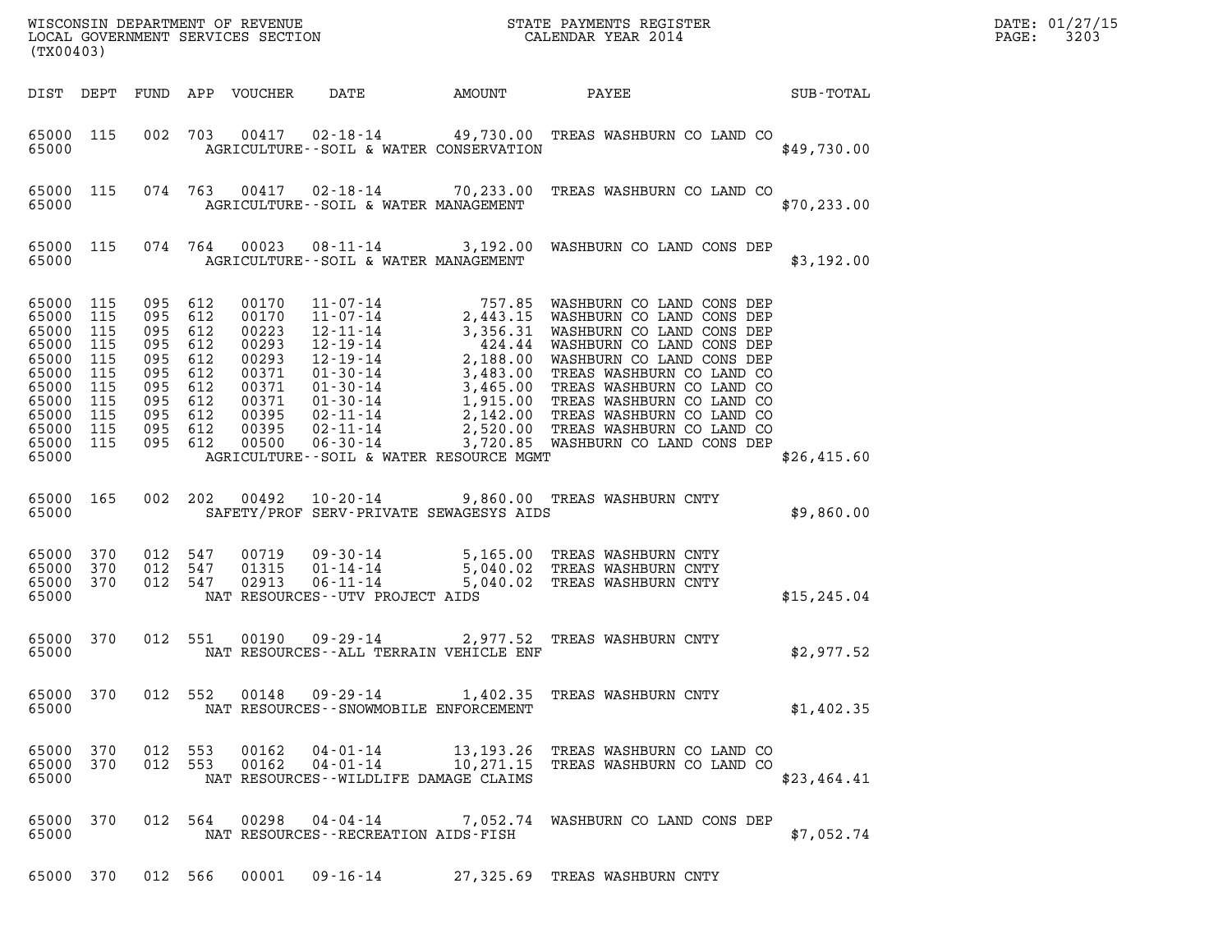| (TX00403)                                                                                                        |                                                             |                                                                                                       |                          |                                                                                                 |                                  |                                                |                                          |                                                                                     |              | DATE: 01/27/15<br>3203<br>$\mathtt{PAGE}$ : |
|------------------------------------------------------------------------------------------------------------------|-------------------------------------------------------------|-------------------------------------------------------------------------------------------------------|--------------------------|-------------------------------------------------------------------------------------------------|----------------------------------|------------------------------------------------|------------------------------------------|-------------------------------------------------------------------------------------|--------------|---------------------------------------------|
|                                                                                                                  |                                                             |                                                                                                       |                          | DIST DEPT FUND APP VOUCHER                                                                      | DATE                             |                                                | AMOUNT                                   | PAYEE                                                                               | SUB-TOTAL    |                                             |
| 65000 115<br>65000                                                                                               |                                                             |                                                                                                       |                          |                                                                                                 |                                  |                                                | AGRICULTURE--SOIL & WATER CONSERVATION   | 002 703 00417 02-18-14 49,730.00 TREAS WASHBURN CO LAND CO                          | \$49,730.00  |                                             |
| 65000 115<br>65000                                                                                               |                                                             |                                                                                                       | 074 763                  |                                                                                                 |                                  |                                                | AGRICULTURE--SOIL & WATER MANAGEMENT     | 00417  02-18-14  70,233.00  TREAS WASHBURN CO LAND CO                               | \$70, 233.00 |                                             |
| 65000                                                                                                            | 65000 115                                                   |                                                                                                       | 074 764                  | 00023                                                                                           |                                  |                                                | AGRICULTURE--SOIL & WATER MANAGEMENT     | 08-11-14 3,192.00 WASHBURN CO LAND CONS DEP                                         | \$3,192.00   |                                             |
| 65000 115<br>65000<br>65000<br>65000<br>65000<br>65000<br>65000<br>65000<br>65000<br>65000<br>65000 115<br>65000 | 115<br>115<br>115<br>115<br>115<br>115<br>115<br>115<br>115 | 095 612<br>095<br>095<br>095<br>095 612<br>095<br>095 612<br>095 612<br>095 612<br>095 612<br>095 612 | 612<br>612<br>612<br>612 | 00170<br>00170<br>00223<br>00293<br>00293<br>00371<br>00371<br>00371<br>00395<br>00395<br>00500 |                                  |                                                | AGRICULTURE--SOIL & WATER RESOURCE MGMT  |                                                                                     | \$26,415.60  |                                             |
| 65000 165<br>65000                                                                                               |                                                             | 002 202                                                                                               |                          | 00492                                                                                           | $10 - 20 - 14$                   |                                                | SAFETY/PROF SERV-PRIVATE SEWAGESYS AIDS  | 9,860.00 TREAS WASHBURN CNTY                                                        | \$9,860.00   |                                             |
| 65000 370<br>65000<br>65000 370<br>65000                                                                         | 370                                                         | 012 547<br>012<br>012 547                                                                             | 547                      | 00719<br>01315<br>02913                                                                         | $01 - 14 - 14$<br>$06 - 11 - 14$ | 09-30-14<br>NAT RESOURCES - - UTV PROJECT AIDS | 5,040.02                                 | 5,165.00 TREAS WASHBURN CNTY<br>TREAS WASHBURN CNTY<br>5,040.02 TREAS WASHBURN CNTY | \$15, 245.04 |                                             |
| 65000 370<br>65000                                                                                               |                                                             | 012 551                                                                                               |                          | 00190                                                                                           | 09-29-14                         |                                                | NAT RESOURCES -- ALL TERRAIN VEHICLE ENF | 2,977.52 TREAS WASHBURN CNTY                                                        | \$2,977.52   |                                             |
| 65000 370<br>65000                                                                                               |                                                             |                                                                                                       | 012 552                  | 00148                                                                                           |                                  | 09 - 29 - 14                                   | NAT RESOURCES - - SNOWMOBILE ENFORCEMENT | 1,402.35 TREAS WASHBURN CNTY                                                        | \$1,402.35   |                                             |
| 65000 370<br>65000 370<br>65000                                                                                  |                                                             | 012 553<br>012 553                                                                                    |                          | 00162<br>00162                                                                                  | $04 - 01 - 14$<br>$04 - 01 - 14$ |                                                | NAT RESOURCES - - WILDLIFE DAMAGE CLAIMS | 13,193.26 TREAS WASHBURN CO LAND CO<br>10,271.15 TREAS WASHBURN CO LAND CO          | \$23,464.41  |                                             |
| 65000 370<br>65000                                                                                               |                                                             | 012 564                                                                                               |                          | 00298                                                                                           |                                  | 04-04-14                                       | NAT RESOURCES - - RECREATION AIDS - FISH | 7,052.74 WASHBURN CO LAND CONS DEP                                                  | \$7,052.74   |                                             |
| 65000 370                                                                                                        |                                                             | 012 566                                                                                               |                          |                                                                                                 |                                  |                                                |                                          | 00001  09-16-14  27,325.69  TREAS WASHBURN CNTY                                     |              |                                             |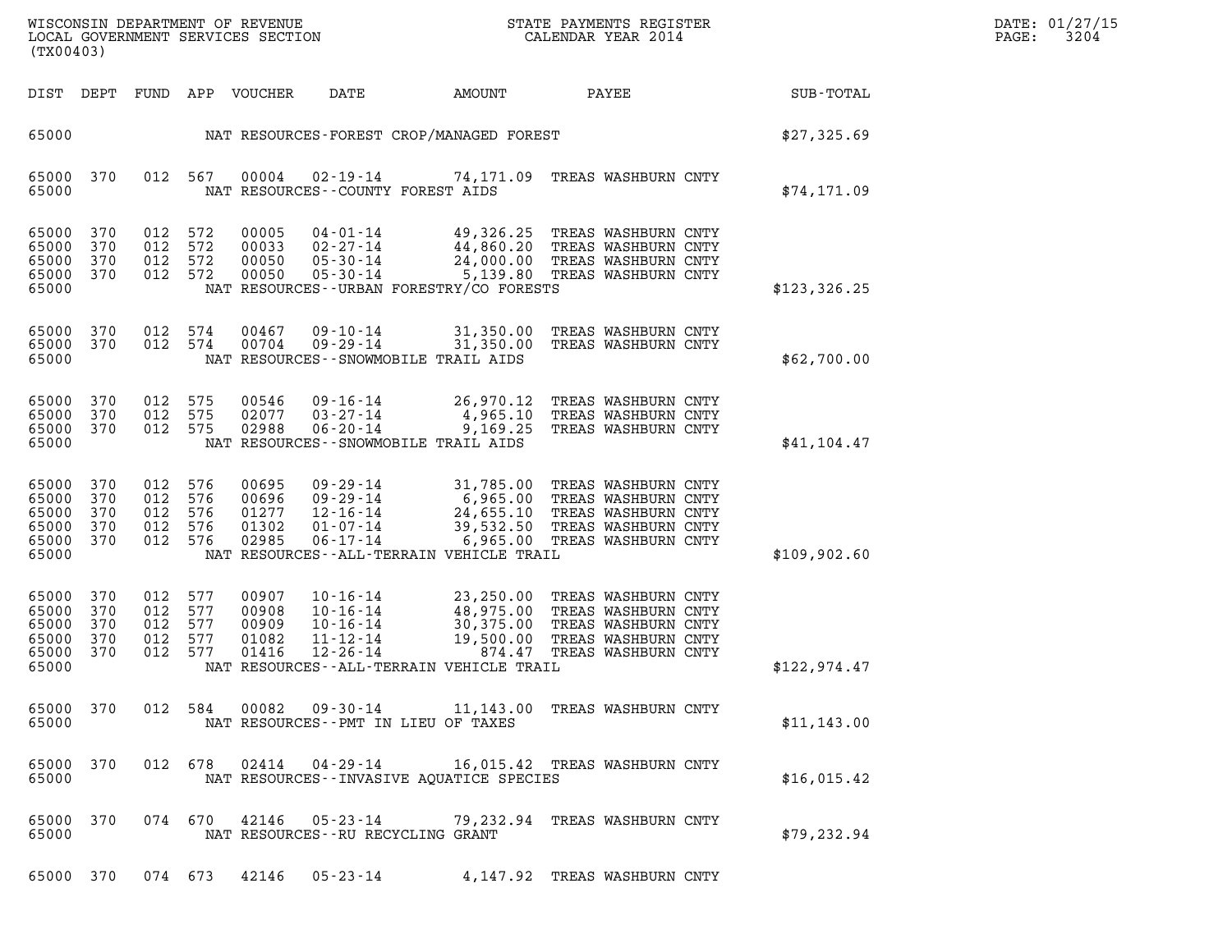| DATE: | 01/27/15 |
|-------|----------|
| PAGE: | 3204     |

| NC<br>WISCONSIN DEPARTMENT OF REVENUE<br>STATE PAYMENTS REGISTER<br>LOCAL GOVERNMENT SERVICES SECTION<br>CALENDAR YEAR 2014<br>(TX00403)                                                                                                                                                                                                                                                                                                                       |               |
|----------------------------------------------------------------------------------------------------------------------------------------------------------------------------------------------------------------------------------------------------------------------------------------------------------------------------------------------------------------------------------------------------------------------------------------------------------------|---------------|
| PAYEE<br>DIST DEPT<br>FUND APP VOUCHER<br>DATE<br>AMOUNT                                                                                                                                                                                                                                                                                                                                                                                                       | SUB-TOTAL     |
| NAT RESOURCES-FOREST CROP/MANAGED FOREST<br>65000                                                                                                                                                                                                                                                                                                                                                                                                              | \$27,325.69   |
| 370<br>012 567<br>00004<br>02-19-14 74,171.09 TREAS WASHBURN CNTY<br>65000<br>65000<br>NAT RESOURCES - COUNTY FOREST AIDS                                                                                                                                                                                                                                                                                                                                      | \$74, 171.09  |
| 370<br>012 572<br>65000<br>00005<br>04-01-14 49,326.25 TREAS WASHBURN CNTY<br>02-27-14 44,860.20 TREAS WASHBURN CNTY<br>012 572<br>65000<br>370<br>00033<br>24,000.00 TREAS WASHBURN CNTY<br>65000<br>370<br>012 572<br>00050<br>$05 - 30 - 14$<br>012 572<br>65000<br>370<br>00050<br>05-30-14 5,139.80 TREAS WASHBURN CNTY<br>65000<br>NAT RESOURCES--URBAN FORESTRY/CO FORESTS                                                                              | \$123, 326.25 |
| 370<br>012 574<br>65000<br>00467<br>09-10-14<br>31,350.00 TREAS WASHBURN CNTY<br>65000<br>370<br>012 574<br>00704<br>$09 - 29 - 14$<br>31,350.00 TREAS WASHBURN CNTY<br>65000<br>NAT RESOURCES - - SNOWMOBILE TRAIL AIDS                                                                                                                                                                                                                                       | \$62,700.00   |
| 65000<br>370<br>012 575<br>00546<br>09-16-14<br>26,970.12 TREAS WASHBURN CNTY<br>012 575<br>65000<br>370<br>02077<br>03-27-14<br>4,965.10 TREAS WASHBURN CNTY<br>$06 - 20 - 14$<br>65000<br>370<br>012 575<br>02988<br>9,169.25<br>TREAS WASHBURN CNTY<br>65000<br>NAT RESOURCES - - SNOWMOBILE TRAIL AIDS                                                                                                                                                     | \$41,104.47   |
| 65000<br>370<br>012<br>576<br>00695<br>09-29-14 31,785.00 TREAS WASHBURN CNTY<br>09-29-14 6,965.00 TREAS WASHBURN CNTY<br>12-16-14 24,655.10 TREAS WASHBURN CNTY<br>01-07-14 39,532.50 TREAS WASHBURN CNTY<br>012 576<br>65000<br>370<br>00696<br>65000<br>370<br>012 576<br>01277<br>65000<br>370<br>012 576<br>01302<br>6,965.00 TREAS WASHBURN CNTY<br>65000<br>370<br>012 576<br>02985<br>06-17-14<br>65000<br>NAT RESOURCES - - ALL-TERRAIN VEHICLE TRAIL | \$109,902.60  |
| 65000<br>370<br>012 577<br>00907<br>10-16-14 23,250.00 TREAS WASHBURN CNTY<br>10-16-14 48,975.00 TREAS WASHBURN CNTY<br>10-16-14 30,375.00 TREAS WASHBURN CNTY<br>11-12-14 19,500.00 TREAS WASHBURN CNTY<br>27-26-14 874.47 TREAS WASHBURN CNTY<br>65000<br>370<br>012 577<br>00908<br>65000<br>370<br>012 577<br>00909<br>65000<br>370<br>012<br>577<br>01082<br>65000<br>370<br>012 577<br>01416<br>65000<br>NAT RESOURCES--ALL-TERRAIN VEHICLE TRAIL        | \$122,974.47  |
| 65000 370<br>012 584<br>00082<br>09-30-14 11,143.00 TREAS WASHBURN CNTY<br>65000<br>NAT RESOURCES - PMT IN LIEU OF TAXES                                                                                                                                                                                                                                                                                                                                       | \$11, 143.00  |
| 65000 370<br>012 678<br>02414<br>16,015.42 TREAS WASHBURN CNTY<br>04-29-14<br>65000<br>NAT RESOURCES - - INVASIVE AOUATICE SPECIES                                                                                                                                                                                                                                                                                                                             | \$16,015.42   |
| 65000 370<br>074 670 42146<br>05-23-14<br>79,232.94 TREAS WASHBURN CNTY<br>65000<br>NAT RESOURCES - - RU RECYCLING GRANT                                                                                                                                                                                                                                                                                                                                       | \$79, 232.94  |
| 65000 370 074 673 42146 05-23-14<br>4,147.92 TREAS WASHBURN CNTY                                                                                                                                                                                                                                                                                                                                                                                               |               |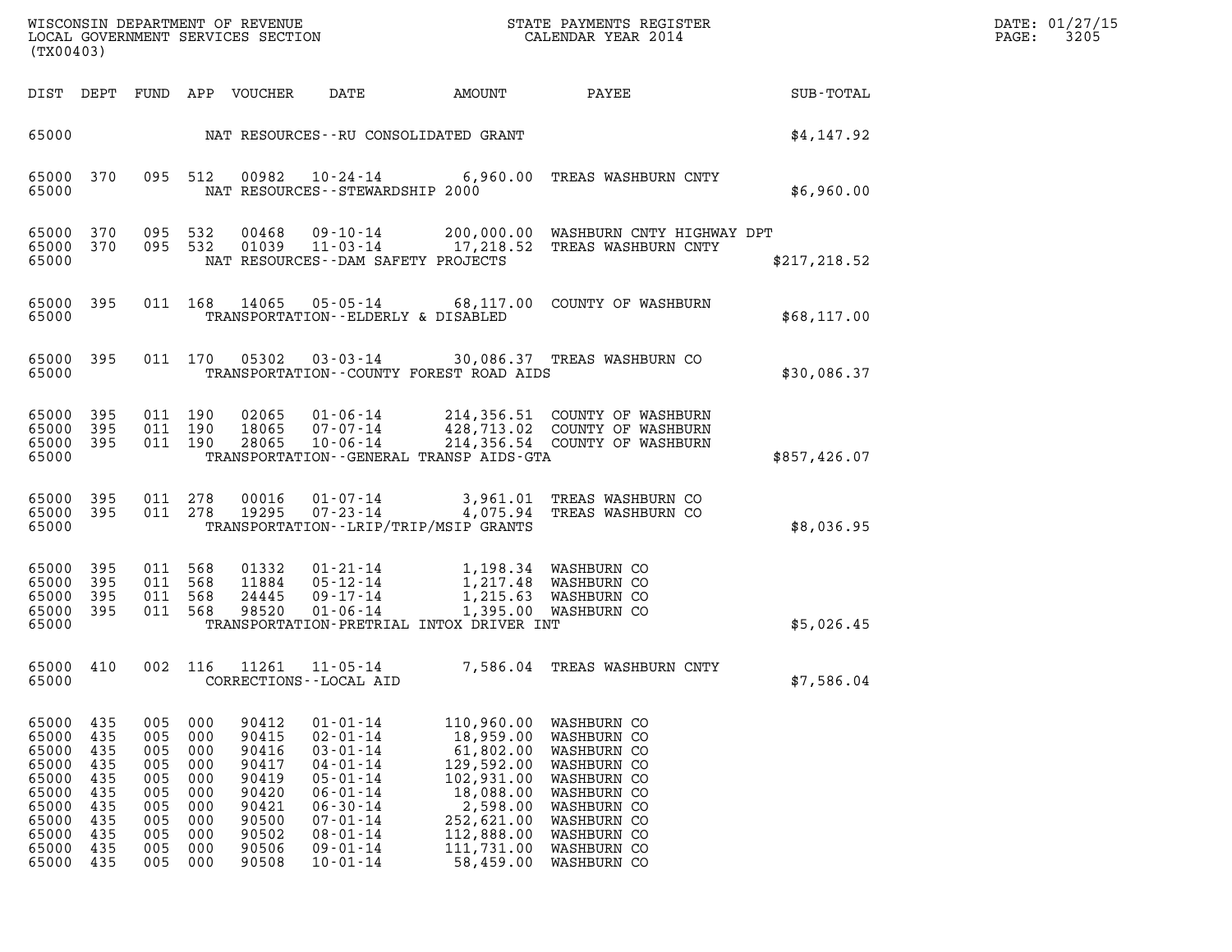| DATE: | 01/27/15 |
|-------|----------|
| PAGE: | 3205     |

| WISCONSIN DEPARTMENT OF REVENUE<br>LOCAL GOVERNMENT SERVICES SECTION<br>(TX00403)               |                                                                           |                                                                           |                                                                           |                                                                                                 |                                                                                                                                                                                                    |                                                                                                                                                  | STATE PAYMENTS REGISTER<br>CALENDAR YEAR 2014                                                                                                                     |               | DATE: 01/27/15<br>3205<br>$\mathtt{PAGE:}$ |
|-------------------------------------------------------------------------------------------------|---------------------------------------------------------------------------|---------------------------------------------------------------------------|---------------------------------------------------------------------------|-------------------------------------------------------------------------------------------------|----------------------------------------------------------------------------------------------------------------------------------------------------------------------------------------------------|--------------------------------------------------------------------------------------------------------------------------------------------------|-------------------------------------------------------------------------------------------------------------------------------------------------------------------|---------------|--------------------------------------------|
|                                                                                                 | DIST DEPT                                                                 |                                                                           |                                                                           | FUND APP VOUCHER                                                                                | DATE                                                                                                                                                                                               | AMOUNT                                                                                                                                           | PAYEE                                                                                                                                                             | SUB-TOTAL     |                                            |
| 65000                                                                                           |                                                                           |                                                                           |                                                                           |                                                                                                 | NAT RESOURCES--RU CONSOLIDATED GRANT                                                                                                                                                               |                                                                                                                                                  |                                                                                                                                                                   | \$4,147.92    |                                            |
| 65000<br>65000                                                                                  | 370                                                                       |                                                                           | 095 512                                                                   |                                                                                                 | NAT RESOURCES - - STEWARDSHIP 2000                                                                                                                                                                 |                                                                                                                                                  | 00982  10-24-14  6,960.00  TREAS WASHBURN CNTY                                                                                                                    | \$6,960.00    |                                            |
| 65000<br>65000<br>65000                                                                         | 370<br>370                                                                |                                                                           | 095 532<br>095 532                                                        | 00468<br>01039                                                                                  | NAT RESOURCES - - DAM SAFETY PROJECTS                                                                                                                                                              |                                                                                                                                                  | 09-10-14 200,000.00 WASHBURN CNTY HIGHWAY DPT<br>11-03-14 17,218.52 TREAS WASHBURN CNTY                                                                           | \$217, 218.52 |                                            |
| 65000<br>65000                                                                                  | 395                                                                       |                                                                           |                                                                           | 011 168 14065                                                                                   | TRANSPORTATION--ELDERLY & DISABLED                                                                                                                                                                 |                                                                                                                                                  | 05-05-14 68,117.00 COUNTY OF WASHBURN                                                                                                                             | \$68,117.00   |                                            |
| 65000<br>65000                                                                                  | 395                                                                       |                                                                           |                                                                           | 011 170 05302                                                                                   | TRANSPORTATION--COUNTY FOREST ROAD AIDS                                                                                                                                                            |                                                                                                                                                  | 03-03-14 30,086.37 TREAS WASHBURN CO                                                                                                                              | \$30,086.37   |                                            |
| 65000<br>65000<br>65000<br>65000                                                                | 395<br>395<br>395                                                         |                                                                           | 011 190<br>011 190<br>011 190                                             | 02065<br>18065<br>28065                                                                         | $01 - 06 - 14$<br>07-07-14<br>$10 - 06 - 14$<br>TRANSPORTATION--GENERAL TRANSP AIDS-GTA                                                                                                            |                                                                                                                                                  | 214,356.51 COUNTY OF WASHBURN<br>428,713.02 COUNTY OF WASHBURN<br>214,356.54 COUNTY OF WASHBURN                                                                   | \$857,426.07  |                                            |
| 65000<br>65000<br>65000                                                                         | 395<br>395                                                                |                                                                           | 011 278<br>011 278                                                        | 00016<br>19295                                                                                  | $01 - 07 - 14$<br>$07 - 23 - 14$<br>TRANSPORTATION - - LRIP/TRIP/MSIP GRANTS                                                                                                                       |                                                                                                                                                  | 3,961.01 TREAS WASHBURN CO<br>4,075.94 TREAS WASHBURN CO                                                                                                          | \$8,036.95    |                                            |
| 65000<br>65000<br>65000<br>65000<br>65000                                                       | 395<br>395<br>395<br>395                                                  | 011                                                                       | 011 568<br>011 568<br>568<br>011 568                                      | 01332<br>11884<br>24445<br>98520                                                                | 01-21-14<br>$05 - 12 - 14$<br>$09 - 17 - 14$<br>01-06-14<br>TRANSPORTATION-PRETRIAL INTOX DRIVER INT                                                                                               | 1,198.34 WASHBURN CO                                                                                                                             | 1,217.48 WASHBURN CO<br>1,215.63 WASHBURN CO<br>1,395.00 WASHBURN CO                                                                                              | \$5,026.45    |                                            |
| 65000                                                                                           | 65000 410                                                                 |                                                                           | 002 116                                                                   | 11261                                                                                           | 11-05-14<br>CORRECTIONS - - LOCAL AID                                                                                                                                                              |                                                                                                                                                  | 7,586.04 TREAS WASHBURN CNTY                                                                                                                                      | \$7,586.04    |                                            |
| 65000<br>65000<br>65000<br>65000<br>65000<br>65000<br>65000<br>65000<br>65000<br>65000<br>65000 | 435<br>435<br>435<br>435<br>435<br>435<br>435<br>435<br>435<br>435<br>435 | 005<br>005<br>005<br>005<br>005<br>005<br>005<br>005<br>005<br>005<br>005 | 000<br>000<br>000<br>000<br>000<br>000<br>000<br>000<br>000<br>000<br>000 | 90412<br>90415<br>90416<br>90417<br>90419<br>90420<br>90421<br>90500<br>90502<br>90506<br>90508 | $01 - 01 - 14$<br>$02 - 01 - 14$<br>$03 - 01 - 14$<br>$04 - 01 - 14$<br>$05 - 01 - 14$<br>$06 - 01 - 14$<br>$06 - 30 - 14$<br>$07 - 01 - 14$<br>$08 - 01 - 14$<br>$09 - 01 - 14$<br>$10 - 01 - 14$ | 110,960.00<br>18,959.00<br>61,802.00<br>129,592.00<br>102,931.00<br>18,088.00<br>2,598.00<br>252,621.00<br>112,888.00<br>111,731.00<br>58,459.00 | WASHBURN CO<br>WASHBURN CO<br>WASHBURN CO<br>WASHBURN CO<br>WASHBURN CO<br>WASHBURN CO<br>WASHBURN CO<br>WASHBURN CO<br>WASHBURN CO<br>WASHBURN CO<br>WASHBURN CO |               |                                            |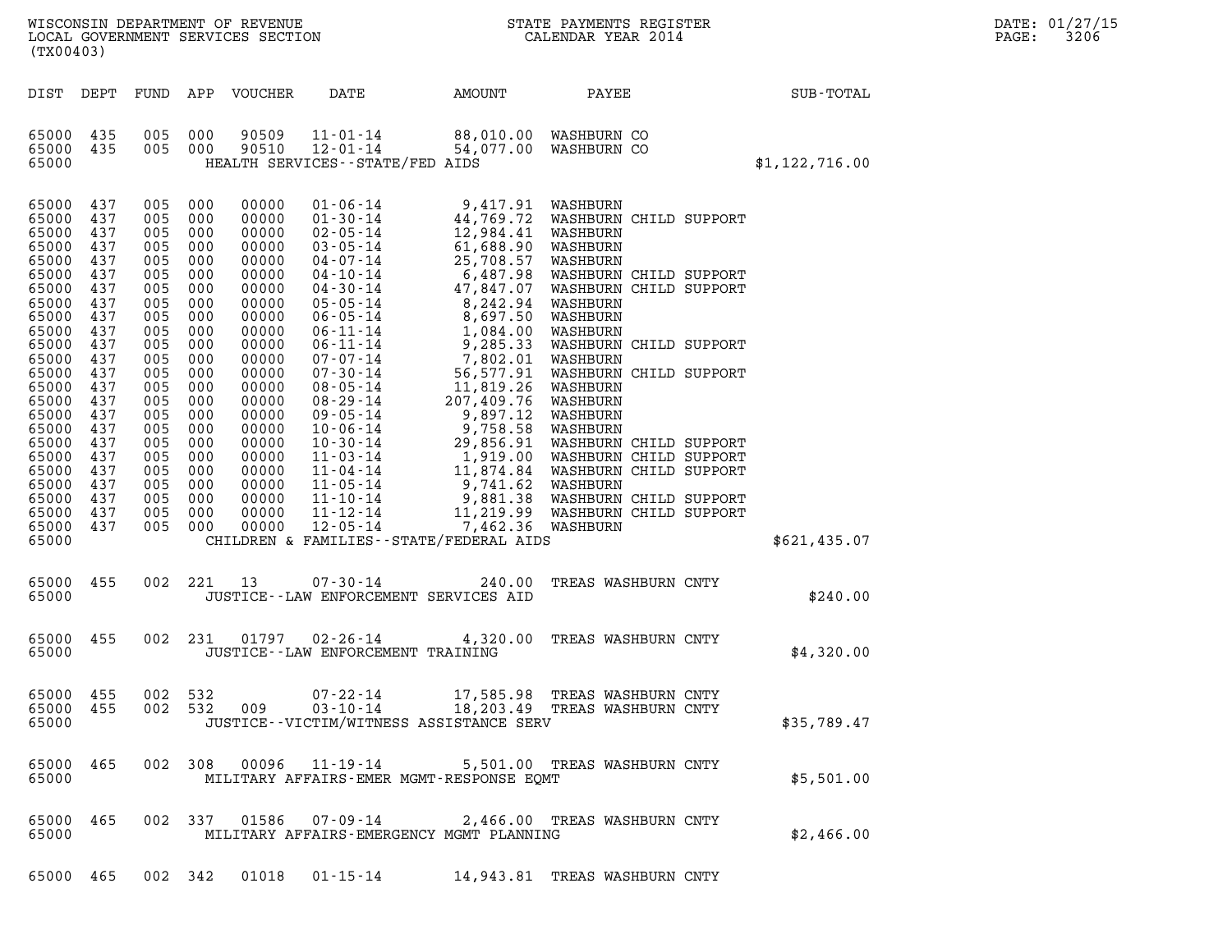| DATE:             | 01/27/15 |
|-------------------|----------|
| $\mathtt{PAGE}$ : | 3206     |

| (TX00403)                                                                                                                                                                                                                                                         |                                                                                                       |                                                                                                                                                                      |                                                                                                                                                                      |                                                                                                                                                                                                                      |                                                         | ${\tt WISCOONSIM} \begin{tabular}{lcccc} \texttt{WE} & \texttt{R}} & \texttt{R} & \texttt{R} & \texttt{R} & \texttt{R} & \texttt{R} & \texttt{R} \\ \texttt{N} & \texttt{S} & \texttt{S} & \texttt{S} & \texttt{S} & \texttt{R} & \texttt{R} \\ \texttt{N} & \texttt{S} & \texttt{S} & \texttt{S} & \texttt{S} & \texttt{S} & \texttt{S} \\ \texttt{S} & \texttt{S} & \texttt{S} & \texttt{S} & \texttt{S} & \texttt{S} & \texttt{S} \\ \$ |                                                                                                                                                                                                                                                                  |  |                  | DATE: 01/27/15<br>$\mathtt{PAGE:}$<br>3206 |
|-------------------------------------------------------------------------------------------------------------------------------------------------------------------------------------------------------------------------------------------------------------------|-------------------------------------------------------------------------------------------------------|----------------------------------------------------------------------------------------------------------------------------------------------------------------------|----------------------------------------------------------------------------------------------------------------------------------------------------------------------|----------------------------------------------------------------------------------------------------------------------------------------------------------------------------------------------------------------------|---------------------------------------------------------|--------------------------------------------------------------------------------------------------------------------------------------------------------------------------------------------------------------------------------------------------------------------------------------------------------------------------------------------------------------------------------------------------------------------------------------------|------------------------------------------------------------------------------------------------------------------------------------------------------------------------------------------------------------------------------------------------------------------|--|------------------|--------------------------------------------|
| DIST DEPT                                                                                                                                                                                                                                                         |                                                                                                       |                                                                                                                                                                      |                                                                                                                                                                      | FUND APP VOUCHER                                                                                                                                                                                                     | DATE AMOUNT                                             |                                                                                                                                                                                                                                                                                                                                                                                                                                            | PAYEE                                                                                                                                                                                                                                                            |  | SUB-TOTAL        |                                            |
| 65000 435<br>65000 435<br>65000                                                                                                                                                                                                                                   |                                                                                                       | 005 000<br>005 000                                                                                                                                                   |                                                                                                                                                                      | 90509<br>90510                                                                                                                                                                                                       | $12 - 01 - 14$<br>HEALTH SERVICES - - STATE/FED AIDS    | 11-01-14 88,010.00 WASHBURN CO<br>54,077.00 WASHBURN CO                                                                                                                                                                                                                                                                                                                                                                                    |                                                                                                                                                                                                                                                                  |  | \$1, 122, 716.00 |                                            |
| 65000<br>65000 437<br>65000<br>65000 437<br>65000<br>65000<br>65000<br>65000<br>65000<br>65000 437<br>65000<br>65000 437<br>65000<br>65000<br>65000<br>65000 437<br>65000<br>65000 437<br>65000<br>65000<br>65000<br>65000 437<br>65000 437<br>65000 437<br>65000 | 437<br>437<br>437<br>437<br>437<br>437<br>437<br>437<br>437<br>437<br>437<br>437<br>437<br>437<br>437 | 005<br>005<br>005<br>005<br>005<br>005<br>005<br>005<br>005<br>005<br>005<br>005<br>005<br>005<br>005<br>005<br>005<br>005<br>005<br>005<br>005<br>005<br>005<br>005 | 000<br>000<br>000<br>000<br>000<br>000<br>000<br>000<br>000<br>000<br>000<br>000<br>000<br>000<br>000<br>000<br>000<br>000<br>000<br>000<br>000<br>000<br>000<br>000 | 00000<br>00000<br>00000<br>00000<br>00000<br>00000<br>00000<br>00000<br>00000<br>00000<br>00000<br>00000<br>00000<br>00000<br>00000<br>00000<br>00000<br>00000<br>00000<br>00000<br>00000<br>00000<br>00000<br>00000 |                                                         | ATE/FED AIDS<br>$\begin{array}{r} \texttt{ATE} / \texttt{FED} \text{ ATDS} \end{array}$<br>$\begin{array}{r} 14 & 9,417.91 \text{ WASHBURN} \ -14 & 44,769.72 \text{ WASHBURN} \ -14 & 12,984.41 \text{ WASHBURN} \ -14 & 61,688.90 \text{ WASHBURN} \ 7 \cdot 14 & 25,708.57 \text{ WASHBURN} \ 7 \cdot 14 & 25,708.57 \text{ WASHBUR} \ 80 \cdot 14 & 47,847.9$<br>CHILDREN & FAMILIES - - STATE/FEDERAL AIDS                            | WASHBURN CHILD SUPPORT<br>WASHBURN CHILD SUPPORT<br>WASHBURN CHILD SUPPORT<br>WASHBURN CHILD SUPPORT<br>WASHBURN CHILD SUPPORT<br>WASHBURN CHILD SUPPORT<br>WASHBURN CHILD SUPPORT<br>WASHBURN CHILD SUPPORT<br>WASHBURN CHILD SUPPORT<br>WASHBURN CHILD SUPPORT |  | \$621,435.07     |                                            |
| 65000 455<br>65000                                                                                                                                                                                                                                                |                                                                                                       |                                                                                                                                                                      |                                                                                                                                                                      | 002 221 13                                                                                                                                                                                                           | 07-30-14                                                | JUSTICE -- LAW ENFORCEMENT SERVICES AID                                                                                                                                                                                                                                                                                                                                                                                                    | 240.00 TREAS WASHBURN CNTY                                                                                                                                                                                                                                       |  | \$240.00         |                                            |
| 65000 455<br>65000                                                                                                                                                                                                                                                |                                                                                                       |                                                                                                                                                                      | 002 231                                                                                                                                                              |                                                                                                                                                                                                                      | 01797   02-26-14<br>JUSTICE -- LAW ENFORCEMENT TRAINING | 4,320.00                                                                                                                                                                                                                                                                                                                                                                                                                                   | TREAS WASHBURN CNTY                                                                                                                                                                                                                                              |  | \$4,320.00       |                                            |
| 65000 455<br>65000 455<br>65000                                                                                                                                                                                                                                   |                                                                                                       | 002 532                                                                                                                                                              | 002 532                                                                                                                                                              | 009                                                                                                                                                                                                                  | 07-22-14<br>$03 - 10 - 14$                              | JUSTICE - - VICTIM/WITNESS ASSISTANCE SERV                                                                                                                                                                                                                                                                                                                                                                                                 | 17,585.98 TREAS WASHBURN CNTY<br>18,203.49 TREAS WASHBURN CNTY                                                                                                                                                                                                   |  | \$35,789.47      |                                            |
| 65000 465<br>65000                                                                                                                                                                                                                                                |                                                                                                       |                                                                                                                                                                      | 002 308                                                                                                                                                              | 00096                                                                                                                                                                                                                | 11-19-14                                                | MILITARY AFFAIRS-EMER MGMT-RESPONSE EOMT                                                                                                                                                                                                                                                                                                                                                                                                   | 5,501.00 TREAS WASHBURN CNTY                                                                                                                                                                                                                                     |  | \$5,501.00       |                                            |
| 65000 465<br>65000                                                                                                                                                                                                                                                |                                                                                                       |                                                                                                                                                                      | 002 337                                                                                                                                                              | 01586                                                                                                                                                                                                                | 07-09-14                                                | MILITARY AFFAIRS-EMERGENCY MGMT PLANNING                                                                                                                                                                                                                                                                                                                                                                                                   | 2,466.00 TREAS WASHBURN CNTY                                                                                                                                                                                                                                     |  | \$2,466.00       |                                            |

65000 465 002 342 01018 01-15-14 14,943.81 TREAS WASHBURN CNTY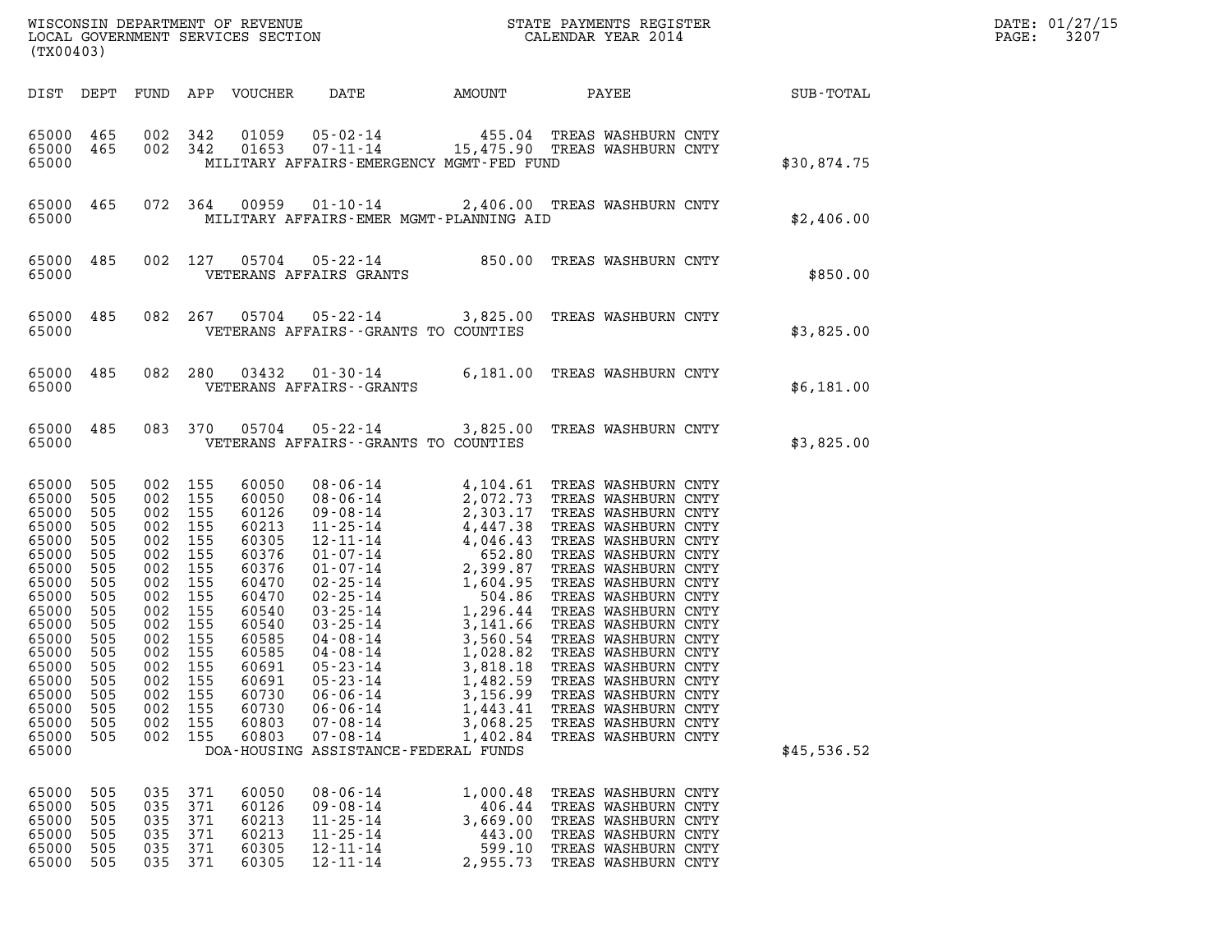| (TX00403)                                                                                                                                                                            |                                                                                                                            |                                                                                                                                                                                               |                                        |                                                                                                                                                                         |                                                                                                                                |                                                                |                                                                                                                                        |             | DATE: 01/27/15<br>3207 |
|--------------------------------------------------------------------------------------------------------------------------------------------------------------------------------------|----------------------------------------------------------------------------------------------------------------------------|-----------------------------------------------------------------------------------------------------------------------------------------------------------------------------------------------|----------------------------------------|-------------------------------------------------------------------------------------------------------------------------------------------------------------------------|--------------------------------------------------------------------------------------------------------------------------------|----------------------------------------------------------------|----------------------------------------------------------------------------------------------------------------------------------------|-------------|------------------------|
|                                                                                                                                                                                      |                                                                                                                            |                                                                                                                                                                                               |                                        |                                                                                                                                                                         |                                                                                                                                |                                                                |                                                                                                                                        |             |                        |
| 65000 465 002 342<br>65000 465 002 342<br>65000                                                                                                                                      |                                                                                                                            |                                                                                                                                                                                               |                                        |                                                                                                                                                                         | MILITARY AFFAIRS-EMERGENCY MGMT-FED FUND                                                                                       |                                                                |                                                                                                                                        | \$30,874.75 |                        |
| 65000                                                                                                                                                                                |                                                                                                                            |                                                                                                                                                                                               |                                        |                                                                                                                                                                         | MILITARY AFFAIRS-EMER MGMT-PLANNING AID                                                                                        |                                                                | 65000 465 072 364 00959 01-10-14 2,406.00 TREAS WASHBURN CNTY                                                                          | \$2,406.00  |                        |
| 65000                                                                                                                                                                                |                                                                                                                            |                                                                                                                                                                                               |                                        |                                                                                                                                                                         | VETERANS AFFAIRS GRANTS                                                                                                        |                                                                | 65000 485 002 127 05704 05-22-14 850.00 TREAS WASHBURN CNTY                                                                            | \$850.00    |                        |
| 65000                                                                                                                                                                                |                                                                                                                            |                                                                                                                                                                                               |                                        |                                                                                                                                                                         | VETERANS AFFAIRS--GRANTS TO COUNTIES                                                                                           |                                                                | 65000 485 082 267 05704 05-22-14 3,825.00 TREAS WASHBURN CNTY                                                                          | \$3,825.00  |                        |
| 65000                                                                                                                                                                                |                                                                                                                            |                                                                                                                                                                                               |                                        |                                                                                                                                                                         | VETERANS AFFAIRS - - GRANTS                                                                                                    |                                                                | 65000 485 082 280 03432 01-30-14 6,181.00 TREAS WASHBURN CNTY                                                                          | \$6,181.00  |                        |
| 65000                                                                                                                                                                                |                                                                                                                            |                                                                                                                                                                                               |                                        |                                                                                                                                                                         | VETERANS AFFAIRS--GRANTS TO COUNTIES                                                                                           |                                                                | 65000 485 083 370 05704 05-22-14 3,825.00 TREAS WASHBURN CNTY                                                                          | \$3,825.00  |                        |
| 65000<br>65000<br>65000<br>65000<br>65000<br>65000<br>65000<br>65000<br>65000<br>65000<br>65000<br>65000<br>65000<br>65000 505<br>65000<br>65000<br>65000<br>65000<br>65000<br>65000 | 505<br>505<br>505<br>505<br>505<br>505<br>505<br>505<br>505<br>505<br>505<br>505<br>505<br>505<br>505<br>505<br>505<br>505 | 002 155<br>002 155<br>002 155<br>002 155<br>002 155<br>002 155<br>002 155<br>002 155<br>002 155<br>002 155<br>002 155<br>002 155<br>002 155<br>002 155<br>002<br>002<br>002<br>002<br>002 155 | 155<br>155<br>155<br>155               | 60050<br>60050<br>60126<br>60213<br>60305<br>60376<br>60376<br>60470<br>60470<br>60540<br>60540<br>60585<br>60585<br>60691<br>60691<br>60730<br>60730<br>60803<br>60803 | $05 - 23 - 14$<br>$06 - 06 - 14$<br>$06 - 06 - 14$<br>$07 - 08 - 14$<br>$07 - 08 - 14$<br>DOA-HOUSING ASSISTANCE-FEDERAL FUNDS | 1,482.59<br>3,156.99<br>1,443.41<br>3,068.25<br>1,402.84       | TREAS WASHBURN CNTY<br>TREAS WASHBURN CNTY<br>TREAS WASHBURN CNTY<br>TREAS WASHBURN CNTY<br>TREAS WASHBURN CNTY                        | \$45,536.52 |                        |
| 65000<br>65000<br>65000<br>65000<br>65000<br>65000                                                                                                                                   | 505<br>505<br>505<br>505<br>505<br>505                                                                                     | 035<br>035<br>035<br>035<br>035<br>035                                                                                                                                                        | 371<br>371<br>371<br>371<br>371<br>371 | 60050<br>60126<br>60213<br>60213<br>60305<br>60305                                                                                                                      | $08 - 06 - 14$<br>$09 - 08 - 14$<br>$11 - 25 - 14$<br>$11 - 25 - 14$<br>$12 - 11 - 14$<br>$12 - 11 - 14$                       | 1,000.48<br>406.44<br>3,669.00<br>443.00<br>599.10<br>2,955.73 | TREAS WASHBURN CNTY<br>TREAS WASHBURN CNTY<br>TREAS WASHBURN CNTY<br>TREAS WASHBURN CNTY<br>TREAS WASHBURN CNTY<br>TREAS WASHBURN CNTY |             |                        |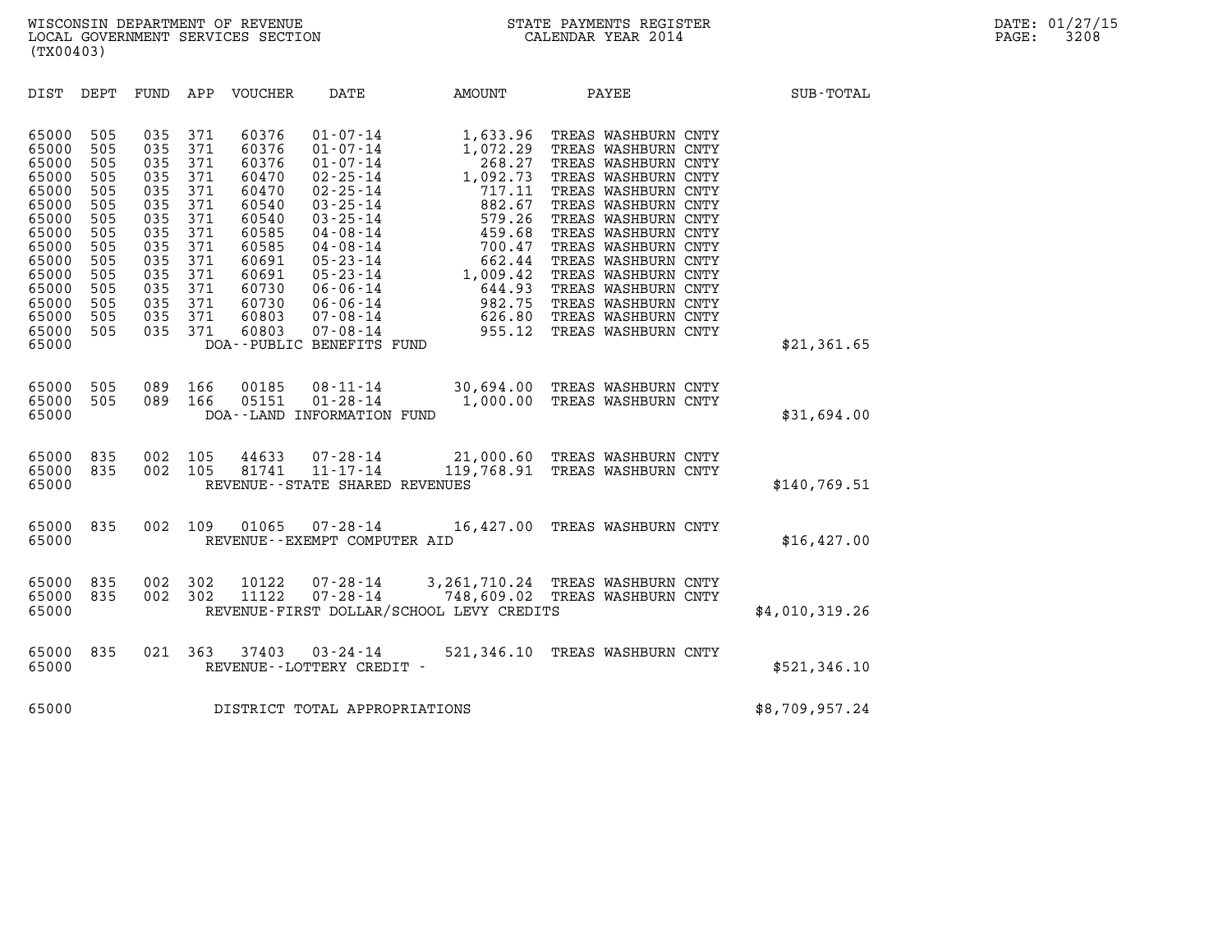| (TX00403)                                                                                                                                                                                                                                                                                                                                                      |                                                                                                                                                                                                                                                                                                                                                                                                                                                                                                                                                         |                                                                                                                                                            |                                                                                                                                                                                                                                                                                                                                                       |                  |
|----------------------------------------------------------------------------------------------------------------------------------------------------------------------------------------------------------------------------------------------------------------------------------------------------------------------------------------------------------------|---------------------------------------------------------------------------------------------------------------------------------------------------------------------------------------------------------------------------------------------------------------------------------------------------------------------------------------------------------------------------------------------------------------------------------------------------------------------------------------------------------------------------------------------------------|------------------------------------------------------------------------------------------------------------------------------------------------------------|-------------------------------------------------------------------------------------------------------------------------------------------------------------------------------------------------------------------------------------------------------------------------------------------------------------------------------------------------------|------------------|
| DIST<br>DEPT<br>FUND                                                                                                                                                                                                                                                                                                                                           | APP<br>VOUCHER<br>DATE                                                                                                                                                                                                                                                                                                                                                                                                                                                                                                                                  | AMOUNT                                                                                                                                                     | PAYEE                                                                                                                                                                                                                                                                                                                                                 | <b>SUB-TOTAL</b> |
| 65000<br>505<br>035<br>505<br>65000<br>035<br>035<br>65000<br>505<br>65000<br>505<br>035<br>65000<br>505<br>035<br>505<br>035<br>65000<br>65000<br>505<br>035<br>65000<br>505<br>035<br>65000<br>505<br>035<br>65000<br>505<br>035<br>505<br>035<br>65000<br>65000<br>505<br>035<br>65000<br>505<br>035<br>65000<br>505<br>035<br>505<br>035<br>65000<br>65000 | 60376<br>371<br>$01 - 07 - 14$<br>371<br>60376<br>$01 - 07 - 14$<br>$01 - 07 - 14$<br>371<br>60376<br>371<br>$02 - 25 - 14$<br>60470<br>371<br>$02 - 25 - 14$<br>60470<br>371<br>60540<br>$03 - 25 - 14$<br>$03 - 25 - 14$<br>371<br>60540<br>371<br>60585<br>$04 - 08 - 14$<br>371<br>60585<br>$04 - 08 - 14$<br>371<br>$05 - 23 - 14$<br>60691<br>371<br>$05 - 23 - 14$<br>60691<br>$06 - 06 - 14$<br>371<br>60730<br>371<br>60730<br>$06 - 06 - 14$<br>371<br>60803<br>$07 - 08 - 14$<br>371<br>60803<br>$07 - 08 - 14$<br>DOA--PUBLIC BENEFITS FUND | 1,633.96<br>1,072.29<br>268.27<br>1,092.73<br>717.11<br>882.67<br>579.26<br>459.68<br>700.47<br>662.44<br>1,009.42<br>644.93<br>982.75<br>626.80<br>955.12 | TREAS WASHBURN CNTY<br>TREAS WASHBURN CNTY<br>TREAS WASHBURN CNTY<br>TREAS WASHBURN CNTY<br>TREAS WASHBURN CNTY<br>TREAS WASHBURN CNTY<br>TREAS WASHBURN CNTY<br>TREAS WASHBURN CNTY<br>TREAS WASHBURN CNTY<br>TREAS WASHBURN CNTY<br>TREAS WASHBURN CNTY<br>TREAS WASHBURN CNTY<br>TREAS WASHBURN CNTY<br>TREAS WASHBURN CNTY<br>TREAS WASHBURN CNTY | \$21,361.65      |
| 505<br>089<br>65000<br>505<br>089<br>65000<br>65000                                                                                                                                                                                                                                                                                                            | 166<br>00185<br>$08 - 11 - 14$<br>$01 - 28 - 14$<br>05151<br>166<br>DOA--LAND INFORMATION FUND                                                                                                                                                                                                                                                                                                                                                                                                                                                          | 30,694.00<br>1,000.00                                                                                                                                      | TREAS WASHBURN CNTY<br>TREAS WASHBURN CNTY                                                                                                                                                                                                                                                                                                            | \$31,694.00      |
| 65000<br>835<br>002<br>65000<br>835<br>002<br>65000                                                                                                                                                                                                                                                                                                            | 105<br>44633<br>$07 - 28 - 14$<br>11 - 17 - 14<br>105<br>81741<br>REVENUE - - STATE SHARED REVENUES                                                                                                                                                                                                                                                                                                                                                                                                                                                     | 21,000.60<br>119,768.91 TREAS WASHBURN CNTY                                                                                                                | TREAS WASHBURN CNTY                                                                                                                                                                                                                                                                                                                                   | \$140,769.51     |
| 65000<br>835<br>002<br>65000                                                                                                                                                                                                                                                                                                                                   | 109<br>01065<br>$07 - 28 - 14$<br>REVENUE--EXEMPT COMPUTER AID                                                                                                                                                                                                                                                                                                                                                                                                                                                                                          | 16,427.00 TREAS WASHBURN CNTY                                                                                                                              |                                                                                                                                                                                                                                                                                                                                                       | \$16, 427.00     |
| 65000<br>835<br>002<br>002<br>65000<br>835<br>65000                                                                                                                                                                                                                                                                                                            | 302<br>10122<br>$07 - 28 - 14$<br>$07 - 28 - 14$<br>302<br>11122<br>REVENUE-FIRST DOLLAR/SCHOOL LEVY CREDITS                                                                                                                                                                                                                                                                                                                                                                                                                                            | 3, 261, 710.24 TREAS WASHBURN CNTY<br>748,609.02                                                                                                           | TREAS WASHBURN CNTY                                                                                                                                                                                                                                                                                                                                   | \$4,010,319.26   |
| 65000<br>835<br>021<br>65000                                                                                                                                                                                                                                                                                                                                   | 363<br>37403<br>$03 - 24 - 14$<br>REVENUE--LOTTERY CREDIT -                                                                                                                                                                                                                                                                                                                                                                                                                                                                                             | 521,346.10                                                                                                                                                 | TREAS WASHBURN CNTY                                                                                                                                                                                                                                                                                                                                   | \$521,346.10     |
| 65000                                                                                                                                                                                                                                                                                                                                                          | DISTRICT TOTAL APPROPRIATIONS                                                                                                                                                                                                                                                                                                                                                                                                                                                                                                                           |                                                                                                                                                            |                                                                                                                                                                                                                                                                                                                                                       | \$8,709,957.24   |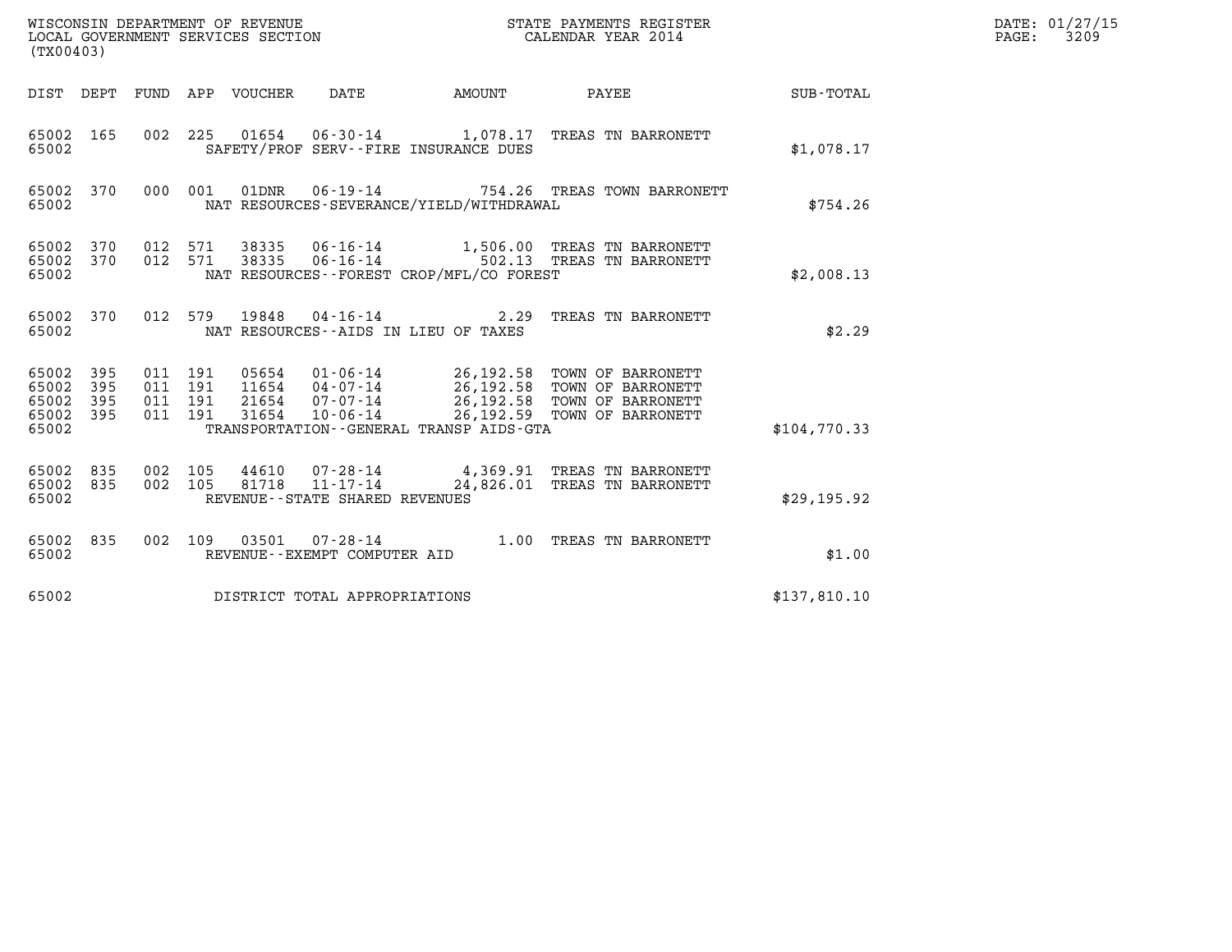| (TX00403)               |            |                        |         | WISCONSIN DEPARTMENT OF REVENUE<br>LOCAL GOVERNMENT SERVICES SECTION |                                          |        | STATE PAYMENTS REGISTER<br>CALENDAR YEAR 2014                                    |            | DATE: 01/27/15<br>$\mathtt{PAGE:}$<br>3209 |
|-------------------------|------------|------------------------|---------|----------------------------------------------------------------------|------------------------------------------|--------|----------------------------------------------------------------------------------|------------|--------------------------------------------|
|                         |            |                        |         | DIST DEPT FUND APP VOUCHER                                           | DATE                                     | AMOUNT | PAYEE                                                                            | SUB-TOTAL  |                                            |
| 65002                   |            |                        |         |                                                                      | SAFETY/PROF SERV--FIRE INSURANCE DUES    |        | 65002 165 002 225 01654 06-30-14 1,078.17 TREAS TN BARRONETT                     | \$1,078.17 |                                            |
| 65002                   |            | 65002 370 000 001      |         |                                                                      | NAT RESOURCES-SEVERANCE/YIELD/WITHDRAWAL |        |                                                                                  | \$754.26   |                                            |
| 65002<br>65002<br>65002 | 370        | 370 012 571<br>012 571 |         | 38335                                                                | NAT RESOURCES--FOREST CROP/MFL/CO FOREST |        | 38335 06-16-14 1,506.00 TREAS TN BARRONETT<br>06-16-14 502.13 TREAS TN BARRONETT | \$2,008.13 |                                            |
| 65002 370<br>65002      |            |                        | 012 579 |                                                                      | NAT RESOURCES -- AIDS IN LIEU OF TAXES   |        | 19848  04-16-14  2.29  TREAS TN BARRONETT                                        | \$2.29     |                                            |
| 65002<br>65002          | 395<br>395 | 011 191<br>011 191     |         | 11654                                                                | $04 - 07 - 14$                           |        | 05654 01-06-14 26,192.58 TOWN OF BARRONETT<br>26.192.58 TOWN OF BARRONETT        |            |                                            |

| 65002 395 011 191 |         |         | 05654 | $01 - 06 - 14$ |                                         | 26,192.58 TOWN OF BARRONETT |              |
|-------------------|---------|---------|-------|----------------|-----------------------------------------|-----------------------------|--------------|
| 65002 395         | 011 191 |         | 11654 | 04 - 07 - 14   | 26,192.58                               | TOWN OF BARRONETT           |              |
| 65002 395         |         | 011 191 | 21654 | 07 - 07 - 14   |                                         | 26,192.58 TOWN OF BARRONETT |              |
| 65002 395         | 011 191 |         | 31654 | 10-06-14       |                                         | 26,192.59 TOWN OF BARRONETT |              |
| 65002             |         |         |       |                | TRANSPORTATION--GENERAL TRANSP AIDS-GTA |                             | \$104,770.33 |
|                   |         |         |       |                |                                         |                             |              |

| 65002                                   |  | \$104,770.33 |       |                                                                      |  |  |                                                             |             |
|-----------------------------------------|--|--------------|-------|----------------------------------------------------------------------|--|--|-------------------------------------------------------------|-------------|
| 65002 835 002 105<br>65002 835<br>65002 |  |              | 44610 | 07-28-14<br>002 105 81718 11-17-14<br>REVENUE--STATE SHARED REVENUES |  |  | 4,369.91 TREAS TN BARRONETT<br>24,826.01 TREAS TN BARRONETT | \$29,195.92 |

| 65002              |     | REVENUE - - STATE SHARED REVENUES                            |      |                    | \$29,195.92  |
|--------------------|-----|--------------------------------------------------------------|------|--------------------|--------------|
| 65002 835<br>65002 | 002 | 109<br>03501<br>07 - 28 - 14<br>REVENUE--EXEMPT COMPUTER AID | 1.00 | TREAS TN BARRONETT | \$1.00       |
| 65002              |     | DISTRICT TOTAL APPROPRIATIONS                                |      |                    | \$137,810.10 |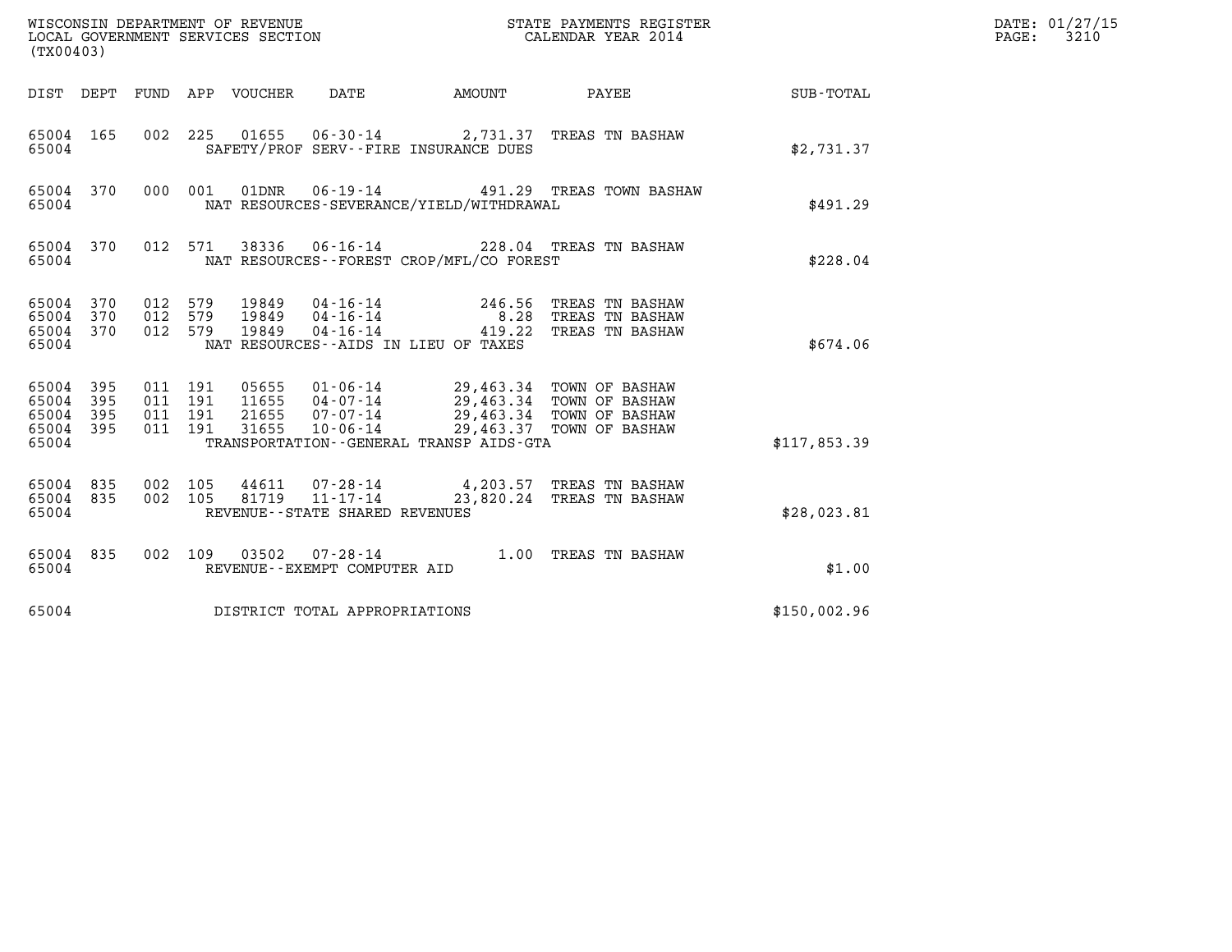| WISCONSIN DEPARTMENT OF REVENUE<br>LOCAL GOVERNMENT SERVICES SECTION<br>(TX00403) |            |                                          |            |                            |                                                     |                                                                                                                                                                                             |              | STATE PAYMENTS REGISTER<br>CALENDAR YEAR 2014         |                  | DATE: 01/27/15<br>$\mathtt{PAGE:}$<br>3210 |
|-----------------------------------------------------------------------------------|------------|------------------------------------------|------------|----------------------------|-----------------------------------------------------|---------------------------------------------------------------------------------------------------------------------------------------------------------------------------------------------|--------------|-------------------------------------------------------|------------------|--------------------------------------------|
|                                                                                   |            |                                          |            | DIST DEPT FUND APP VOUCHER | DATE                                                | AMOUNT                                                                                                                                                                                      | <b>PAYEE</b> |                                                       | <b>SUB-TOTAL</b> |                                            |
| 65004 165<br>65004                                                                |            |                                          |            |                            |                                                     | 002 225 01655 06-30-14 2,731.37 TREAS TN BASHAW<br>SAFETY/PROF SERV--FIRE INSURANCE DUES                                                                                                    |              |                                                       | \$2,731.37       |                                            |
| 65004 370<br>65004                                                                |            | 000 001                                  |            |                            |                                                     | 01DNR  06-19-14  491.29 TREAS TOWN BASHAW<br>NAT RESOURCES-SEVERANCE/YIELD/WITHDRAWAL                                                                                                       |              |                                                       | \$491.29         |                                            |
| 65004 370<br>65004                                                                |            |                                          | 012 571    |                            |                                                     | 38336 06-16-14 228.04 TREAS TN BASHAW<br>NAT RESOURCES - - FOREST CROP/MFL/CO FOREST                                                                                                        |              |                                                       | \$228.04         |                                            |
| 65004 370<br>65004<br>65004 370<br>65004                                          | 370        | 012<br>012<br>012 579                    | 579<br>579 | 19849<br>19849<br>19849    | 04 - 16 - 14<br>04 - 16 - 14<br>04 - 16 - 14        | 246.56<br>8.28<br>419.22<br>NAT RESOURCES--AIDS IN LIEU OF TAXES                                                                                                                            |              | TREAS TN BASHAW<br>TREAS TN BASHAW<br>TREAS TN BASHAW | \$674.06         |                                            |
| 65004 395<br>65004<br>65004<br>65004 395<br>65004                                 | 395<br>395 | 011 191<br>011 191<br>011 191<br>011 191 |            | 21655<br>31655             | $07 - 07 - 14$<br>10-06-14                          | 05655  01-06-14  29,463.34  TOWN OF BASHAW<br>11655  04-07-14  29,463.34  TOWN OF BASHAW<br>29,463.34 TOWN OF BASHAW<br>29,463.37 TOWN OF BASHAW<br>TRANSPORTATION--GENERAL TRANSP AIDS-GTA |              |                                                       | \$117,853.39     |                                            |
| 65004 835<br>65004 835<br>65004                                                   |            | 002 105<br>002 105                       |            | 44611<br>81719             | $11 - 17 - 14$<br>REVENUE - - STATE SHARED REVENUES | 07-28-14 4,203.57 TREAS TN BASHAW<br>23,820.24 TREAS TN BASHAW                                                                                                                              |              |                                                       | \$28,023.81      |                                            |
| 65004 835<br>65004                                                                |            | 002 109                                  |            | 03502                      | REVENUE--EXEMPT COMPUTER AID                        | 07-28-14 1.00 TREAS TN BASHAW                                                                                                                                                               |              |                                                       | \$1.00           |                                            |
| 65004                                                                             |            |                                          |            |                            | DISTRICT TOTAL APPROPRIATIONS                       |                                                                                                                                                                                             |              |                                                       | \$150,002.96     |                                            |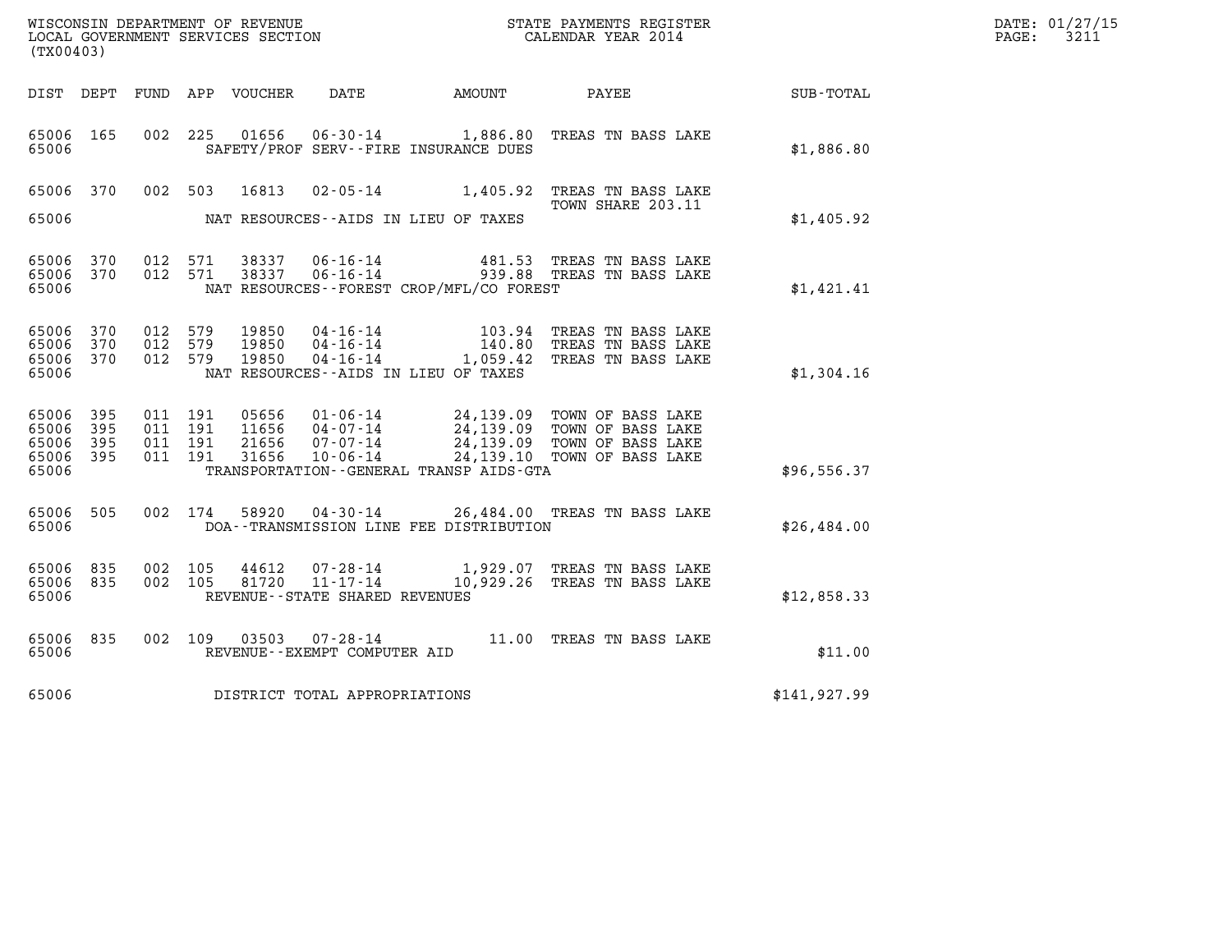| DATE: | 01/27/15 |
|-------|----------|
| PAGE: | 3211     |

| WISCONSIN DEPARTMENT OF REVENUE<br>LOCAL GOVERNMENT SERVICES SECTION<br>CALENDAR YEAR 2014<br>(TX00403) |                   |  |                                          |                                  |                                                  |                                          |                                                                                                                                                              |              | DATE: 01/27/15<br>$\mathtt{PAGE:}$<br>3211 |
|---------------------------------------------------------------------------------------------------------|-------------------|--|------------------------------------------|----------------------------------|--------------------------------------------------|------------------------------------------|--------------------------------------------------------------------------------------------------------------------------------------------------------------|--------------|--------------------------------------------|
|                                                                                                         |                   |  |                                          |                                  |                                                  |                                          | DIST DEPT FUND APP VOUCHER DATE AMOUNT PAYEE TOTAL                                                                                                           |              |                                            |
| 65006 165<br>65006                                                                                      |                   |  |                                          |                                  |                                                  | SAFETY/PROF SERV--FIRE INSURANCE DUES    | 002 225 01656 06-30-14 1,886.80 TREAS TN BASS LAKE                                                                                                           | \$1,886.80   |                                            |
| 65006 370                                                                                               |                   |  |                                          |                                  |                                                  |                                          | 002 503 16813 02-05-14 1,405.92 TREAS TN BASS LAKE<br>TOWN SHARE 203.11                                                                                      |              |                                            |
| 65006                                                                                                   |                   |  |                                          |                                  |                                                  | NAT RESOURCES--AIDS IN LIEU OF TAXES     |                                                                                                                                                              | \$1,405.92   |                                            |
| 65006<br>65006 370<br>65006                                                                             | 370               |  | 012 571<br>012 571                       |                                  |                                                  | NAT RESOURCES--FOREST CROP/MFL/CO FOREST | 38337   06-16-14   481.53   TREAS TN BASS LAKE   38337   06-16-14   939.88   TREAS TN BASS LAKE                                                              | \$1,421.41   |                                            |
| 65006<br>65006<br>65006 370<br>65006                                                                    | 370<br>370        |  | 012 579<br>012 579<br>012 579            | 19850<br>19850<br>19850          |                                                  | NAT RESOURCES--AIDS IN LIEU OF TAXES     | 04-16-14 103.94 TREAS TN BASS LAKE<br>04-16-14 140.80 TREAS TN BASS LAKE<br>04-16-14 1,059.42 TREAS TN BASS LAKE                                             | \$1,304.16   |                                            |
| 65006<br>65006<br>65006<br>65006 395<br>65006                                                           | 395<br>395<br>395 |  | 011 191<br>011 191<br>011 191<br>011 191 | 05656<br>11656<br>21656<br>31656 |                                                  | TRANSPORTATION--GENERAL TRANSP AIDS-GTA  | 01-06-14 24,139.09 TOWN OF BASS LAKE<br>04-07-14 24,139.09 TOWN OF BASS LAKE<br>07-07-14 24,139.09 TOWN OF BASS LAKE<br>10-06-14 24,139.10 TOWN OF BASS LAKE | \$96,556.37  |                                            |
| 65006<br>65006                                                                                          | 505               |  | 002 174                                  |                                  |                                                  | DOA--TRANSMISSION LINE FEE DISTRIBUTION  | 58920  04-30-14  26,484.00  TREAS TN BASS LAKE                                                                                                               | \$26,484.00  |                                            |
| 65006<br>65006<br>65006                                                                                 | 835<br>835        |  | 002 105<br>002 105                       | 44612<br>81720                   | $11 - 17 - 14$<br>REVENUE--STATE SHARED REVENUES |                                          | 07-28-14 1,929.07 TREAS TN BASS LAKE<br>11-17-14 10,929.26 TREAS TN BASS LAKE                                                                                | \$12,858.33  |                                            |
| 65006 835<br>65006                                                                                      |                   |  |                                          |                                  | REVENUE--EXEMPT COMPUTER AID                     |                                          | 002 109 03503 07-28-14 11.00 TREAS TN BASS LAKE                                                                                                              | \$11.00      |                                            |
| 65006                                                                                                   |                   |  |                                          |                                  | DISTRICT TOTAL APPROPRIATIONS                    |                                          |                                                                                                                                                              | \$141,927.99 |                                            |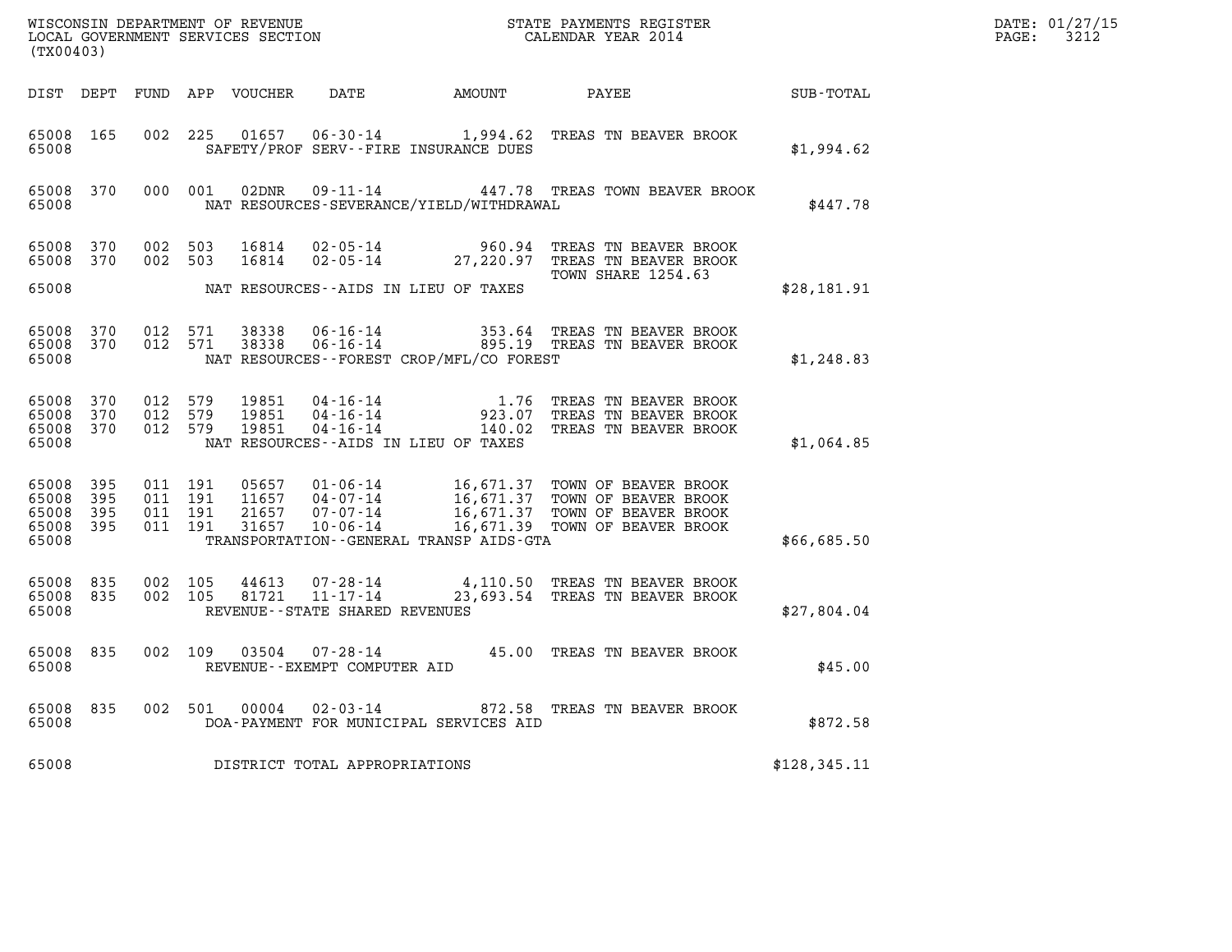| (TX00403)                                         |                                |         |                                          |                                 |                                |                                          |                                                                                                                                                                                       |               | DATE: 01/27/15<br>$\mathtt{PAGE:}$<br>3212 |
|---------------------------------------------------|--------------------------------|---------|------------------------------------------|---------------------------------|--------------------------------|------------------------------------------|---------------------------------------------------------------------------------------------------------------------------------------------------------------------------------------|---------------|--------------------------------------------|
|                                                   |                                |         |                                          |                                 |                                |                                          | DIST DEPT FUND APP VOUCHER DATE AMOUNT PAYEE                                                                                                                                          | SUB-TOTAL     |                                            |
| 65008 165<br>65008                                |                                |         |                                          |                                 |                                | SAFETY/PROF SERV--FIRE INSURANCE DUES    | 002 225 01657 06-30-14 1,994.62 TREAS TN BEAVER BROOK                                                                                                                                 | \$1,994.62    |                                            |
| 65008                                             | 65008 370                      |         |                                          |                                 |                                | NAT RESOURCES-SEVERANCE/YIELD/WITHDRAWAL | 000 001 02DNR 09-11-14 447.78 TREAS TOWN BEAVER BROOK                                                                                                                                 | \$447.78      |                                            |
| 65008 370<br>65008 370                            |                                | 002 503 | 002 503                                  |                                 |                                |                                          | $16814 \qquad 02 - 05 - 14 \qquad 960.94 \qquad \text{TREAS TN BEAVER BROOK} \\ 16814 \qquad 02 - 05 - 14 \qquad 27,220.97 \qquad \text{TREAS TN BEAVER BROOK}$<br>TOWN SHARE 1254.63 |               |                                            |
| 65008                                             |                                |         |                                          |                                 |                                | NAT RESOURCES--AIDS IN LIEU OF TAXES     |                                                                                                                                                                                       | \$28,181.91   |                                            |
| 65008                                             | 65008 370 012 571<br>65008 370 |         | 012 571                                  |                                 |                                | NAT RESOURCES--FOREST CROP/MFL/CO FOREST | 38338  06-16-14   353.64   TREAS TN BEAVER BROOK<br>38338  06-16-14   895.19   TREAS TN BEAVER BROOK                                                                                  | \$1,248.83    |                                            |
| 65008 370<br>65008 370<br>65008 370<br>65008      |                                | 012 579 | 012 579                                  | 19851<br>19851<br>012 579 19851 |                                | NAT RESOURCES -- AIDS IN LIEU OF TAXES   | 04-16-14 1.76 TREAS TN BEAVER BROOK<br>04-16-14 923.07 TREAS TN BEAVER BROOK<br>04-16-14 140.02 TREAS TN BEAVER BROOK                                                                 | \$1,064.85    |                                            |
| 65008 395<br>65008<br>65008 395<br>65008<br>65008 | 395<br>395                     |         | 011 191<br>011 191<br>011 191<br>011 191 |                                 |                                | TRANSPORTATION--GENERAL TRANSP AIDS-GTA  |                                                                                                                                                                                       | \$66,685.50   |                                            |
| 65008 835<br>65008 835<br>65008                   |                                |         | 002 105<br>002 105                       |                                 | REVENUE--STATE SHARED REVENUES |                                          | $44613$ 07-28-14 $4,110.50$ TREAS TN BEAVER BROOK<br>81721 11-17-14 23,693.54 TREAS TN BEAVER BROOK                                                                                   | \$27,804.04   |                                            |
| 65008 835<br>65008                                |                                |         |                                          |                                 | REVENUE--EXEMPT COMPUTER AID   |                                          | 002 109 03504 07-28-14 45.00 TREAS TN BEAVER BROOK                                                                                                                                    | \$45.00       |                                            |
| 65008                                             | 65008 835                      |         |                                          |                                 |                                | DOA-PAYMENT FOR MUNICIPAL SERVICES AID   | 002 501 00004 02-03-14 872.58 TREAS TN BEAVER BROOK                                                                                                                                   | \$872.58      |                                            |
| 65008                                             |                                |         |                                          |                                 | DISTRICT TOTAL APPROPRIATIONS  |                                          |                                                                                                                                                                                       | \$128, 345.11 |                                            |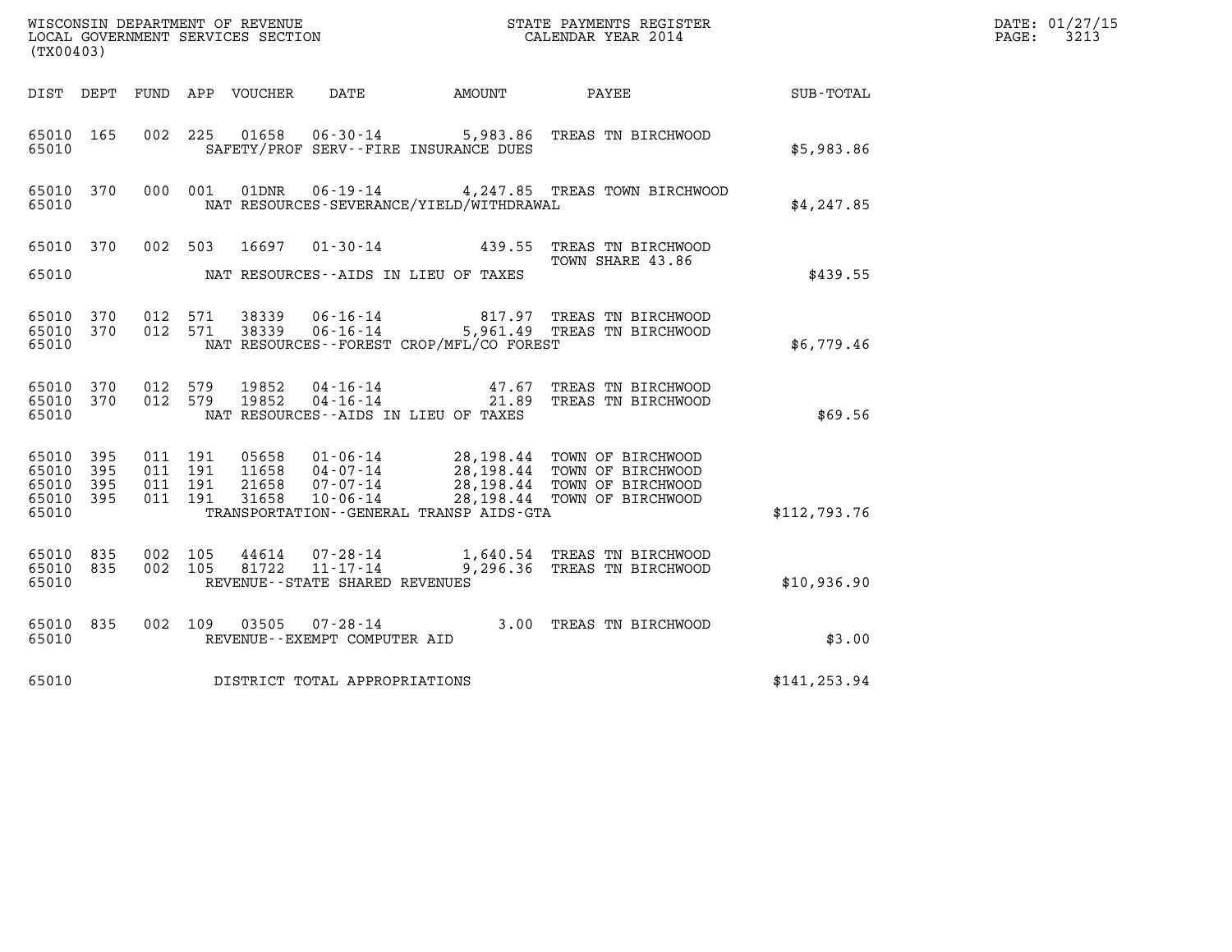| DATE: | 01/27/15 |
|-------|----------|
| PAGE: | 3213     |

| $\tt WISCONSIM DEPARTMENT OF REVENUE$ $\tt WISCONSIMENT$ SERVICES SECTION $\tt WISCONERNMENT$ SERVICES SECTION $\tt CALENDAR$ YEAR 2014 |                   |                                          |         |                                  |                                                                 |                                          |                                                                                                                                   |               | DATE: 01/27/15<br>$\mathtt{PAGE:}$<br>3213 |
|-----------------------------------------------------------------------------------------------------------------------------------------|-------------------|------------------------------------------|---------|----------------------------------|-----------------------------------------------------------------|------------------------------------------|-----------------------------------------------------------------------------------------------------------------------------------|---------------|--------------------------------------------|
| (TX00403)                                                                                                                               |                   |                                          |         |                                  |                                                                 |                                          |                                                                                                                                   |               |                                            |
| DIST DEPT                                                                                                                               |                   |                                          |         | FUND APP VOUCHER                 | DATE                                                            | AMOUNT                                   | PAYEE                                                                                                                             | SUB-TOTAL     |                                            |
| 65010 165<br>65010                                                                                                                      |                   | 002 225                                  |         | 01658                            |                                                                 | SAFETY/PROF SERV--FIRE INSURANCE DUES    | 06-30-14 5,983.86 TREAS TN BIRCHWOOD                                                                                              | \$5,983.86    |                                            |
| 65010 370<br>65010                                                                                                                      |                   | 000 001                                  |         |                                  |                                                                 | NAT RESOURCES-SEVERANCE/YIELD/WITHDRAWAL | 01DNR  06-19-14  4,247.85 TREAS TOWN BIRCHWOOD                                                                                    | \$4,247.85    |                                            |
| 65010 370                                                                                                                               |                   |                                          | 002 503 | 16697                            |                                                                 |                                          | 01-30-14 439.55 TREAS TN BIRCHWOOD<br>TOWN SHARE 43.86                                                                            |               |                                            |
| 65010                                                                                                                                   |                   |                                          |         |                                  |                                                                 | NAT RESOURCES--AIDS IN LIEU OF TAXES     |                                                                                                                                   | \$439.55      |                                            |
| 65010<br>65010 370<br>65010                                                                                                             | 370               | 012 571<br>012 571                       |         | 38339<br>38339                   |                                                                 | NAT RESOURCES--FOREST CROP/MFL/CO FOREST | 06-16-14 817.97 TREAS TN BIRCHWOOD<br>06-16-14 5,961.49 TREAS TN BIRCHWOOD                                                        | \$6,779.46    |                                            |
| 65010<br>65010 370<br>65010                                                                                                             | 370               | 012<br>012 579                           | 579     | 19852<br>19852                   | 04-16-14                                                        | NAT RESOURCES - AIDS IN LIEU OF TAXES    | 04-16-14 47.67 TREAS TN BIRCHWOOD<br>21.89 TREAS TN BIRCHWOOD                                                                     | \$69.56       |                                            |
| 65010<br>65010<br>65010<br>65010 395<br>65010                                                                                           | 395<br>395<br>395 | 011 191<br>011 191<br>011 191<br>011 191 |         | 05658<br>11658<br>21658<br>31658 | 04-07-14<br>$07 - 07 - 14$<br>10-06-14                          | TRANSPORTATION--GENERAL TRANSP AIDS-GTA  | 01-06-14 28,198.44 TOWN OF BIRCHWOOD<br>28,198.44 TOWN OF BIRCHWOOD<br>28,198.44 TOWN OF BIRCHWOOD<br>28,198.44 TOWN OF BIRCHWOOD | \$112,793.76  |                                            |
|                                                                                                                                         |                   |                                          |         |                                  |                                                                 |                                          |                                                                                                                                   |               |                                            |
| 65010<br>65010 835<br>65010                                                                                                             | 835               | 002 105<br>002 105                       |         | 44614<br>81722                   | 07-28-14<br>$11 - 17 - 14$<br>REVENUE - - STATE SHARED REVENUES |                                          | 1,640.54 TREAS TN BIRCHWOOD<br>9,296.36 TREAS TN BIRCHWOOD                                                                        | \$10,936.90   |                                            |
| 65010 835<br>65010                                                                                                                      |                   | 002 109                                  |         |                                  | 03505 07-28-14<br>REVENUE - - EXEMPT COMPUTER AID               |                                          | 3.00 TREAS TN BIRCHWOOD                                                                                                           | \$3.00        |                                            |
| 65010                                                                                                                                   |                   |                                          |         |                                  | DISTRICT TOTAL APPROPRIATIONS                                   |                                          |                                                                                                                                   | \$141, 253.94 |                                            |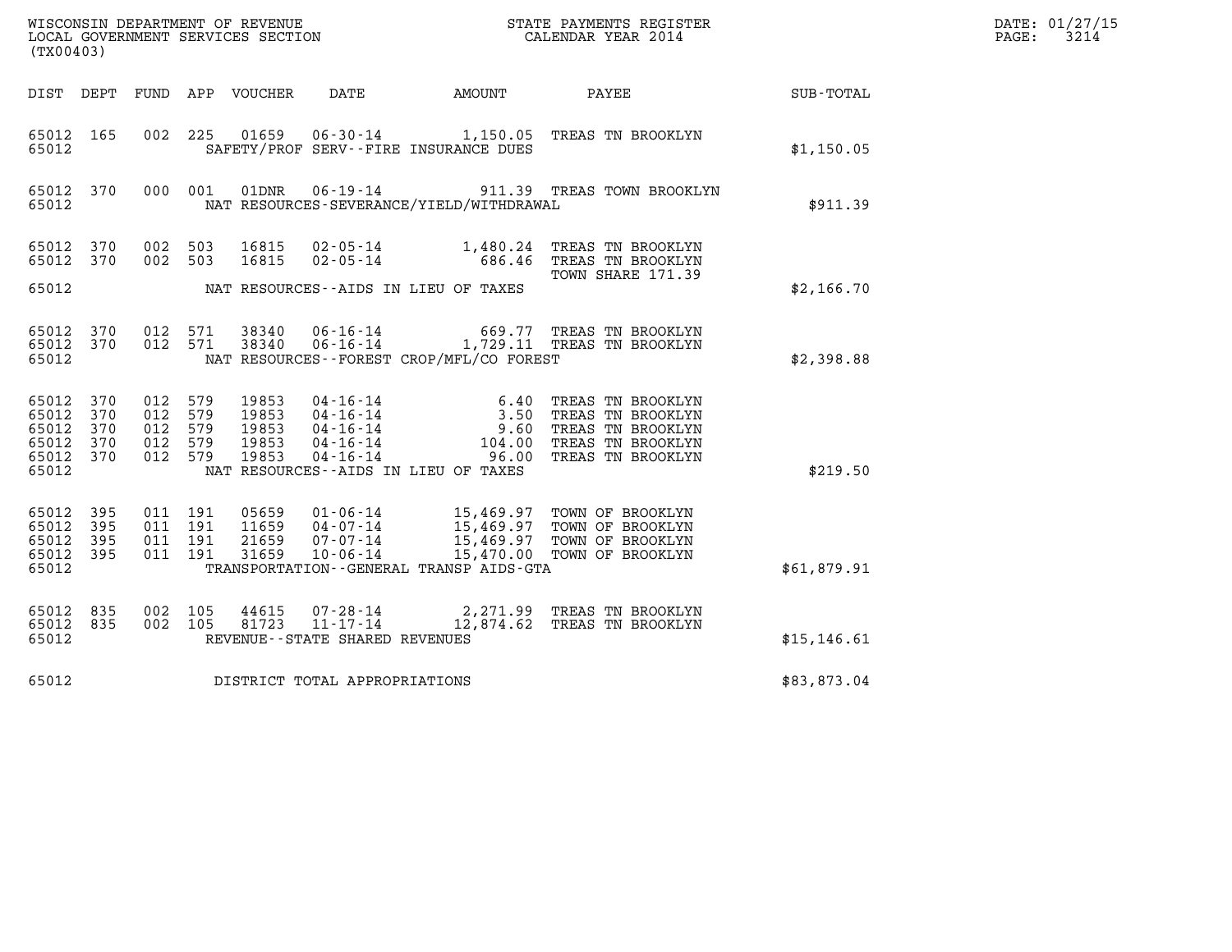| DATE: | 01/27/15 |
|-------|----------|
| PAGE: | 3214     |

| (TX00403)                                         |                   |                                             |            |                                           |                                                     |                                             |                                                                                                                                                                                                                                                                                                                                                    |                  | DATE: 01/27/15<br>$\mathtt{PAGE:}$<br>3214 |
|---------------------------------------------------|-------------------|---------------------------------------------|------------|-------------------------------------------|-----------------------------------------------------|---------------------------------------------|----------------------------------------------------------------------------------------------------------------------------------------------------------------------------------------------------------------------------------------------------------------------------------------------------------------------------------------------------|------------------|--------------------------------------------|
|                                                   |                   |                                             |            | DIST DEPT FUND APP VOUCHER                | DATE                                                | AMOUNT                                      | <b>PAYEE</b>                                                                                                                                                                                                                                                                                                                                       | <b>SUB-TOTAL</b> |                                            |
| 65012 165<br>65012                                |                   | 002 225                                     |            | 01659                                     |                                                     | SAFETY/PROF SERV--FIRE INSURANCE DUES       | 06-30-14 1,150.05 TREAS TN BROOKLYN                                                                                                                                                                                                                                                                                                                | \$1,150.05       |                                            |
| 65012                                             | 65012 370         |                                             | 000 001    |                                           |                                                     | NAT RESOURCES-SEVERANCE/YIELD/WITHDRAWAL    | 01DNR  06-19-14  911.39 TREAS TOWN BROOKLYN                                                                                                                                                                                                                                                                                                        | \$911.39         |                                            |
| 65012 370<br>65012 370                            |                   | 002 503<br>002 503                          |            | 16815<br>16815                            |                                                     |                                             | 02-05-14 1,480.24 TREAS TN BROOKLYN<br>02-05-14 686.46 TREAS TN BROOKLYN<br>TOWN SHARE 171.39                                                                                                                                                                                                                                                      |                  |                                            |
| 65012                                             |                   |                                             |            |                                           |                                                     | NAT RESOURCES--AIDS IN LIEU OF TAXES        |                                                                                                                                                                                                                                                                                                                                                    | \$2,166.70       |                                            |
| 65012 370<br>65012 370<br>65012                   |                   | 012 571<br>012 571                          |            | 38340<br>38340                            |                                                     | NAT RESOURCES - - FOREST CROP/MFL/CO FOREST | 06-16-14 669.77 TREAS TN BROOKLYN<br>06-16-14 1,729.11 TREAS TN BROOKLYN                                                                                                                                                                                                                                                                           | \$2,398.88       |                                            |
| 65012 370<br>65012<br>65012<br>65012<br>65012 370 | 370<br>370<br>370 | 012 579<br>012<br>012 579<br>012<br>012 579 | 579<br>579 | 19853<br>19853<br>19853<br>19853<br>19853 |                                                     |                                             | $\begin{array}{cccc} 04\cdot 16\cdot 14 & 6\cdot 40 & \text{TREAS TN BROOKLYN} \\ 04\cdot 16\cdot 14 & 3\cdot 50 & \text{TREAS TN BROOKLYN} \\ 04\cdot 16\cdot 14 & 9\cdot 60 & \text{TREAS TN BROOKLYN} \\ 04\cdot 16\cdot 14 & 104\cdot 00 & \text{TREAS TN BROOKLYN} \\ 04\cdot 16\cdot 14 & 96\cdot 00 & \text{TREAS TN BROOKLYN} \end{array}$ |                  |                                            |
| 65012                                             |                   |                                             |            |                                           |                                                     | NAT RESOURCES -- AIDS IN LIEU OF TAXES      |                                                                                                                                                                                                                                                                                                                                                    | \$219.50         |                                            |
| 65012<br>65012<br>65012<br>65012 395<br>65012     | 395<br>395<br>395 | 011 191<br>011 191<br>011 191<br>011 191    |            | 05659<br>11659<br>21659<br>31659          |                                                     | TRANSPORTATION--GENERAL TRANSP AIDS-GTA     | 01-06-14 15,469.97 TOWN OF BROOKLYN<br>04-07-14 15,469.97 TOWN OF BROOKLYN<br>07-07-14 15,469.97 TOWN OF BROOKLYN<br>10-06-14 15,470.00 TOWN OF BROOKLYN                                                                                                                                                                                           | \$61,879.91      |                                            |
| 65012                                             | 835               | 002 105                                     |            | 44615                                     |                                                     |                                             | 07-28-14 2,271.99 TREAS TN BROOKLYN                                                                                                                                                                                                                                                                                                                |                  |                                            |
| 65012 835<br>65012                                |                   | 002 105                                     |            | 81723                                     | $11 - 17 - 14$<br>REVENUE - - STATE SHARED REVENUES |                                             | 12,874.62 TREAS TN BROOKLYN                                                                                                                                                                                                                                                                                                                        | \$15, 146.61     |                                            |
| 65012                                             |                   |                                             |            |                                           | DISTRICT TOTAL APPROPRIATIONS                       |                                             |                                                                                                                                                                                                                                                                                                                                                    | \$83,873.04      |                                            |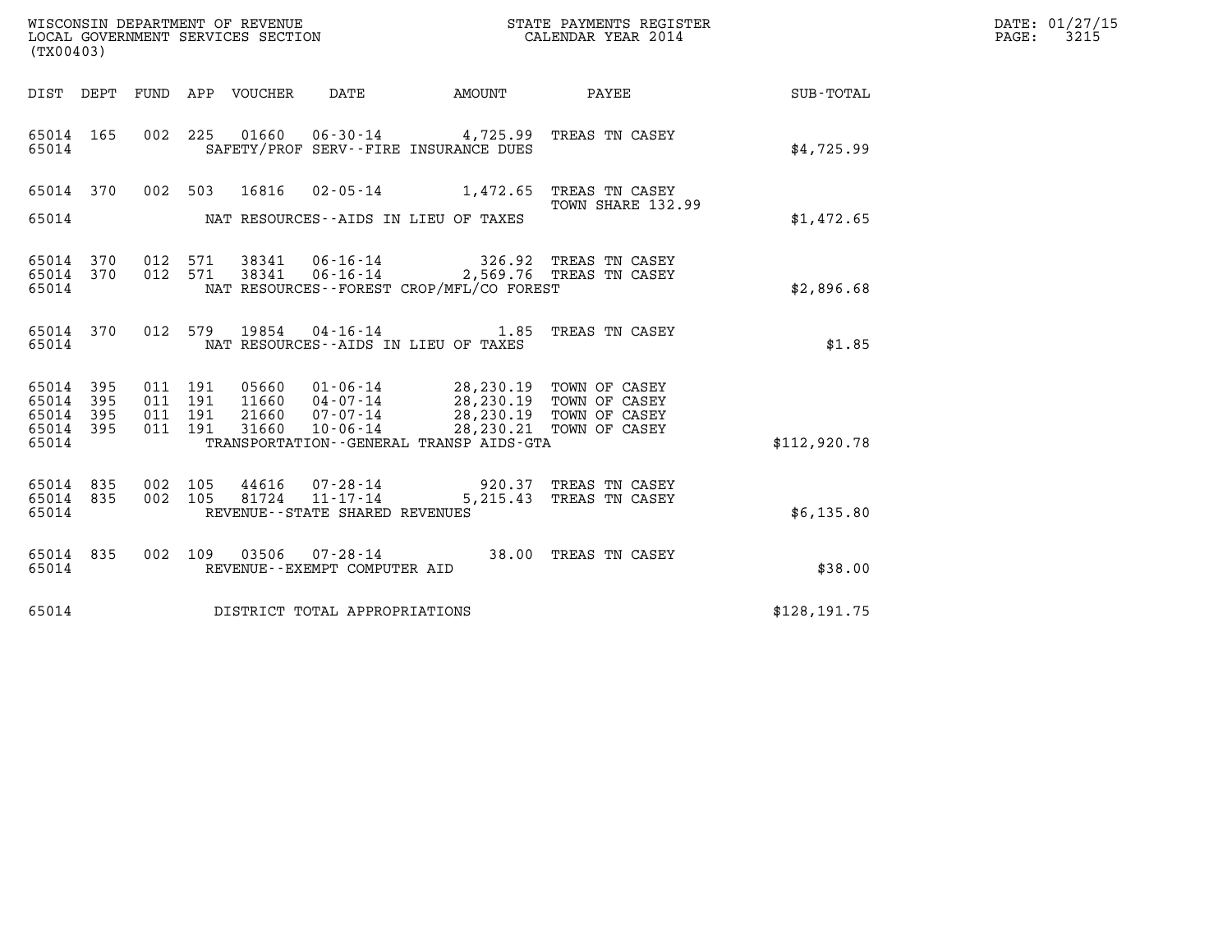| WISCONSIN DEPARTMENT OF REVENUE<br>LOCAL GOVERNMENT SERVICES SECTION<br>(TX00403)                                                                                                                                                                                                                                                                                                               | STATE PAYMENTS REGISTER<br>CALENDAR YEAR 2014 |                        |               | DATE: 01/27/15<br>PAGE: 3215 |
|-------------------------------------------------------------------------------------------------------------------------------------------------------------------------------------------------------------------------------------------------------------------------------------------------------------------------------------------------------------------------------------------------|-----------------------------------------------|------------------------|---------------|------------------------------|
| DIST DEPT FUND APP VOUCHER DATE                                                                                                                                                                                                                                                                                                                                                                 |                                               | AMOUNT PAYEE SUB-TOTAL |               |                              |
| 65014 165 002 225 01660 06-30-14 4,725.99 TREAS TN CASEY<br>SAFETY/PROF SERV--FIRE INSURANCE DUES<br>65014                                                                                                                                                                                                                                                                                      |                                               |                        | \$4,725.99    |                              |
| 65014 370 002 503 16816 02-05-14 1,472.65 TREAS TN CASEY                                                                                                                                                                                                                                                                                                                                        |                                               |                        |               |                              |
| NAT RESOURCES--AIDS IN LIEU OF TAXES<br>65014                                                                                                                                                                                                                                                                                                                                                   |                                               | TOWN SHARE 132.99      | \$1,472.65    |                              |
| 65014 370 012 571 38341 06-16-14 326.92 TREAS TN CASEY<br>65014 370 012 571 38341 06-16-14 2,569.76 TREAS TN CASEY<br>65014<br>NAT RESOURCES--FOREST CROP/MFL/CO FOREST                                                                                                                                                                                                                         |                                               |                        | \$2,896.68    |                              |
| 65014 370 012 579 19854 04-16-14 1.85 TREAS TN CASEY<br>65014<br>NAT RESOURCES--AIDS IN LIEU OF TAXES                                                                                                                                                                                                                                                                                           |                                               |                        | \$1.85        |                              |
| $\begin{array}{cccccccc} 65014 & 395 & 011 & 191 & 05660 & 01\cdot 06\cdot 14 & & 28,230.19 & \text{TOWN OF CASEY} \\ 65014 & 395 & 011 & 191 & 11660 & 04\cdot 07\cdot 14 & & 28,230.19 & \text{TOWN OF CASEY} \\ 65014 & 395 & 011 & 191 & 21660 & 07\cdot 07\cdot 14 & & 28,230.19 & \text{TOWN OF CASEY} \\ 65014 & 395 & 011 & 1$<br>65014<br>TRANSPORTATION - - GENERAL TRANSP AIDS - GTA |                                               |                        | \$112,920.78  |                              |
| 002 105 44616 07-28-14 920.37 TREAS TN CASEY<br>65014 835<br>65014 835 002 105 81724 11-17-14 5,215.43 TREAS TN CASEY<br>65014<br>REVENUE - - STATE SHARED REVENUES                                                                                                                                                                                                                             |                                               |                        | \$6,135.80    |                              |
| 65014 835 002 109 03506 07-28-14 38.00 TREAS TN CASEY<br>65014<br>REVENUE--EXEMPT COMPUTER AID                                                                                                                                                                                                                                                                                                  |                                               |                        | \$38.00       |                              |
| DISTRICT TOTAL APPROPRIATIONS<br>65014                                                                                                                                                                                                                                                                                                                                                          |                                               |                        | \$128, 191.75 |                              |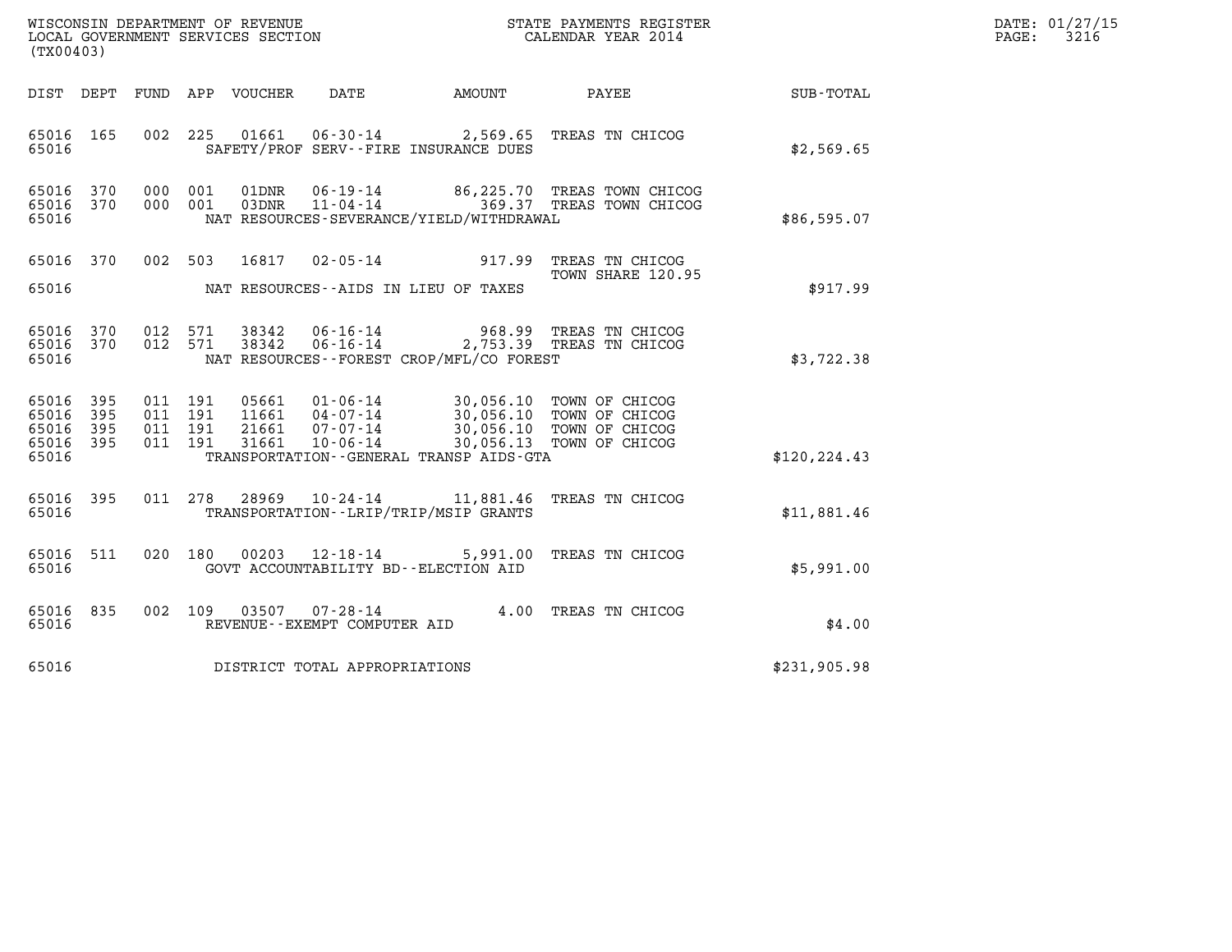| WISCONSIN DEPARTMENT OF REVENUE   | STATE PAYMENTS REGISTER | DATE: 01/27/15 |
|-----------------------------------|-------------------------|----------------|
| LOCAL GOVERNMENT SERVICES SECTION | CALENDAR YEAR 2014      | 3216<br>PAGE:  |

| (TX00403)                                                 |                                      |                                          | WISCONSIN DEPARTMENT OF REVENUE<br>LOCAL GOVERNMENT SERVICES SECTION<br>LOCAL GOVERNMENT SERVICES SECTION<br>CALENDAR YEAR 2014                                                                                                                                                                                                        |              | DATE: 01/27/15<br>$\mathtt{PAGE:}$<br>3216 |
|-----------------------------------------------------------|--------------------------------------|------------------------------------------|----------------------------------------------------------------------------------------------------------------------------------------------------------------------------------------------------------------------------------------------------------------------------------------------------------------------------------------|--------------|--------------------------------------------|
|                                                           |                                      |                                          | DIST DEPT FUND APP VOUCHER DATE AMOUNT PAYEE                                                                                                                                                                                                                                                                                           | SUB-TOTAL    |                                            |
| 65016 165<br>65016                                        |                                      | SAFETY/PROF SERV--FIRE INSURANCE DUES    | 002 225 01661 06-30-14 2,569.65 TREAS TN CHICOG                                                                                                                                                                                                                                                                                        | \$2,569.65   |                                            |
| 65016 370<br>65016 370<br>65016                           | 000 001 01DNR                        | NAT RESOURCES-SEVERANCE/YIELD/WITHDRAWAL | 06-19-14 86,225.70 TREAS TOWN CHICOG<br>000 001 03DNR 11-04-14 369.37 TREAS TOWN CHICOG                                                                                                                                                                                                                                                | \$86,595.07  |                                            |
| 65016                                                     | NAT RESOURCES--AIDS IN LIEU OF TAXES |                                          | 65016 370 002 503 16817 02-05-14 917.99 TREAS TN CHICOG<br>TOWN SHARE 120.95                                                                                                                                                                                                                                                           | \$917.99     |                                            |
| 65016 370<br>65016 370<br>65016                           | 012 571<br>012 571 38342             | NAT RESOURCES--FOREST CROP/MFL/CO FOREST | 38342   06-16-14   968.99   TREAS TN CHICOG<br>38342   06-16-14   2,753.39   TREAS TN CHICOG                                                                                                                                                                                                                                           | \$3,722.38   |                                            |
| 65016 395<br>65016 395<br>65016 395<br>65016 395<br>65016 |                                      | TRANSPORTATION--GENERAL TRANSP AIDS-GTA  | $\begin{array}{cccc} 011 & 191 & 05661 & 01\text{--}06\text{--}14 & 30,056.10 & \text{TOWN OF CHICOG} \\ 011 & 191 & 11661 & 04\text{--}07\text{--}14 & 30,056.10 & \text{TOWN OF CHICOG} \\ 011 & 191 & 21661 & 07\text{--}07\text{--}14 & 30,056.10 & \text{TOWN OF CHICOG} \\ 011 & 191 & 31661 & 10\text{--}06\text{--}14 & 30,05$ | \$120.224.43 |                                            |
| 65016 395<br>65016                                        |                                      | TRANSPORTATION - - LRIP/TRIP/MSIP GRANTS | 011  278  28969  10-24-14  11,881.46  TREAS TN CHICOG                                                                                                                                                                                                                                                                                  | \$11,881.46  |                                            |
| 65016 511<br>65016                                        | 020 180 00203 12-18-14               | GOVT ACCOUNTABILITY BD--ELECTION AID     | 5,991.00 TREAS TN CHICOG                                                                                                                                                                                                                                                                                                               | \$5,991.00   |                                            |
| 65016 835<br>65016                                        | REVENUE--EXEMPT COMPUTER AID         |                                          | 002 109 03507 07-28-14 4.00 TREAS TN CHICOG                                                                                                                                                                                                                                                                                            | \$4.00       |                                            |
|                                                           | 65016 DISTRICT TOTAL APPROPRIATIONS  |                                          |                                                                                                                                                                                                                                                                                                                                        | \$231,905.98 |                                            |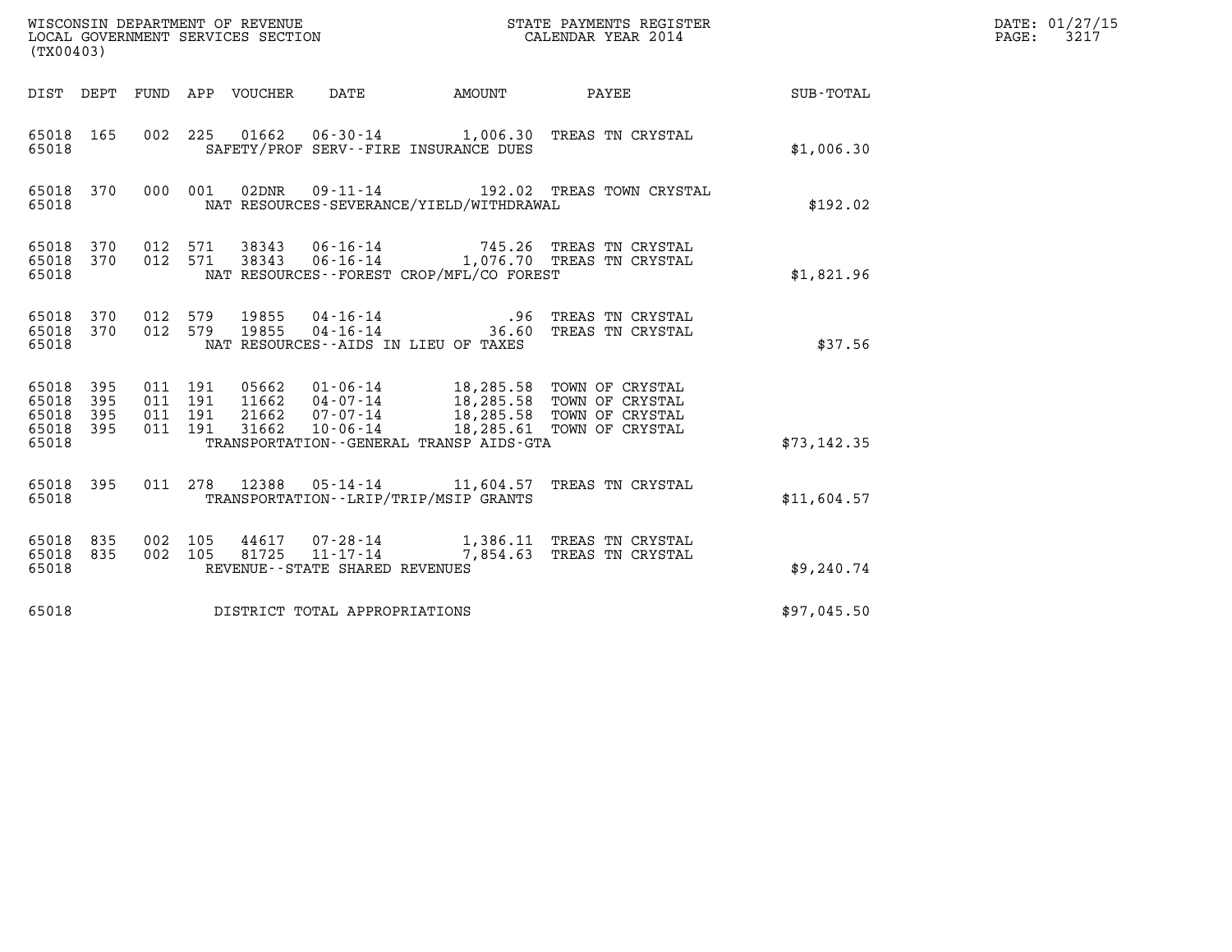| (TX00403)                                                                                                      | WISCONSIN DEPARTMENT OF REVENUE<br>LOCAL GOVERNMENT SERVICES SECTION                                                                                                                                                                | STATE PAYMENTS REGISTER<br>CALENDAR YEAR 2014 | DATE: 01/27/15<br>PAGE: 3217 |
|----------------------------------------------------------------------------------------------------------------|-------------------------------------------------------------------------------------------------------------------------------------------------------------------------------------------------------------------------------------|-----------------------------------------------|------------------------------|
|                                                                                                                | DIST DEPT FUND APP VOUCHER DATE                                                                                                                                                                                                     | AMOUNT PAYEE SUB-TOTAL                        |                              |
| 65018 165<br>65018                                                                                             | 002 225 01662 06-30-14 1,006.30 TREAS TN CRYSTAL<br>SAFETY/PROF SERV--FIRE INSURANCE DUES                                                                                                                                           | \$1,006.30                                    |                              |
| 65018 370<br>000 001<br>65018                                                                                  | 02DNR  09-11-14  192.02 TREAS TOWN CRYSTAL<br>NAT RESOURCES-SEVERANCE/YIELD/WITHDRAWAL                                                                                                                                              |                                               | \$192.02                     |
| 012 571<br>65018 370<br>012 571<br>65018 370<br>65018                                                          | 38343  06-16-14  745.26  TREAS TN CRYSTAL<br>38343  06-16-14  1,076.70  TREAS TN CRYSTAL<br>NAT RESOURCES--FOREST CROP/MFL/CO FOREST                                                                                                | \$1,821.96                                    |                              |
| 012 579<br>65018 370<br>012 579<br>65018 370<br>65018                                                          | NAT RESOURCES--AIDS IN LIEU OF TAXES                                                                                                                                                                                                |                                               | \$37.56                      |
| 011 191<br>65018 395<br>011 191<br>65018<br>395<br>011 191<br>65018<br>395<br>011 191<br>395<br>65018<br>65018 | 05662  01-06-14  18,285.58  TOWN OF CRYSTAL<br>11662  04-07-14  18,285.58  TOWN OF CRYSTAL<br>21662  07-07-14  18,285.58  TOWN OF CRYSTAL<br>31662  10-06-14  18,285.61  TOWN OF CRYSTAL<br>TRANSPORTATION--GENERAL TRANSP AIDS-GTA | \$73,142.35                                   |                              |
| 65018 395<br>65018                                                                                             | 011 278 12388 05-14-14 11,604.57 TREAS TN CRYSTAL<br>TRANSPORTATION - - LRIP/TRIP/MSIP GRANTS                                                                                                                                       | \$11,604.57                                   |                              |
| 65018 835<br>002 105<br>002 105<br>65018 835<br>65018                                                          | 44617  07-28-14   1,386.11   TREAS TN CRYSTAL<br>81725  11-17-14   7,854.63   TREAS TN CRYSTAL<br>REVENUE - - STATE SHARED REVENUES                                                                                                 | \$9,240.74                                    |                              |
| 65018                                                                                                          | DISTRICT TOTAL APPROPRIATIONS                                                                                                                                                                                                       | \$97,045.50                                   |                              |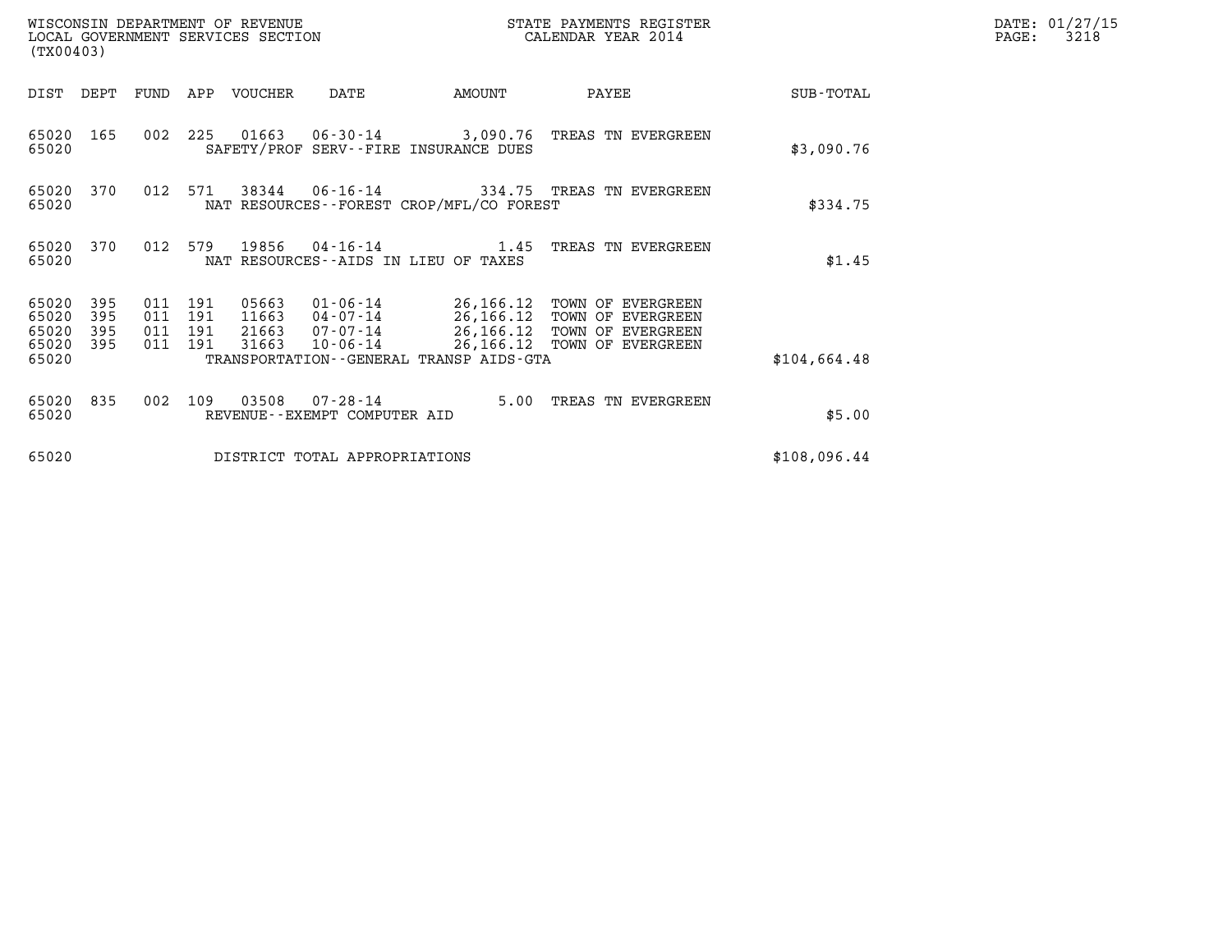|                                           | WISCONSIN DEPARTMENT OF REVENUE<br>STATE PAYMENTS REGISTER<br>CALENDAR YEAR 2014<br>LOCAL GOVERNMENT SERVICES SECTION<br>(TX00403) |                          |                          |                                  |                                                    |                                              |                                                                                                                          |              | DATE: 01/27/15<br>3218<br>$\mathtt{PAGE:}$ |
|-------------------------------------------|------------------------------------------------------------------------------------------------------------------------------------|--------------------------|--------------------------|----------------------------------|----------------------------------------------------|----------------------------------------------|--------------------------------------------------------------------------------------------------------------------------|--------------|--------------------------------------------|
| DIST DEPT                                 |                                                                                                                                    |                          |                          | FUND APP VOUCHER                 | DATE                                               | AMOUNT                                       | PAYEE                                                                                                                    | SUB-TOTAL    |                                            |
| 65020 165<br>65020                        |                                                                                                                                    | 002                      |                          |                                  |                                                    | SAFETY/PROF SERV--FIRE INSURANCE DUES        | 225 01663 06-30-14 3,090.76 TREAS TN EVERGREEN                                                                           | \$3,090.76   |                                            |
| 65020<br>65020                            | 370                                                                                                                                | 012                      | 571                      |                                  |                                                    | NAT RESOURCES - - FOREST CROP/MFL/CO FOREST  | 38344   06-16-14   334.75   TREAS TN EVERGREEN                                                                           | \$334.75     |                                            |
| 65020<br>65020                            | 370                                                                                                                                | 012                      | 579                      | 19856                            |                                                    | NAT RESOURCES - AIDS IN LIEU OF TAXES        | $04 - 16 - 14$ $1.45$ TREAS TN EVERGREEN                                                                                 | \$1.45       |                                            |
| 65020<br>65020<br>65020<br>65020<br>65020 | 395<br>395<br>395<br>395                                                                                                           | 011<br>011<br>011<br>011 | 191<br>191<br>191<br>191 | 05663<br>11663<br>21663<br>31663 | $01 - 06 - 14$<br>04-07-14<br>07-07-14<br>10-06-14 | TRANSPORTATION - - GENERAL TRANSP AIDS - GTA | 26,166.12 TOWN OF EVERGREEN<br>26,166.12 TOWN OF EVERGREEN<br>26,166.12 TOWN OF EVERGREEN<br>26,166.12 TOWN OF EVERGREEN | \$104,664.48 |                                            |
| 65020<br>65020                            | 835                                                                                                                                | 002                      | 109                      | 03508                            | $07 - 28 - 14$<br>REVENUE--EXEMPT COMPUTER AID     | 5.00                                         | TREAS TN EVERGREEN                                                                                                       | \$5.00       |                                            |
| 65020                                     |                                                                                                                                    |                          |                          |                                  | DISTRICT TOTAL APPROPRIATIONS                      |                                              |                                                                                                                          | \$108,096.44 |                                            |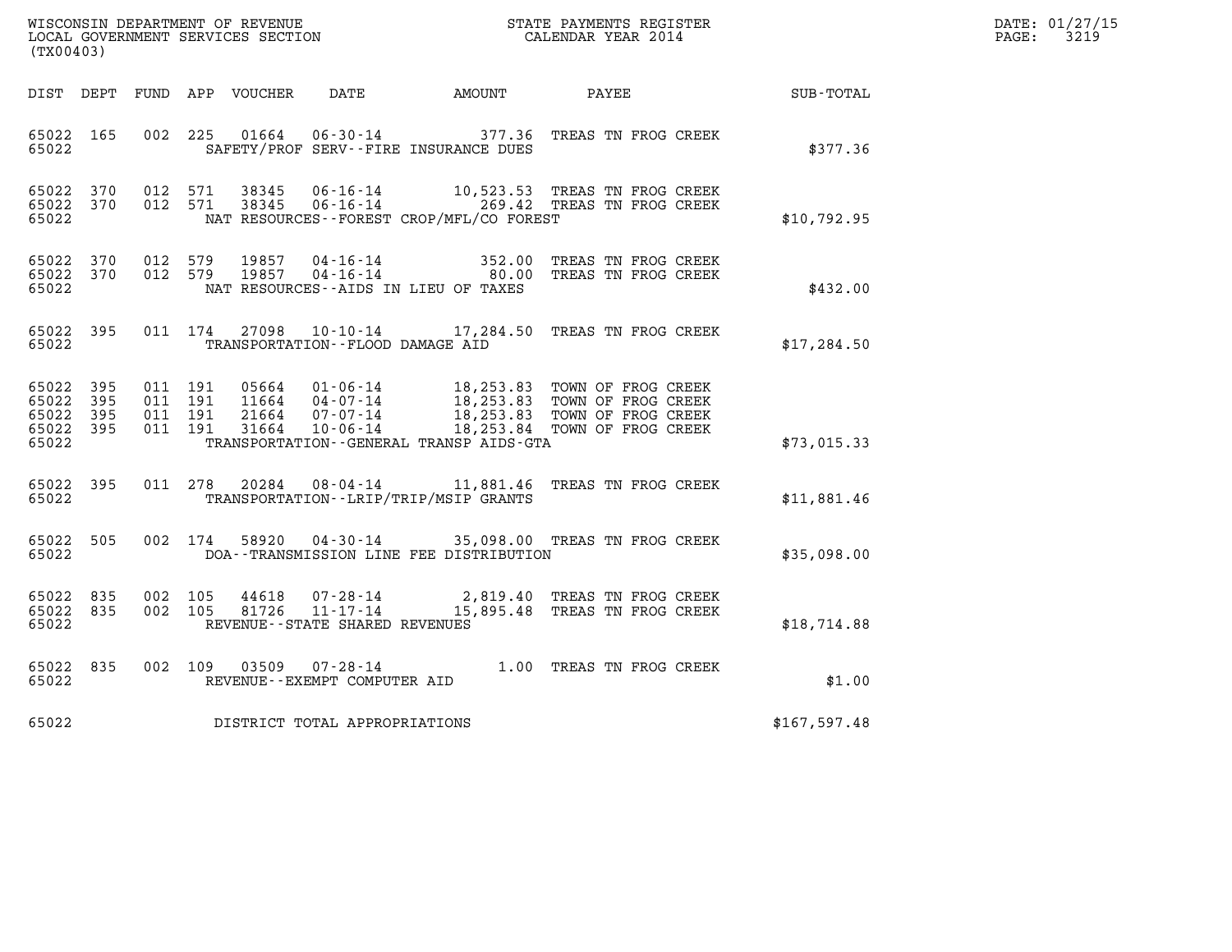| (TX00403)                                                 |                                                      |                                          | WISCONSIN DEPARTMENT OF REVENUE<br>LOCAL GOVERNMENT SERVICES SECTION<br>CALENDAR YEAR 2014                                                                                                           |              | DATE: 01/27/15<br>$\mathtt{PAGE:}$<br>3219 |
|-----------------------------------------------------------|------------------------------------------------------|------------------------------------------|------------------------------------------------------------------------------------------------------------------------------------------------------------------------------------------------------|--------------|--------------------------------------------|
|                                                           |                                                      |                                          | DIST DEPT FUND APP VOUCHER DATE AMOUNT PAYEE TOTAL                                                                                                                                                   |              |                                            |
| 65022 165<br>65022                                        | 002 225                                              | SAFETY/PROF SERV--FIRE INSURANCE DUES    | 01664  06-30-14  377.36  TREAS TN FROG CREEK                                                                                                                                                         | \$377.36     |                                            |
| 65022 370<br>65022 370<br>65022                           |                                                      | NAT RESOURCES--FOREST CROP/MFL/CO FOREST | 012 571 38345 06-16-14 10,523.53 TREAS TN FROG CREEK<br>012 571 38345 06-16-14 269.42 TREAS TN FROG CREEK                                                                                            | \$10,792.95  |                                            |
| 65022 370<br>65022 370<br>65022                           | 012 579<br>19857<br>012 579 19857                    | NAT RESOURCES--AIDS IN LIEU OF TAXES     | 04-16-14 352.00 TREAS TN FROG CREEK<br>04-16-14 04-16-14 80.00 TREAS TN FROG CREEK                                                                                                                   | \$432.00     |                                            |
| 65022 395<br>65022                                        | TRANSPORTATION--FLOOD DAMAGE AID                     |                                          | 011 174 27098 10-10-14 17,284.50 TREAS TN FROG CREEK                                                                                                                                                 | \$17, 284.50 |                                            |
| 65022 395<br>65022 395<br>65022 395<br>65022 395<br>65022 | 011 191<br>011 191<br>011 191<br>011 191             | TRANSPORTATION--GENERAL TRANSP AIDS-GTA  | 05664  01-06-14  18,253.83  TOWN OF FROG CREEK<br>11664  04-07-14  18,253.83  TOWN OF FROG CREEK<br>21664  07-07-14  18,253.83  TOWN OF FROG CREEK<br>31664  10-06-14  18,253.84  TOWN OF FROG CREEK | \$73,015.33  |                                            |
| 65022 395<br>65022                                        |                                                      | TRANSPORTATION - - LRIP/TRIP/MSIP GRANTS | 011  278  20284  08-04-14  11,881.46  TREAS TN FROG CREEK                                                                                                                                            | \$11,881.46  |                                            |
| 65022 505<br>65022                                        |                                                      | DOA--TRANSMISSION LINE FEE DISTRIBUTION  | 002 174 58920 04-30-14 35,098.00 TREAS TN FROG CREEK                                                                                                                                                 | \$35,098.00  |                                            |
| 65022 835<br>65022 835<br>65022                           | 002 105<br>002 105<br>REVENUE--STATE SHARED REVENUES |                                          | 44618  07-28-14  2,819.40 TREAS TN FROG CREEK<br>81726  11-17-14  15,895.48 TREAS TN FROG CREEK                                                                                                      | \$18,714.88  |                                            |
| 65022 835<br>65022                                        | 03509<br>002 109<br>REVENUE--EXEMPT COMPUTER AID     |                                          | 07-28-14 $1.00$ TREAS TN FROG CREEK                                                                                                                                                                  | \$1.00       |                                            |
|                                                           | 65022 DISTRICT TOTAL APPROPRIATIONS                  |                                          |                                                                                                                                                                                                      | \$167,597.48 |                                            |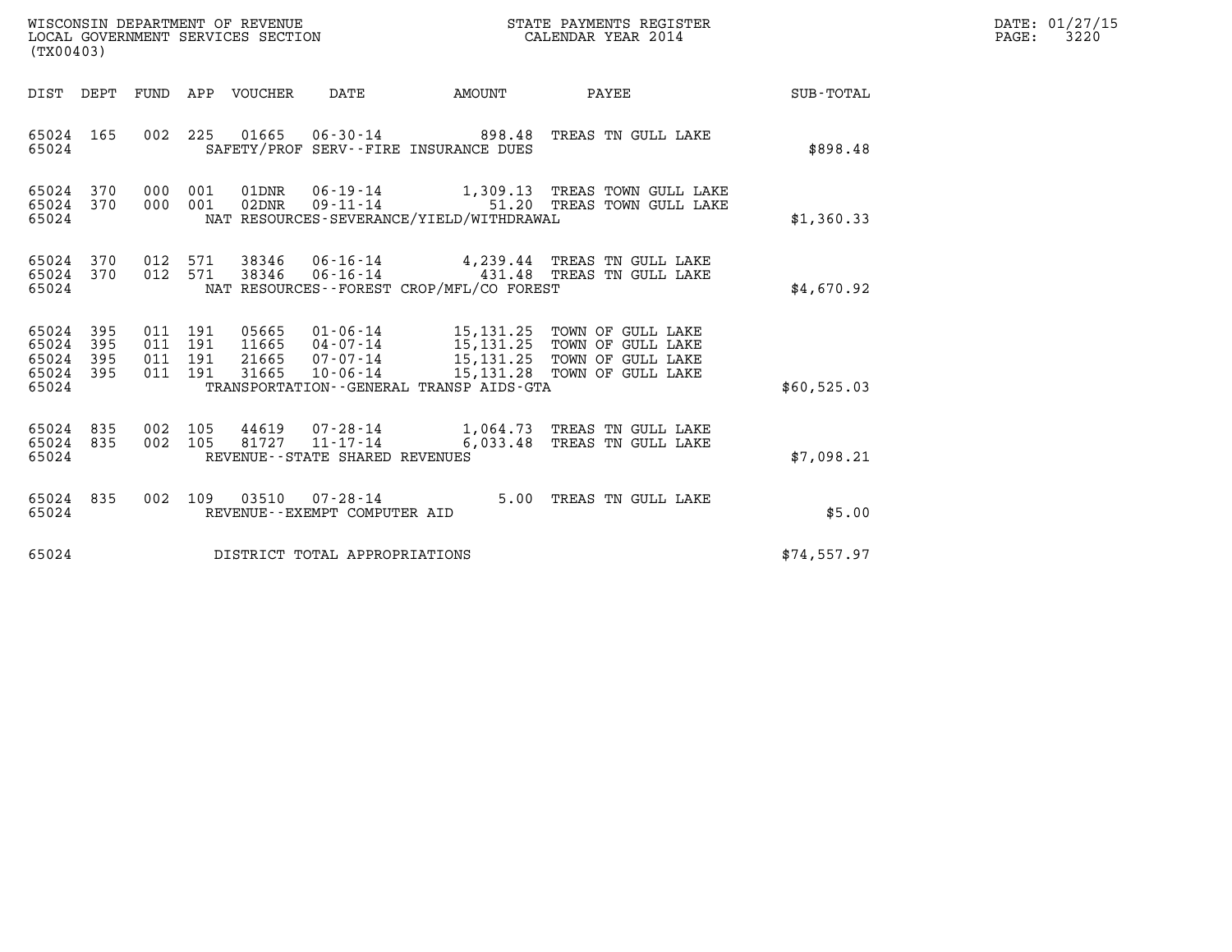| WISCONSIN DEPARTMENT OF REVENUE<br>LOCAL GOVERNMENT SERVICES SECTION<br>(TX00403) |            |                                          |  |                            |                                                        | STATE PAYMENTS REGISTER<br>CALENDAR YEAR 2014 |                                                                                                                                                                                                      |             | DATE: 01/27/15<br>3220<br>$\mathtt{PAGE:}$ |
|-----------------------------------------------------------------------------------|------------|------------------------------------------|--|----------------------------|--------------------------------------------------------|-----------------------------------------------|------------------------------------------------------------------------------------------------------------------------------------------------------------------------------------------------------|-------------|--------------------------------------------|
|                                                                                   |            |                                          |  | DIST DEPT FUND APP VOUCHER | DATE                                                   | AMOUNT                                        | PAYEE                                                                                                                                                                                                | SUB-TOTAL   |                                            |
| 65024 165<br>65024                                                                |            |                                          |  |                            |                                                        | SAFETY/PROF SERV--FIRE INSURANCE DUES         | 002 225 01665 06-30-14 898.48 TREAS TN GULL LAKE                                                                                                                                                     | \$898.48    |                                            |
| 65024 370<br>65024 370<br>65024                                                   |            | 000 001<br>000 001                       |  | 01DNR<br>02DNR             | $09 - 11 - 14$                                         | NAT RESOURCES-SEVERANCE/YIELD/WITHDRAWAL      | 06-19-14 1,309.13 TREAS TOWN GULL LAKE<br>51.20 TREAS TOWN GULL LAKE                                                                                                                                 | \$1,360.33  |                                            |
| 65024 370<br>65024 370<br>65024                                                   |            | 012 571<br>012 571                       |  | 38346<br>38346             | $06 - 16 - 14$<br>$06 - 16 - 14$                       | NAT RESOURCES - - FOREST CROP/MFL/CO FOREST   | 4,239.44 TREAS TN GULL LAKE<br>431.48 TREAS TN GULL LAKE                                                                                                                                             | \$4.670.92  |                                            |
| 65024<br>65024<br>65024 395<br>65024 395<br>65024                                 | 395<br>395 | 011 191<br>011 191<br>011 191<br>011 191 |  |                            |                                                        | TRANSPORTATION--GENERAL TRANSP AIDS-GTA       | 05665  01-06-14   15,131.25  TOWN OF GULL LAKE<br>11665  04-07-14   15,131.25  TOWN OF GULL LAKE<br>21665  07-07-14   15,131.25  TOWN OF GULL LAKE<br>31665  10-06-14   15,131.28  TOWN OF GULL LAKE | \$60,525.03 |                                            |
| 65024 835<br>65024 835<br>65024                                                   |            | 002 105<br>002 105                       |  | 81727                      | $11 - 17 - 14$<br>REVENUE - - STATE SHARED REVENUES    |                                               | 44619 07-28-14 1,064.73 TREAS TN GULL LAKE<br>6,033.48 TREAS TN GULL LAKE                                                                                                                            | \$7,098.21  |                                            |
| 65024 835<br>65024                                                                |            |                                          |  |                            | 002 109 03510 07-28-14<br>REVENUE--EXEMPT COMPUTER AID |                                               | 5.00 TREAS TN GULL LAKE                                                                                                                                                                              | \$5.00      |                                            |
| 65024                                                                             |            |                                          |  |                            | DISTRICT TOTAL APPROPRIATIONS                          |                                               |                                                                                                                                                                                                      | \$74,557.97 |                                            |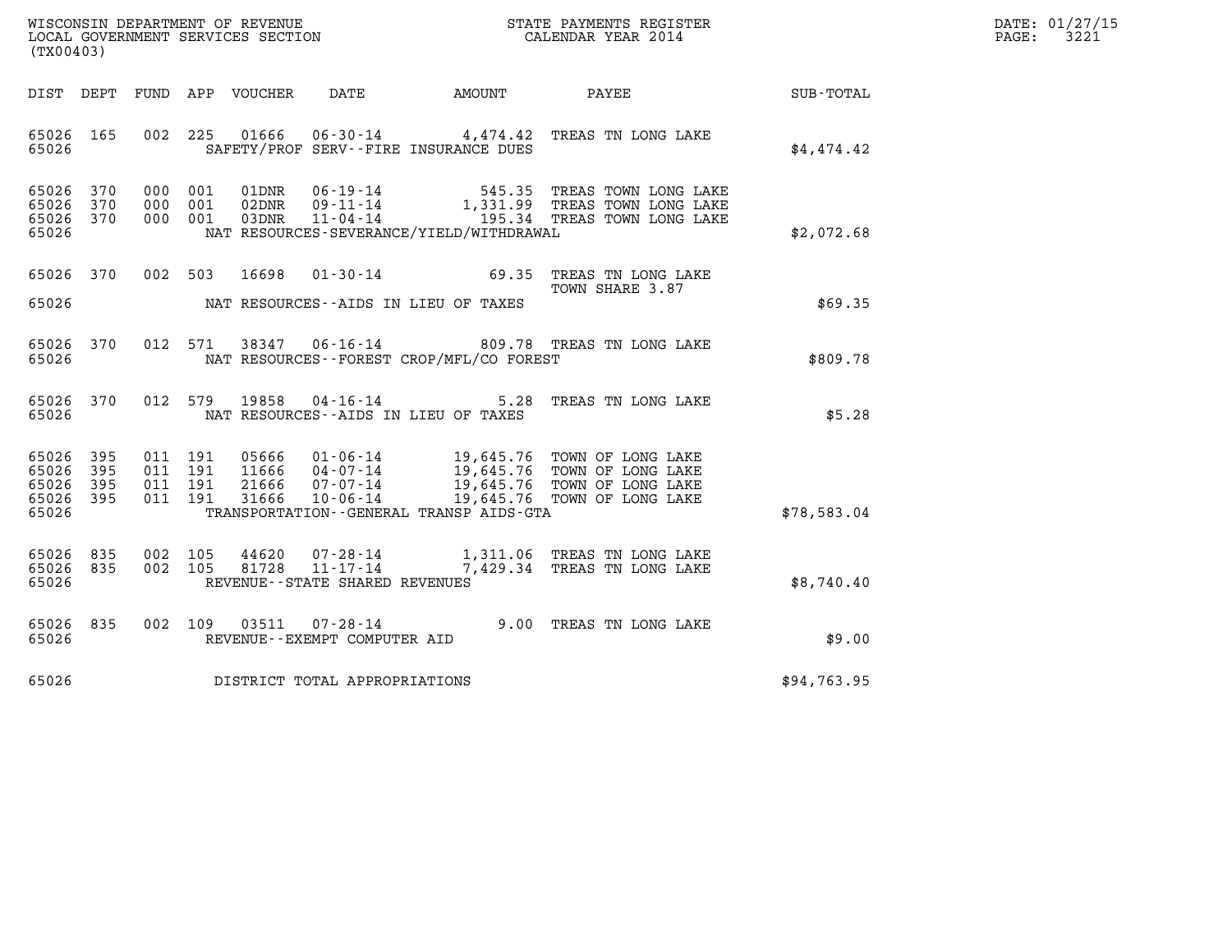| WISCONSIN DEPARTMENT OF REVENUE   | STATE PAYMENTS REGISTER | DATE: 01/27/15 |
|-----------------------------------|-------------------------|----------------|
| LOCAL GOVERNMENT SERVICES SECTION | CALENDAR YEAR 2014      | 3221<br>PAGE:  |

| (TX00403)                                                             |                          |                                                              |                                                                      |                                                    |                                                                                                                          |             |
|-----------------------------------------------------------------------|--------------------------|--------------------------------------------------------------|----------------------------------------------------------------------|----------------------------------------------------|--------------------------------------------------------------------------------------------------------------------------|-------------|
| DIST<br>DEPT                                                          |                          | FUND APP VOUCHER                                             | DATE                                                                 | AMOUNT                                             | PAYEE                                                                                                                    | SUB-TOTAL   |
| 65026<br>165<br>65026                                                 | 002                      | 225<br>01666                                                 |                                                                      | SAFETY/PROF SERV--FIRE INSURANCE DUES              | 06-30-14 4,474.42 TREAS TN LONG LAKE                                                                                     | \$4,474.42  |
| 370<br>65026<br>65026<br>370<br>65026<br>370<br>65026                 | 000<br>000<br>000        | 01DNR<br>001<br>001<br>02DNR<br>001<br>03DNR                 | 06-19-14<br>$09 - 11 - 14$<br>$11 - 04 - 14$                         | 545.35<br>NAT RESOURCES-SEVERANCE/YIELD/WITHDRAWAL | TREAS TOWN LONG LAKE<br>1,331.99 TREAS TOWN LONG LAKE<br>195.34 TREAS TOWN LONG LAKE                                     | \$2,072.68  |
| 65026<br>370<br>65026                                                 | 002                      | 503<br>16698                                                 | $01 - 30 - 14$                                                       | 69.35<br>NAT RESOURCES--AIDS IN LIEU OF TAXES      | TREAS TN LONG LAKE<br>TOWN SHARE 3.87                                                                                    | \$69.35     |
| 65026<br>65026                                                        | 370<br>012               | 571<br>38347                                                 |                                                                      | NAT RESOURCES - - FOREST CROP/MFL/CO FOREST        | 06-16-14 809.78 TREAS TN LONG LAKE                                                                                       | \$809.78    |
| 65026<br>65026                                                        | 012<br>370               | 19858<br>579                                                 | $04 - 16 - 14$                                                       | 5.28<br>NAT RESOURCES -- AIDS IN LIEU OF TAXES     | TREAS TN LONG LAKE                                                                                                       | \$5.28      |
| 65026<br>395<br>395<br>65026<br>65026<br>395<br>65026<br>395<br>65026 | 011<br>011<br>011<br>011 | 05666<br>191<br>191<br>11666<br>191<br>21666<br>191<br>31666 | $01 - 06 - 14$<br>01-06-14<br>04-07-14<br>07-07-14<br>$10 - 06 - 14$ | TRANSPORTATION - - GENERAL TRANSP AIDS - GTA       | 19,645.76 TOWN OF LONG LAKE<br>19,645.76 TOWN OF LONG LAKE<br>19,645.76 TOWN OF LONG LAKE<br>19,645.76 TOWN OF LONG LAKE | \$78,583.04 |
| 65026<br>835<br>65026<br>835<br>65026                                 | 002<br>002               | 105<br>44620<br>105<br>81728                                 | 07-28-14<br>$11 - 17 - 14$<br>REVENUE - - STATE SHARED REVENUES      |                                                    | 1,311.06 TREAS TN LONG LAKE<br>7,429.34 TREAS TN LONG LAKE                                                               | \$8,740.40  |
| 65026<br>835<br>65026                                                 | 002                      | 109<br>03511                                                 | $07 - 28 - 14$<br>REVENUE--EXEMPT COMPUTER AID                       | 9.00                                               | TREAS TN LONG LAKE                                                                                                       | \$9.00      |
| 65026                                                                 |                          |                                                              | DISTRICT TOTAL APPROPRIATIONS                                        |                                                    |                                                                                                                          | \$94,763.95 |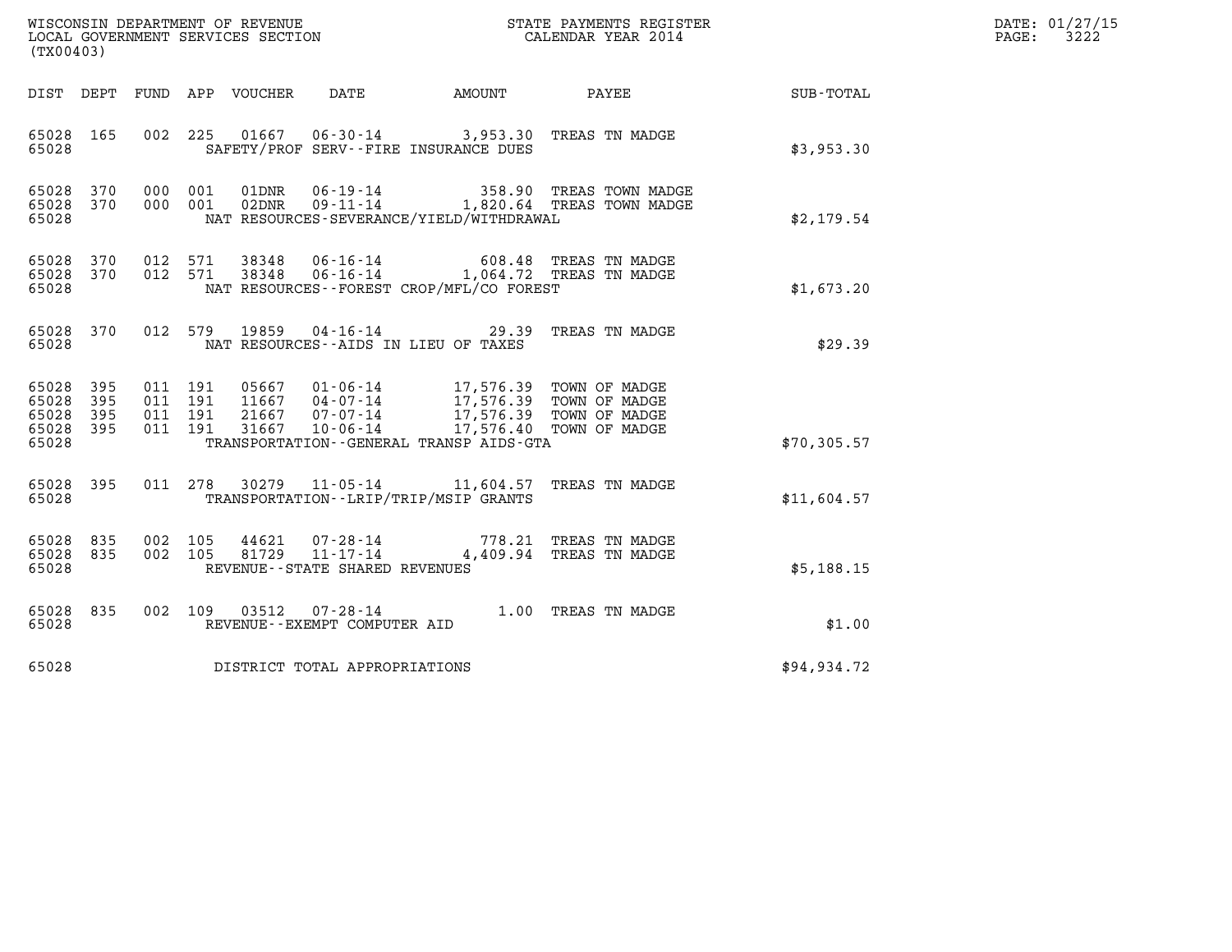| (TX00403)                                 |                            |                                          |         |                            |                                                              |                                                                                                                                                                                                                |                                                               |              | DATE: 01/27/15<br>PAGE:<br>3222 |
|-------------------------------------------|----------------------------|------------------------------------------|---------|----------------------------|--------------------------------------------------------------|----------------------------------------------------------------------------------------------------------------------------------------------------------------------------------------------------------------|---------------------------------------------------------------|--------------|---------------------------------|
|                                           |                            |                                          |         | DIST DEPT FUND APP VOUCHER | DATE                                                         | <b>AMOUNT</b>                                                                                                                                                                                                  | PAYEE                                                         | SUB-TOTAL    |                                 |
| 65028 165<br>65028                        |                            |                                          |         |                            |                                                              | 002 225 01667 06-30-14 3,953.30 TREAS TN MADGE<br>SAFETY/PROF SERV--FIRE INSURANCE DUES                                                                                                                        |                                                               | \$3,953.30   |                                 |
| 65028<br>65028<br>65028                   | 370<br>370                 | 000 001<br>000 001                       |         | 01DNR<br>02DNR             | $06 - 19 - 14$                                               | NAT RESOURCES-SEVERANCE/YIELD/WITHDRAWAL                                                                                                                                                                       | 358.90 TREAS TOWN MADGE<br>09-11-14 1,820.64 TREAS TOWN MADGE | \$2,179.54   |                                 |
| 65028 370<br>65028<br>65028               | 370                        | 012 571<br>012 571                       |         | 38348                      | 38348 06-16-14                                               | 06-16-14 1,064.72 TREAS TN MADGE<br>NAT RESOURCES--FOREST CROP/MFL/CO FOREST                                                                                                                                   | 608.48 TREAS TN MADGE                                         | \$1,673.20   |                                 |
| 65028 370<br>65028                        |                            | 012 579                                  |         | 19859                      |                                                              | 04-16-14 29.39 TREAS TN MADGE<br>NAT RESOURCES -- AIDS IN LIEU OF TAXES                                                                                                                                        |                                                               | \$29.39      |                                 |
| 65028<br>65028<br>65028<br>65028<br>65028 | 395<br>395<br>395<br>- 395 | 011 191<br>011 191<br>011 191<br>011 191 |         | 31667                      |                                                              | 05667 01-06-14 17,576.39 TOWN OF MADGE<br>11667 04-07-14 17,576.39 TOWN OF MADGE<br>21667 07-07-14 17,576.39 TOWN OF MADGE<br>10-06-14 17,576.40 TOWN OF MADGE<br>TRANSPORTATION - - GENERAL TRANSP AIDS - GTA |                                                               | \$70, 305.57 |                                 |
| 65028 395<br>65028                        |                            |                                          |         | 011 278 30279              |                                                              | 11-05-14 11,604.57 TREAS TN MADGE<br>TRANSPORTATION - - LRIP/TRIP/MSIP GRANTS                                                                                                                                  |                                                               | \$11,604.57  |                                 |
| 65028 835<br>65028<br>65028               | 835                        | 002 105<br>002 105                       |         | 44621<br>81729             | 07-28-14<br>$11 - 17 - 14$<br>REVENUE--STATE SHARED REVENUES |                                                                                                                                                                                                                | 778.21 TREAS TN MADGE<br>4,409.94 TREAS TN MADGE              | \$5,188.15   |                                 |
| 65028 835<br>65028                        |                            |                                          | 002 109 | 03512                      | 07-28-14<br>REVENUE--EXEMPT COMPUTER AID                     | 1.00 TREAS TN MADGE                                                                                                                                                                                            |                                                               | \$1.00       |                                 |
| 65028                                     |                            |                                          |         |                            | DISTRICT TOTAL APPROPRIATIONS                                |                                                                                                                                                                                                                |                                                               | \$94,934.72  |                                 |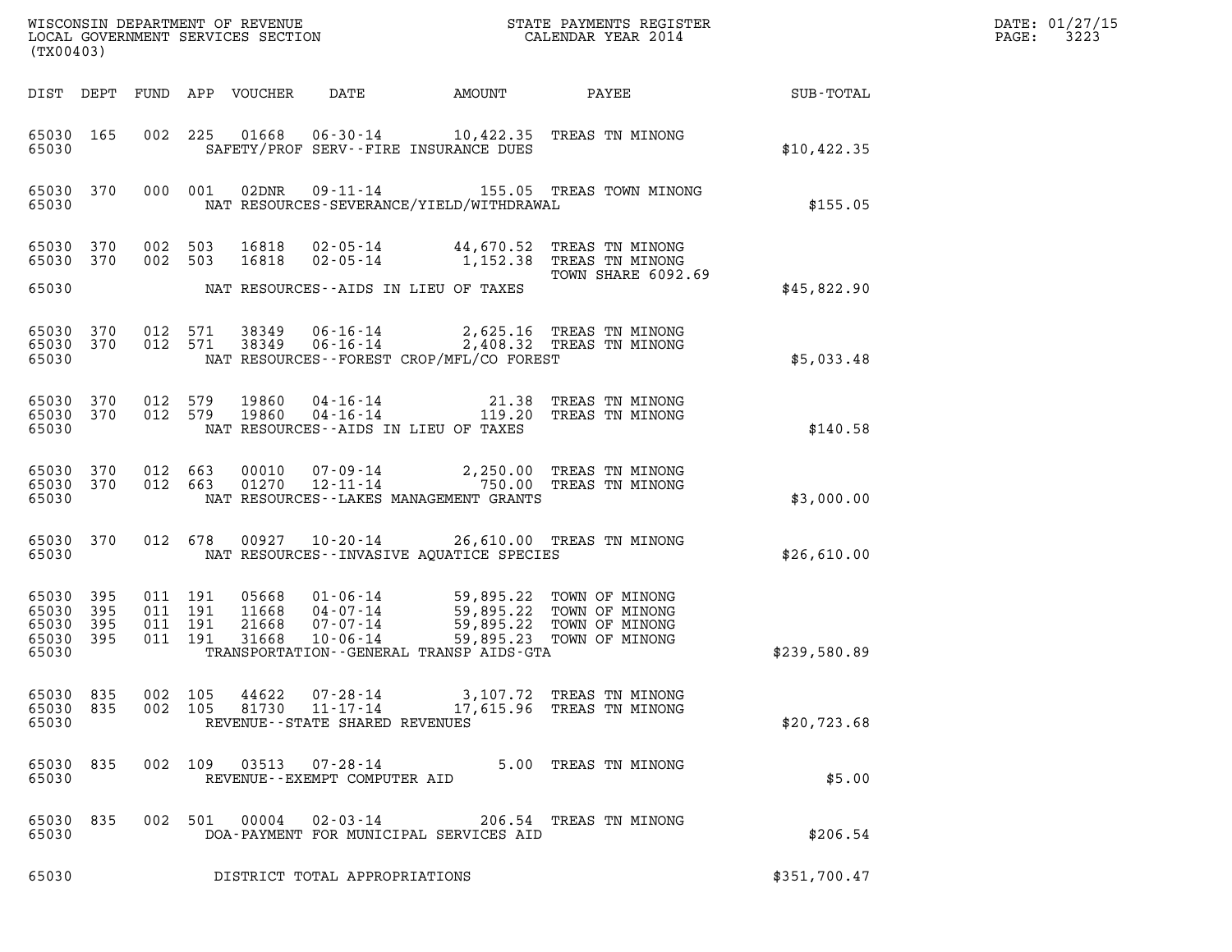| (TX00403)                                             |     |                                          |                                                                                                                                                                                                                                                               |              | DATE: 01/27/15<br>3223<br>$\mathtt{PAGE}$ : |
|-------------------------------------------------------|-----|------------------------------------------|---------------------------------------------------------------------------------------------------------------------------------------------------------------------------------------------------------------------------------------------------------------|--------------|---------------------------------------------|
|                                                       |     |                                          | DIST DEPT FUND APP VOUCHER<br>DATE<br>AMOUNT<br>PAYEE FOR THE STATE OF THE STATE OF THE STATE OF THE STATE OF THE STATE OF THE STATE OF THE STATE OF THE STATE                                                                                                | SUB-TOTAL    |                                             |
| 65030 165<br>65030                                    |     |                                          | 002 225 01668 06-30-14 10,422.35 TREAS TN MINONG<br>SAFETY/PROF SERV--FIRE INSURANCE DUES                                                                                                                                                                     | \$10,422.35  |                                             |
| 65030 370<br>65030                                    |     | 000 001                                  | 02DNR<br>09-11-14 155.05 TREAS TOWN MINONG<br>NAT RESOURCES-SEVERANCE/YIELD/WITHDRAWAL                                                                                                                                                                        | \$155.05     |                                             |
| 65030 370<br>65030 370                                |     | 002 503<br>002 503                       | 16818<br>02-05-14 44,670.52 TREAS TN MINONG<br>16818<br>02-05-14 1,152.38 TREAS TN MINONG<br>TOWN SHARE 6092.69                                                                                                                                               |              |                                             |
| 65030                                                 |     |                                          | NAT RESOURCES--AIDS IN LIEU OF TAXES                                                                                                                                                                                                                          | \$45,822.90  |                                             |
| 65030 370<br>65030 370<br>65030                       |     | 012 571<br>012 571                       | $06 - 16 - 14$<br>2,625.16 TREAS TN MINONG<br>38349<br>$06 - 16 - 14$<br>38349<br>2,408.32 TREAS TN MINONG<br>NAT RESOURCES--FOREST CROP/MFL/CO FOREST                                                                                                        | \$5,033.48   |                                             |
| 65030 370<br>65030 370<br>65030                       |     | 012 579<br>012 579                       | 19860<br>04-16-14 21.38 TREAS TN MINONG<br>04-16-14 119.20 TREAS TN MINONG<br>19860<br>NAT RESOURCES--AIDS IN LIEU OF TAXES                                                                                                                                   | \$140.58     |                                             |
| 65030 370 012 663<br>65030 370<br>65030               |     | 012 663                                  | 07-09-14 2,250.00 TREAS TN MINONG<br>12-11-14 750.00 TREAS TN MINONG<br>00010<br>01270<br>NAT RESOURCES - - LAKES MANAGEMENT GRANTS                                                                                                                           | \$3,000.00   |                                             |
| 65030 370<br>65030                                    |     |                                          | 012 678 00927 10-20-14 26,610.00 TREAS TN MINONG<br>NAT RESOURCES -- INVASIVE AOUATICE SPECIES                                                                                                                                                                | \$26,610.00  |                                             |
| 65030 395<br>65030 395<br>65030<br>65030 395<br>65030 | 395 | 011 191<br>011 191<br>011 191<br>011 191 | 05668<br>01-06-14 59,895.22 TOWN OF MINONG<br>04-07-14 59,895.22 TOWN OF MINONG<br>07-07-14 59,895.22 TOWN OF MINONG<br>11668 04-07-14<br>21668<br>07-07-14<br>31668<br>$10 - 06 - 14$<br>59,895.23 TOWN OF MINONG<br>TRANSPORTATION--GENERAL TRANSP AIDS-GTA | \$239,580.89 |                                             |
| 65030 835<br>65030 835<br>65030                       |     | 002 105<br>002 105                       | 44622<br>07-28-14<br>3,107.72 TREAS TN MINONG<br>81730<br>$11 - 17 - 14$<br>17,615.96 TREAS TN MINONG<br>REVENUE - - STATE SHARED REVENUES                                                                                                                    | \$20,723.68  |                                             |
| 65030<br>65030                                        | 835 | 002 109                                  | $07 - 28 - 14$<br>5.00 TREAS TN MINONG<br>03513<br>REVENUE--EXEMPT COMPUTER AID                                                                                                                                                                               | \$5.00       |                                             |
| 65030<br>65030                                        | 835 | 002 501                                  | 00004<br>02-03-14<br>206.54 TREAS TN MINONG<br>DOA-PAYMENT FOR MUNICIPAL SERVICES AID                                                                                                                                                                         | \$206.54     |                                             |
| 65030                                                 |     |                                          | DISTRICT TOTAL APPROPRIATIONS                                                                                                                                                                                                                                 | \$351,700.47 |                                             |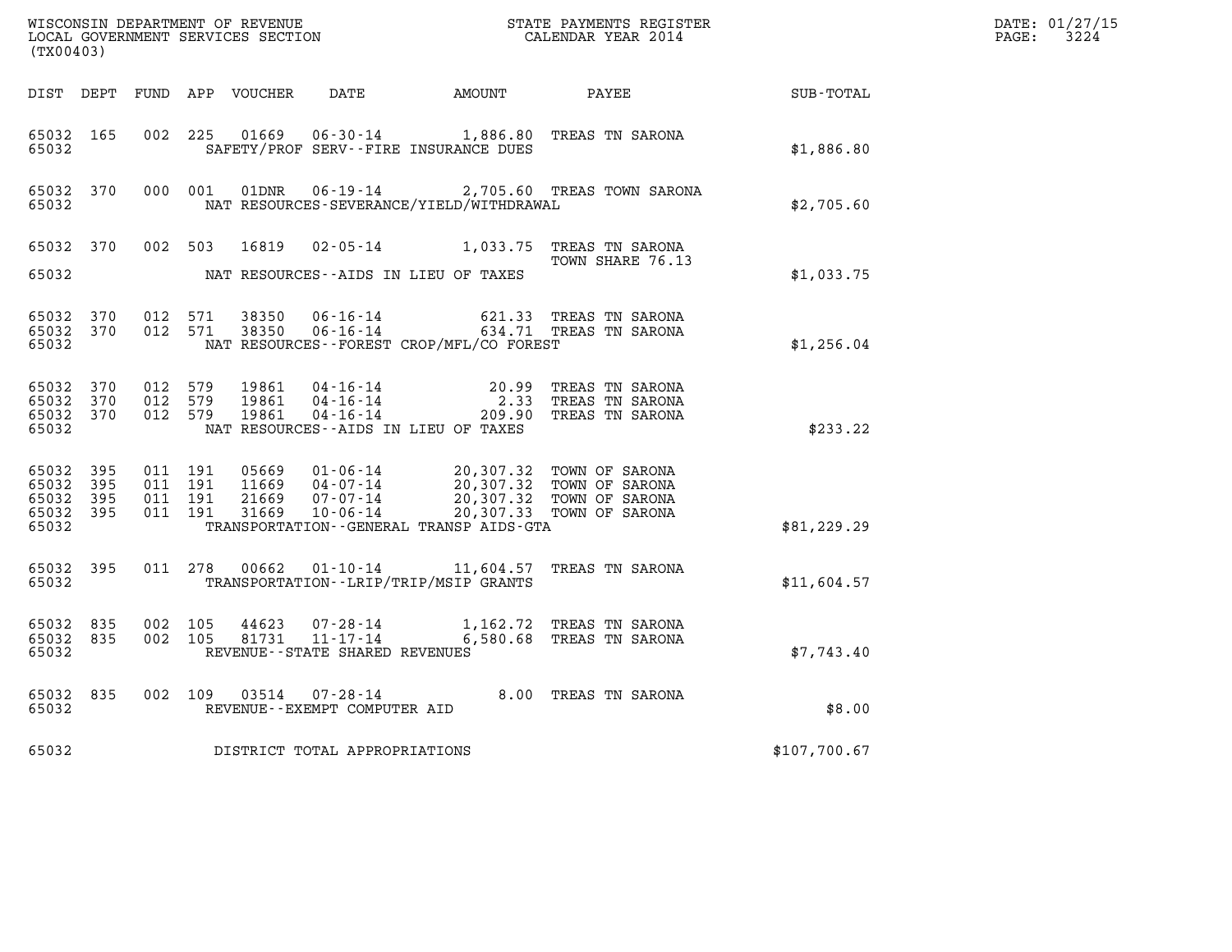| (TX00403)                       |           |                                         |                               |                                   |                                          | %WISCONSIN DEPARTMENT OF REVENUE $$\tt STATE~PAYMEMTS~REGISTER~LOCAL~GOVERNMEMST~SERVICES~SECTION~CALENDAR~YEAR~2014$                                                                |              | DATE: 01/27/15<br>$\mathtt{PAGE:}$<br>3224 |
|---------------------------------|-----------|-----------------------------------------|-------------------------------|-----------------------------------|------------------------------------------|--------------------------------------------------------------------------------------------------------------------------------------------------------------------------------------|--------------|--------------------------------------------|
|                                 |           |                                         |                               |                                   |                                          | DIST DEPT FUND APP VOUCHER DATE AMOUNT PAYEE TOTAL                                                                                                                                   |              |                                            |
| 65032 165<br>65032              |           |                                         |                               |                                   | SAFETY/PROF SERV--FIRE INSURANCE DUES    | 002 225 01669 06-30-14 1,886.80 TREAS TN SARONA                                                                                                                                      | \$1,886.80   |                                            |
| 65032                           |           |                                         |                               |                                   | NAT RESOURCES-SEVERANCE/YIELD/WITHDRAWAL | 65032 370 000 001 01DNR 06-19-14 2,705.60 TREAS TOWN SARONA                                                                                                                          | \$2,705.60   |                                            |
| 65032                           |           |                                         |                               |                                   | NAT RESOURCES--AIDS IN LIEU OF TAXES     | 65032 370 002 503 16819 02-05-14 1,033.75 TREAS TN SARONA<br>TOWN SHARE 76.13<br>TOWN SHARE 76.13                                                                                    | \$1,033.75   |                                            |
| 65032 370<br>65032              |           | 65032 370 012 571                       | 012 571                       |                                   | NAT RESOURCES--FOREST CROP/MFL/CO FOREST |                                                                                                                                                                                      | \$1,256.04   |                                            |
| 65032 370<br>65032 370<br>65032 |           | 65032 370 012 579<br>012 579<br>012 579 |                               |                                   | NAT RESOURCES--AIDS IN LIEU OF TAXES     | 19861  04-16-14  20.99 TREAS TN SARONA<br>19861  04-16-14  2.33 TREAS TN SARONA<br>19861  04-16-14  209.90 TREAS TN SARONA                                                           | \$233.22     |                                            |
| 65032 395<br>65032 395<br>65032 | 65032 395 | 65032 395 011 191                       | 011 191<br>011 191<br>011 191 |                                   | TRANSPORTATION--GENERAL TRANSP AIDS-GTA  | 05669  01-06-14  20,307.32  TOWN OF SARONA<br>11669  04-07-14  20,307.32  TOWN OF SARONA<br>21669  07-07-14  20,307.32  TOWN OF SARONA<br>31669  10-06-14  20,307.33  TOWN OF SARONA | \$81, 229.29 |                                            |
|                                 |           | 65032 and the state of $\sim$           |                               |                                   | TRANSPORTATION - - LRIP/TRIP/MSIP GRANTS | 65032 395 011 278 00662 01-10-14 11,604.57 TREAS TN SARONA                                                                                                                           | \$11,604.57  |                                            |
| 65032 835<br>65032              |           | 65032 835 002 105                       | 002 105                       | REVENUE - - STATE SHARED REVENUES |                                          | $\begin{array}{cccc} 44623 & 07\text{-}28\text{-}14 & 1,162.72 & \text{TREAS TN SARONA} \\ 81731 & 11\text{-}17\text{-}14 & 6,580.68 & \text{TREAS TN SARONA} \end{array}$           | \$7,743.40   |                                            |
|                                 |           | 65032 and the state of $\sim$           |                               | REVENUE--EXEMPT COMPUTER AID      |                                          | 65032 835 002 109 03514 07-28-14 8.00 TREAS TN SARONA                                                                                                                                | \$8.00       |                                            |
| 65032                           |           |                                         |                               | DISTRICT TOTAL APPROPRIATIONS     |                                          |                                                                                                                                                                                      | \$107,700.67 |                                            |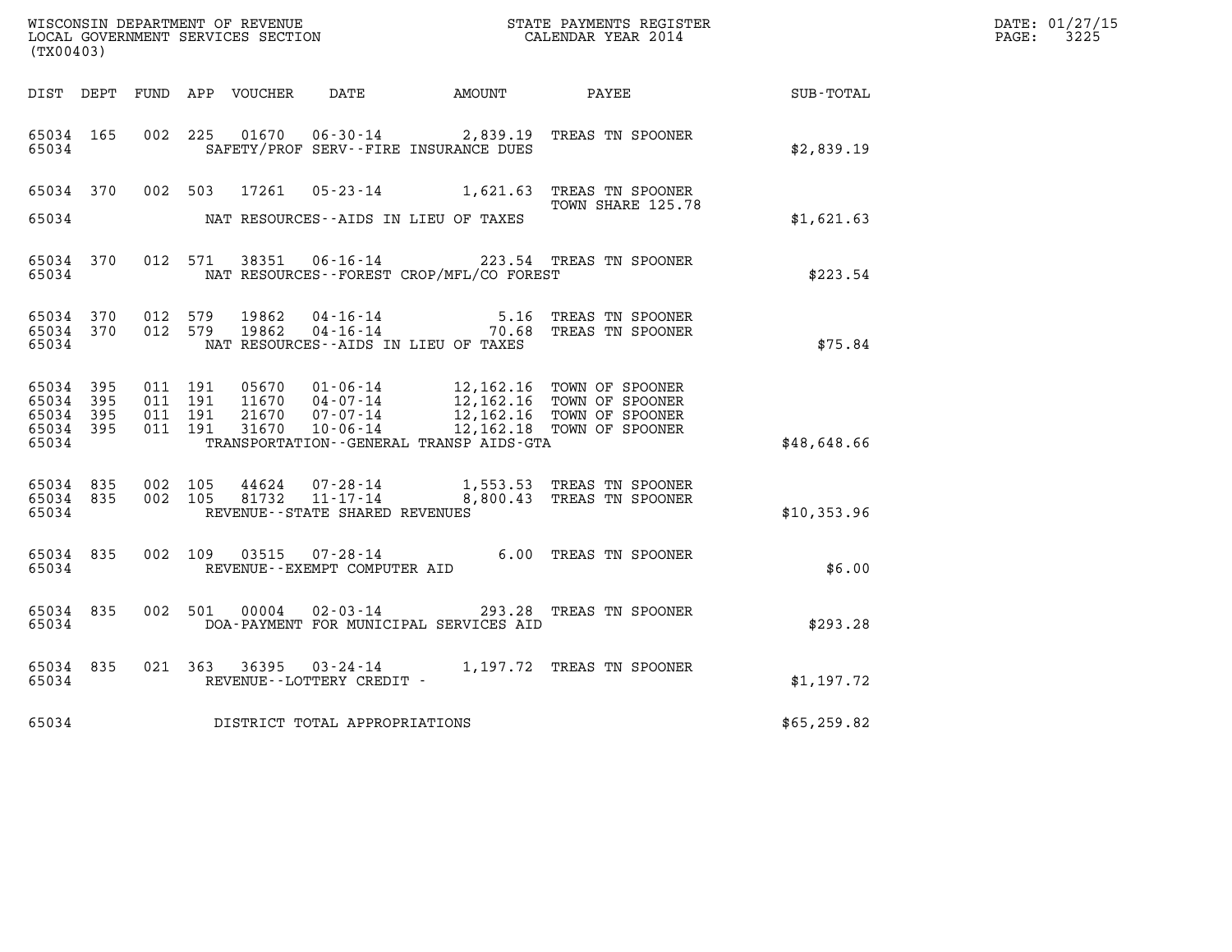| WISCONSIN DEPARTMENT OF REVENUE   | STATE PAYMENTS REGISTER | DATE: 01/27/15 |
|-----------------------------------|-------------------------|----------------|
| LOCAL GOVERNMENT SERVICES SECTION | CALENDAR YEAR 2014      | 3225<br>PAGE:  |

|                                           | WISCONSIN DEPARTMENT OF REVENUE<br>LOCAL GOVERNMENT SERVICES SECTION<br>(TX00403) |                          |                          |                                  |                                                                       |                                              | STATE PAYMENTS REGISTER<br>CALENDAR YEAR 2014                                                                    |              |
|-------------------------------------------|-----------------------------------------------------------------------------------|--------------------------|--------------------------|----------------------------------|-----------------------------------------------------------------------|----------------------------------------------|------------------------------------------------------------------------------------------------------------------|--------------|
| DIST                                      | DEPT                                                                              | FUND                     | APP                      | VOUCHER                          | DATE                                                                  | AMOUNT                                       | PAYEE                                                                                                            | SUB-TOTAL    |
| 65034<br>65034                            | 165                                                                               | 002                      | 225                      | 01670                            | SAFETY/PROF SERV--FIRE INSURANCE DUES                                 | $06 - 30 - 14$ 2,839.19                      | TREAS TN SPOONER                                                                                                 | \$2,839.19   |
| 65034                                     | 370                                                                               | 002                      | 503                      | 17261                            | $05 - 23 - 14$                                                        | 1,621.63                                     | TREAS TN SPOONER<br>TOWN SHARE 125.78                                                                            |              |
| 65034                                     |                                                                                   |                          |                          |                                  | NAT RESOURCES -- AIDS IN LIEU OF TAXES                                |                                              |                                                                                                                  | \$1,621.63   |
| 65034<br>65034                            | 370                                                                               |                          | 012 571                  | 38351                            | $06 - 16 - 14$                                                        | NAT RESOURCES -- FOREST CROP/MFL/CO FOREST   | 223.54 TREAS TN SPOONER                                                                                          | \$223.54     |
| 65034<br>65034<br>65034                   | 370<br>370                                                                        | 012<br>012               | 579<br>579               | 19862<br>19862                   | 04 - 16 - 14<br>04 - 16 - 14<br>NAT RESOURCES - AIDS IN LIEU OF TAXES | 5.16<br>70.68                                | TREAS TN SPOONER<br>TREAS TN SPOONER                                                                             | \$75.84      |
| 65034<br>65034<br>65034<br>65034<br>65034 | 395<br>395<br>395<br>395                                                          | 011<br>011<br>011<br>011 | 191<br>191<br>191<br>191 | 05670<br>11670<br>21670<br>31670 | $01 - 06 - 14$<br>$04 - 07 - 14$<br>$07 - 07 - 14$<br>$10 - 06 - 14$  | TRANSPORTATION - - GENERAL TRANSP AIDS - GTA | 12,162.16 TOWN OF SPOONER<br>12,162.16 TOWN OF SPOONER<br>12,162.16 TOWN OF SPOONER<br>12,162.18 TOWN OF SPOONER | \$48,648.66  |
| 65034<br>65034<br>65034                   | 835<br>835                                                                        | 002<br>002               | 105<br>105               | 44624<br>81732                   | $07 - 28 - 14$<br>$11 - 17 - 14$<br>REVENUE - - STATE SHARED REVENUES | 8,800.43                                     | 1,553.53 TREAS TN SPOONER<br>TREAS TN SPOONER                                                                    | \$10,353.96  |
| 65034<br>65034                            | 835                                                                               | 002                      | 109                      | 03515                            | $07 - 28 - 14$<br>REVENUE--EXEMPT COMPUTER AID                        |                                              | 6.00 TREAS TN SPOONER                                                                                            | \$6.00       |
| 65034<br>65034                            | 835                                                                               | 002                      | 501                      | 00004                            | $02 - 03 - 14$                                                        | DOA-PAYMENT FOR MUNICIPAL SERVICES AID       | 293.28 TREAS TN SPOONER                                                                                          | \$293.28     |
| 65034<br>65034                            | 835                                                                               | 021                      | 363                      | 36395                            | $03 - 24 - 14$<br>REVENUE--LOTTERY CREDIT -                           |                                              | 1,197.72 TREAS TN SPOONER                                                                                        | \$1,197.72   |
| 65034                                     |                                                                                   |                          |                          |                                  | DISTRICT TOTAL APPROPRIATIONS                                         |                                              |                                                                                                                  | \$65, 259.82 |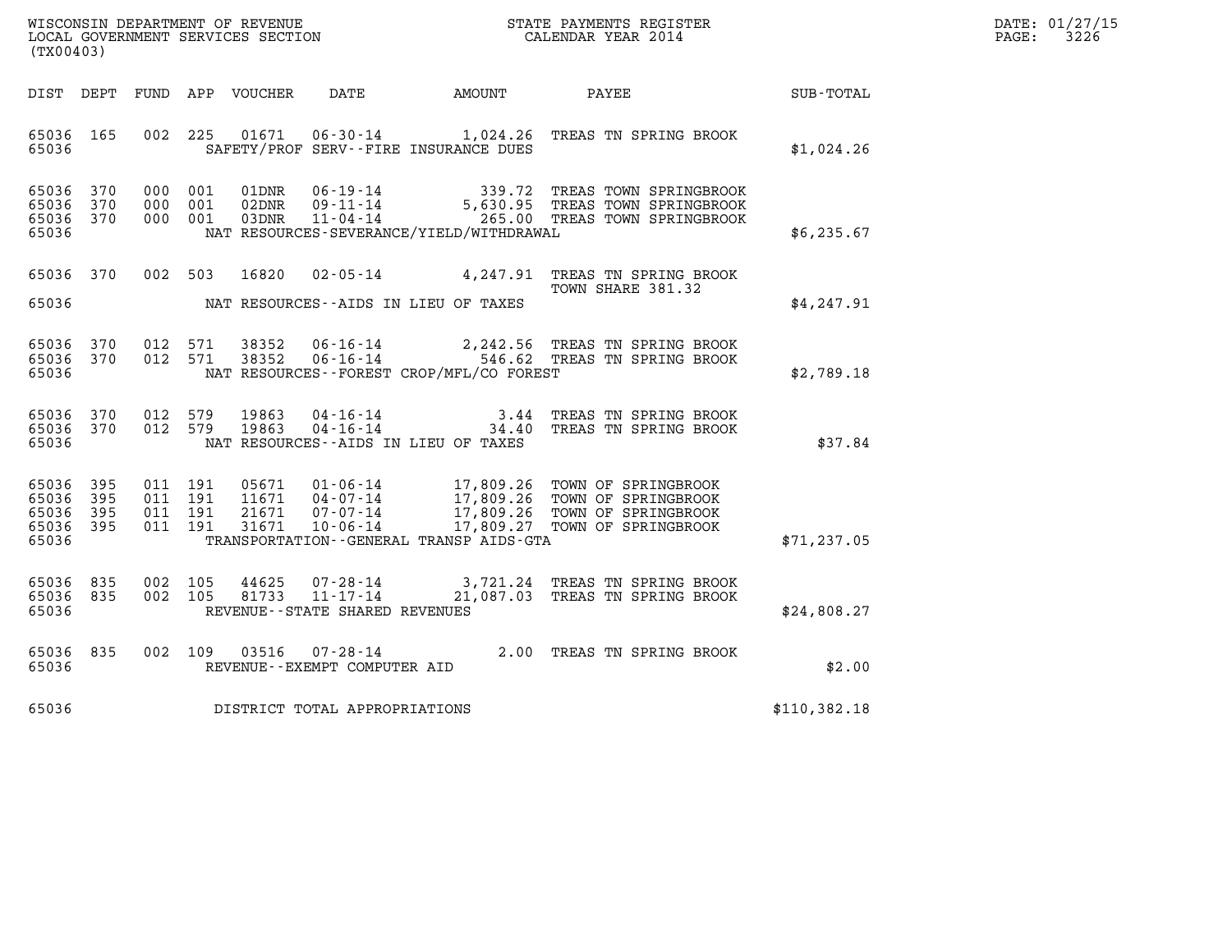| WISCONSIN DEPARTMENT OF REVENUE   | STATE PAYMENTS REGISTER | DATE: 01/27/15 |
|-----------------------------------|-------------------------|----------------|
| LOCAL GOVERNMENT SERVICES SECTION | CALENDAR YEAR 2014      | 3226<br>PAGE:  |

| WISCONSIN DEPARTMENT OF REVENUE<br>LOCAL GOVERNMENT SERVICES SECTION<br>(TYO0403)<br>(TX00403) |  |  |  |  |                                     |                                             |                                                                                                                                                                                                                                                                            | $\mathbb{E} \mathbf{R}$ | DATE: 01/27/15<br>$\mathtt{PAGE:}$<br>3226 |
|------------------------------------------------------------------------------------------------|--|--|--|--|-------------------------------------|---------------------------------------------|----------------------------------------------------------------------------------------------------------------------------------------------------------------------------------------------------------------------------------------------------------------------------|-------------------------|--------------------------------------------|
|                                                                                                |  |  |  |  |                                     |                                             | DIST DEPT FUND APP VOUCHER DATE AMOUNT PAYEE                                                                                                                                                                                                                               | SUB-TOTAL               |                                            |
| 65036 165<br>65036                                                                             |  |  |  |  |                                     | SAFETY/PROF SERV--FIRE INSURANCE DUES       | 002 225 01671 06-30-14 1,024.26 TREAS TN SPRING BROOK                                                                                                                                                                                                                      | \$1,024.26              |                                            |
| 65036 370<br>65036 370<br>65036 370<br>65036                                                   |  |  |  |  |                                     | NAT RESOURCES-SEVERANCE/YIELD/WITHDRAWAL    | 000 001 01DNR 06-19-14 339.72 TREAS TOWN SPRINGBROOK<br>000 001 02DNR 09-11-14 5,630.95 TREAS TOWN SPRINGBROOK<br>000 001 03DNR 11-04-14 265.00 TREAS TOWN SPRINGBROOK                                                                                                     | \$6,235.67              |                                            |
| 65036                                                                                          |  |  |  |  |                                     | NAT RESOURCES--AIDS IN LIEU OF TAXES        | 65036 370 002 503 16820 02-05-14 4,247.91 TREAS TN SPRING BROOK                                                                                                                                                                                                            | \$4,247.91              |                                            |
| 65036 370<br>65036 370<br>65036                                                                |  |  |  |  |                                     | NAT RESOURCES - - FOREST CROP/MFL/CO FOREST | 012 571 38352 06-16-14 2,242.56 TREAS TN SPRING BROOK<br>012 571 38352 06-16-14 546.62 TREAS TN SPRING BROOK                                                                                                                                                               | \$2,789.18              |                                            |
| 65036                                                                                          |  |  |  |  |                                     | NAT RESOURCES--AIDS IN LIEU OF TAXES        | $\begin{array}{cccccc} 65036 & 370 & 012 & 579 & 19863 & 04\cdot 16\cdot 14 & & & & 3.44 & \text{TREAS TN SPRING BROOK} \\ 65036 & 370 & 012 & 579 & 19863 & 04\cdot 16\cdot 14 & & & & 34.40 & \text{TREAS TN SPRING BROOK} \end{array}$                                  | \$37.84                 |                                            |
| 65036 395<br>65036 395<br>65036 395<br>65036 395<br>65036                                      |  |  |  |  |                                     |                                             | 011 191 05671 01-06-14 17,809.26 TOWN OF SPRINGBROOK<br>011 191 11671 04-07-14 17,809.26 TOWN OF SPRINGBROOK<br>011 191 31671 10-06-14 17,809.26 TOWN OF SPRINGBROOK<br>011 191 31671 10-06-14 17,809.27 TOWN OF SPRINGBROOK<br>TRANSPORTATION - GENERAL TRANSP AIDS - GTA | \$71, 237.05            |                                            |
| 65036 835<br>65036 835<br>65036                                                                |  |  |  |  | REVENUE - - STATE SHARED REVENUES   |                                             | 002 105 44625 07-28-14 3,721.24 TREAS TN SPRING BROOK<br>002 105 81733 11-17-14 21,087.03 TREAS TN SPRING BROOK                                                                                                                                                            | \$24,808.27             |                                            |
| 65036 835<br>65036                                                                             |  |  |  |  |                                     |                                             | 002 109 03516 07-28-14 2.00 TREAS TN SPRING BROOK<br>REVENUE--EXEMPT COMPUTER AID                                                                                                                                                                                          | \$2.00                  |                                            |
|                                                                                                |  |  |  |  | 65036 DISTRICT TOTAL APPROPRIATIONS |                                             |                                                                                                                                                                                                                                                                            | \$110,382.18            |                                            |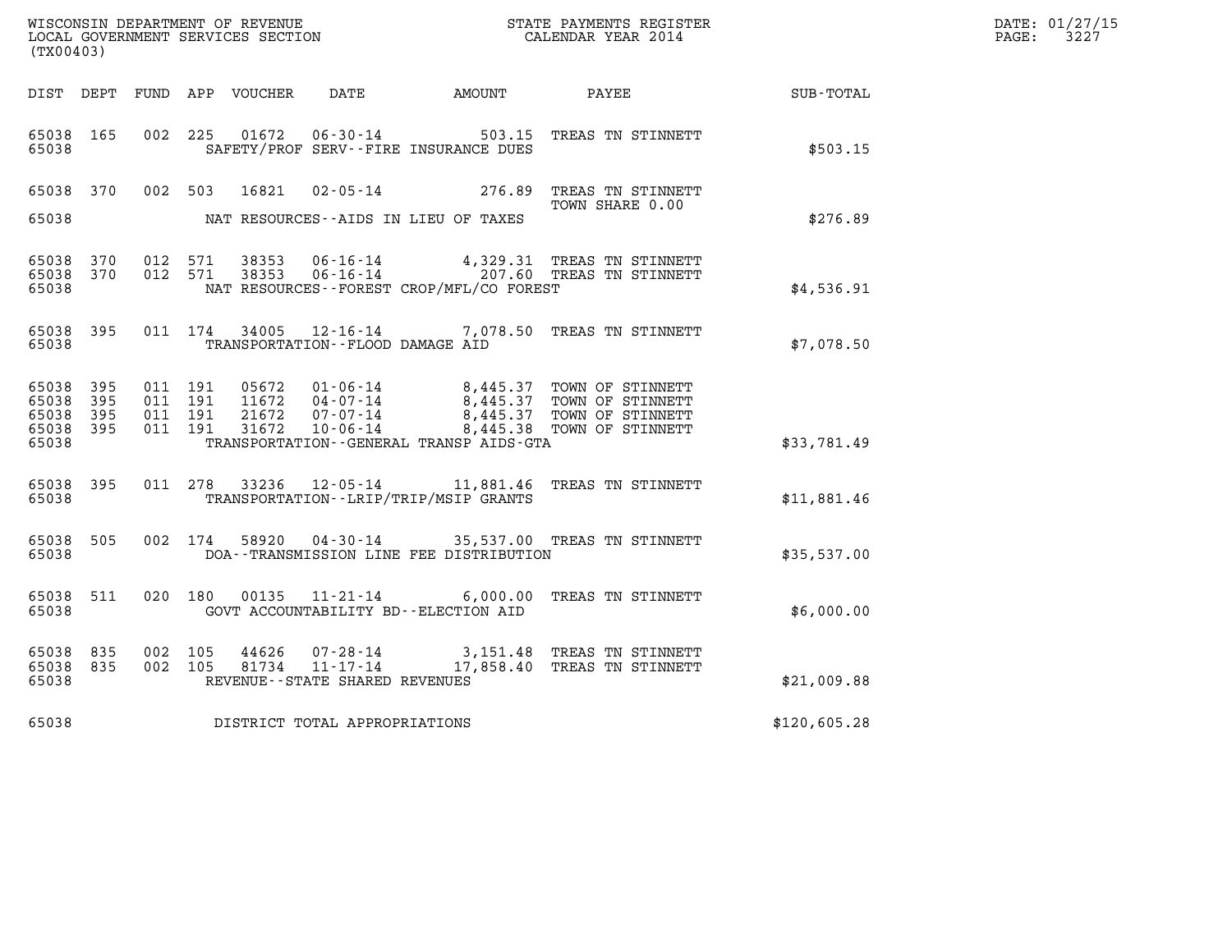| WISCONSIN DEPARTMENT OF REVENUE   | STATE PAYMENTS REGISTER | DATE: 01/27/15 |
|-----------------------------------|-------------------------|----------------|
| LOCAL GOVERNMENT SERVICES SECTION | CALENDAR YEAR 2014      | 3227<br>PAGE:  |

| (TX00403)                                             |       |                    |                |                                     |                                              |                                                                                                                                                                                                                                                                                                                                                    |              | DATE: 01/27/15<br>$\mathtt{PAGE:}$<br>3227 |
|-------------------------------------------------------|-------|--------------------|----------------|-------------------------------------|----------------------------------------------|----------------------------------------------------------------------------------------------------------------------------------------------------------------------------------------------------------------------------------------------------------------------------------------------------------------------------------------------------|--------------|--------------------------------------------|
|                                                       |       |                    |                |                                     |                                              | DIST DEPT FUND APP VOUCHER DATE AMOUNT PAYEE                                                                                                                                                                                                                                                                                                       | SUB-TOTAL    |                                            |
| 65038 165<br>65038                                    |       |                    |                |                                     | SAFETY/PROF SERV--FIRE INSURANCE DUES        | 002 225 01672 06-30-14 503.15 TREAS TN STINNETT                                                                                                                                                                                                                                                                                                    | \$503.15     |                                            |
|                                                       |       |                    |                |                                     |                                              | 65038 370 002 503 16821 02-05-14 276.89 TREAS TN STINNETT<br>TOWN SHARE 0.00                                                                                                                                                                                                                                                                       |              |                                            |
| 65038                                                 |       |                    |                |                                     | NAT RESOURCES--AIDS IN LIEU OF TAXES         |                                                                                                                                                                                                                                                                                                                                                    | \$276.89     |                                            |
| 65038 370<br>65038 370<br>65038                       |       |                    |                |                                     | NAT RESOURCES--FOREST CROP/MFL/CO FOREST     | 012 571 38353 06-16-14 4,329.31 TREAS TN STINNETT<br>012 571 38353 06-16-14 207.60 TREAS TN STINNETT                                                                                                                                                                                                                                               | \$4,536.91   |                                            |
| 65038 395<br>65038                                    |       |                    |                | TRANSPORTATION--FLOOD DAMAGE AID    |                                              | 011 174 34005 12-16-14 7,078.50 TREAS TN STINNETT                                                                                                                                                                                                                                                                                                  | \$7,078.50   |                                            |
| 65038 395<br>65038 395<br>65038<br>65038 395<br>65038 | - 395 |                    |                |                                     | TRANSPORTATION - - GENERAL TRANSP AIDS - GTA | $\begin{array}{cccc} 011 & 191 & 05672 & 01\cdot 06\cdot 14 & 8\,, 445\,.37 & \text{TOWN OF STINNETT} \\ 011 & 191 & 11672 & 04\cdot 07\cdot 14 & 8\,, 445\,.37 & \text{TOWN OF STINNETT} \\ 011 & 191 & 21672 & 07\cdot 07\cdot 14 & 8\,, 445\,.37 & \text{TOWN OF STINNETT} \\ 011 & 191 & 31672 & 10\cdot 06\cdot 14 & 8\,, 445\,.38 & \text{T$ | \$33,781.49  |                                            |
| 65038 395<br>65038                                    |       |                    |                |                                     | TRANSPORTATION--LRIP/TRIP/MSIP GRANTS        | 011 278 33236 12-05-14 11,881.46 TREAS TN STINNETT                                                                                                                                                                                                                                                                                                 | \$11,881.46  |                                            |
| 65038 505<br>65038                                    |       |                    |                |                                     | DOA--TRANSMISSION LINE FEE DISTRIBUTION      | 002 174 58920 04-30-14 35,537.00 TREAS TN STINNETT                                                                                                                                                                                                                                                                                                 | \$35,537.00  |                                            |
| 65038<br>65038                                        | 511   |                    |                |                                     | GOVT ACCOUNTABILITY BD--ELECTION AID         | 020 180 00135 11-21-14 6,000.00 TREAS TN STINNETT                                                                                                                                                                                                                                                                                                  | \$6,000.00   |                                            |
| 65038 835<br>65038 835<br>65038                       |       | 002 105<br>002 105 | 44626<br>81734 | REVENUE - - STATE SHARED REVENUES   |                                              | 07-28-14 3,151.48 TREAS TN STINNETT<br>11-17-14 17,858.40 TREAS TN STINNETT                                                                                                                                                                                                                                                                        | \$21,009.88  |                                            |
|                                                       |       |                    |                | 65038 DISTRICT TOTAL APPROPRIATIONS |                                              |                                                                                                                                                                                                                                                                                                                                                    | \$120,605.28 |                                            |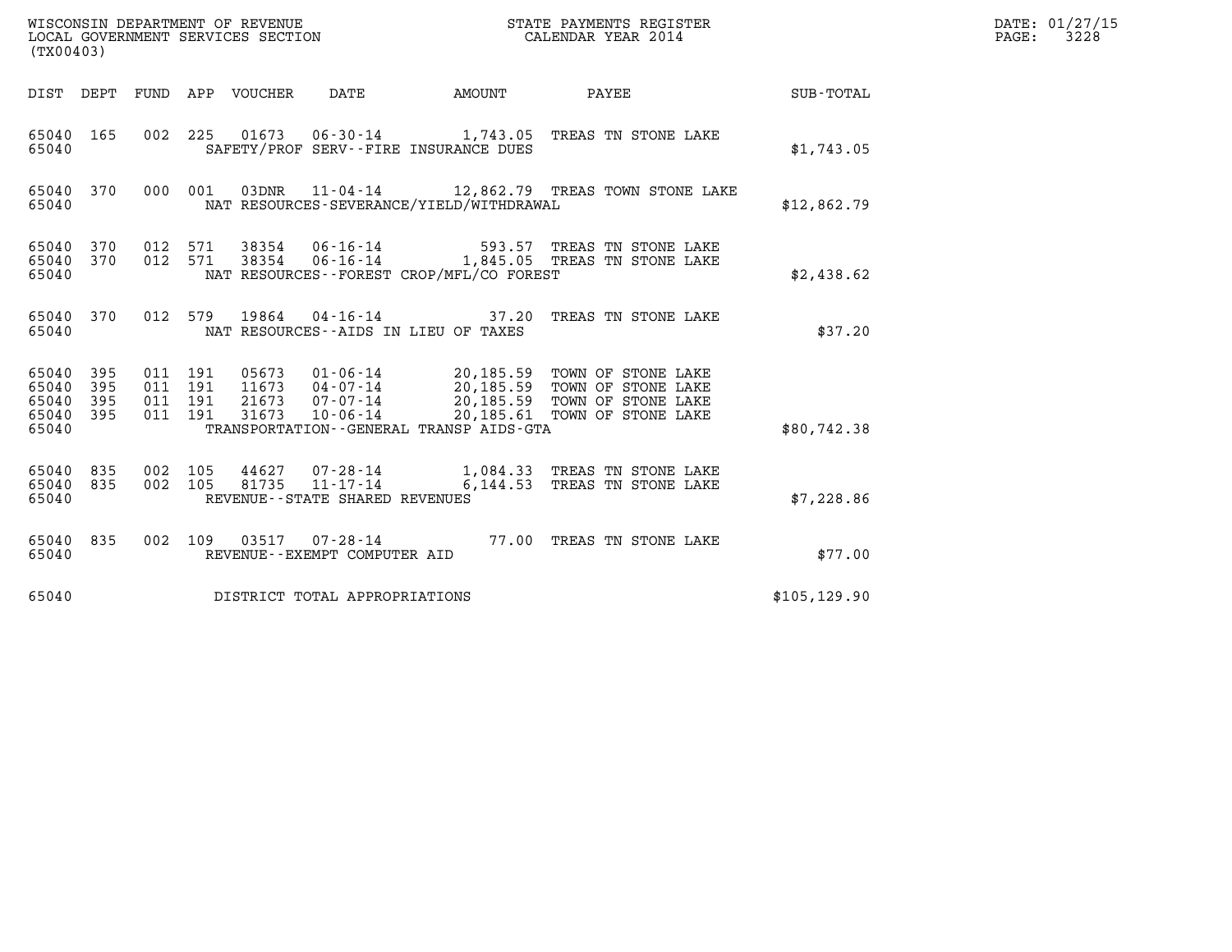| (TX00403)                                 |                          |                                          |         | WISCONSIN DEPARTMENT OF REVENUE<br>LOCAL GOVERNMENT SERVICES SECTION |                                                        |                                          | STATE PAYMENTS REGISTER<br>CALENDAR YEAR 2014                                                                                                                                           |               | DATE: 01/27/15<br>$\mathtt{PAGE:}$<br>3228 |
|-------------------------------------------|--------------------------|------------------------------------------|---------|----------------------------------------------------------------------|--------------------------------------------------------|------------------------------------------|-----------------------------------------------------------------------------------------------------------------------------------------------------------------------------------------|---------------|--------------------------------------------|
|                                           |                          |                                          |         | DIST DEPT FUND APP VOUCHER DATE                                      |                                                        | AMOUNT                                   | PAYEE                                                                                                                                                                                   | SUB-TOTAL     |                                            |
| 65040 165<br>65040                        |                          |                                          |         |                                                                      |                                                        | SAFETY/PROF SERV--FIRE INSURANCE DUES    | 002 225 01673 06-30-14 1,743.05 TREAS TN STONE LAKE                                                                                                                                     | \$1,743.05    |                                            |
| 65040 370<br>65040                        |                          |                                          | 000 001 |                                                                      |                                                        | NAT RESOURCES-SEVERANCE/YIELD/WITHDRAWAL | 03DNR  11-04-14   12,862.79   TREAS TOWN STONE LAKE                                                                                                                                     | \$12,862.79   |                                            |
| 65040 370<br>65040<br>65040               | 370                      | 012 571<br>012 571                       |         | 38354<br>38354                                                       |                                                        | NAT RESOURCES--FOREST CROP/MFL/CO FOREST | 06-16-14 593.57 TREAS TN STONE LAKE<br>06-16-14 1,845.05 TREAS TN STONE LAKE                                                                                                            | \$2,438.62    |                                            |
| 65040 370<br>65040                        |                          |                                          | 012 579 | 19864                                                                |                                                        | NAT RESOURCES - - AIDS IN LIEU OF TAXES  | 04-16-14 37.20 TREAS TN STONE LAKE                                                                                                                                                      | \$37.20       |                                            |
| 65040<br>65040<br>65040<br>65040<br>65040 | 395<br>395<br>395<br>395 | 011 191<br>011 191<br>011 191<br>011 191 |         | 05673<br>11673<br>21673<br>31673                                     | 07-07-14<br>$10 - 06 - 14$                             | TRANSPORTATION--GENERAL TRANSP AIDS-GTA  | 01-06-14 20,185.59 TOWN OF STONE LAKE<br>04-07-14 20,185.59 TOWN OF STONE LAKE<br>07-07-14 20,185.59 TOWN OF STONE LAKE<br>20,185.59 TOWN OF STONE LAKE<br>20,185.61 TOWN OF STONE LAKE | \$80,742.38   |                                            |
| 65040 835<br>65040<br>65040               | 835                      | 002 105                                  | 002 105 | 81735                                                                | $11 - 17 - 14$<br>REVENUE - - STATE SHARED REVENUES    |                                          | 44627 07-28-14 1,084.33 TREAS TN STONE LAKE<br>6,144.53 TREAS TN STONE LAKE                                                                                                             | \$7,228.86    |                                            |
| 65040 835<br>65040                        |                          |                                          |         |                                                                      | 002 109 03517 07-28-14<br>REVENUE--EXEMPT COMPUTER AID |                                          | 77.00 TREAS TN STONE LAKE                                                                                                                                                               | \$77.00       |                                            |
| 65040                                     |                          |                                          |         |                                                                      | DISTRICT TOTAL APPROPRIATIONS                          |                                          |                                                                                                                                                                                         | \$105, 129.90 |                                            |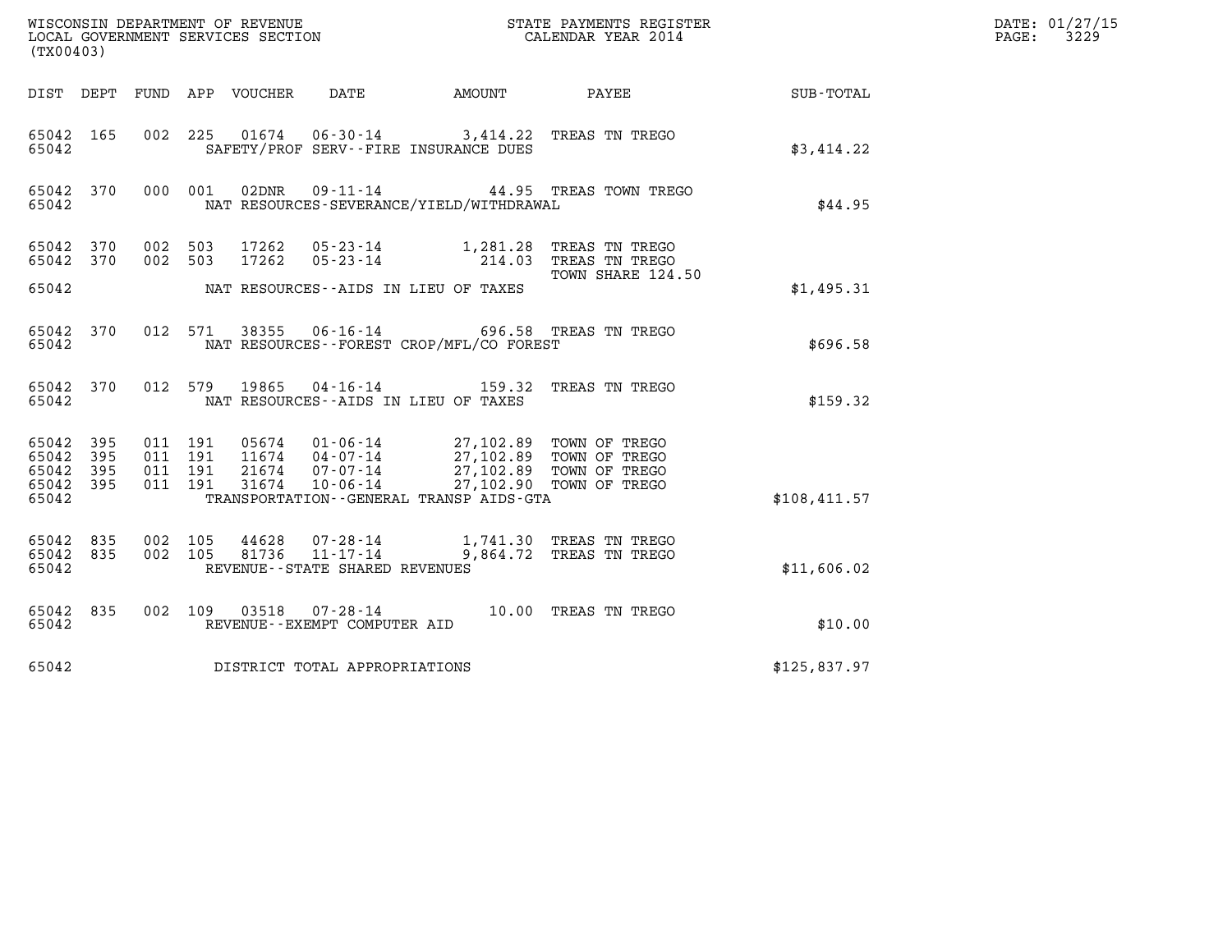| (TX00403)                                         |             |                                          |  |                            | WISCONSIN DEPARTMENT OF REVENUE<br>LOCAL GOVERNMENT SERVICES SECTION  |                                                                                                    | STATE PAYMENTS REGISTER<br>CALENDAR YEAR 2014      |              | DATE: 01/27/15<br>PAGE:<br>3229 |
|---------------------------------------------------|-------------|------------------------------------------|--|----------------------------|-----------------------------------------------------------------------|----------------------------------------------------------------------------------------------------|----------------------------------------------------|--------------|---------------------------------|
|                                                   |             |                                          |  | DIST DEPT FUND APP VOUCHER | DATE                                                                  | AMOUNT                                                                                             | PAYEE                                              | SUB-TOTAL    |                                 |
| 65042 165<br>65042                                |             |                                          |  |                            |                                                                       | 002 225 01674 06-30-14 3,414.22 TREAS TN TREGO<br>SAFETY/PROF SERV--FIRE INSURANCE DUES            |                                                    | \$3,414.22   |                                 |
| 65042 370<br>65042                                |             | 000 001                                  |  | 02DNR                      |                                                                       | NAT RESOURCES-SEVERANCE/YIELD/WITHDRAWAL                                                           | 09-11-14 44.95 TREAS TOWN TREGO                    | \$44.95      |                                 |
| 65042 370<br>65042 370                            |             | 002 503<br>002 503                       |  | 17262<br>17262             | $05 - 23 - 14$                                                        | $05 - 23 - 14$ 1, 281.28                                                                           | TREAS TN TREGO<br>214.03 TREAS TN TREGO            |              |                                 |
| 65042                                             |             |                                          |  |                            |                                                                       | NAT RESOURCES -- AIDS IN LIEU OF TAXES                                                             | TOWN SHARE 124.50                                  | \$1,495.31   |                                 |
| 65042 370<br>65042                                |             | 012 571                                  |  | 38355                      |                                                                       | 06-16-14 696.58 TREAS TN TREGO<br>NAT RESOURCES - - FOREST CROP/MFL/CO FOREST                      |                                                    | \$696.58     |                                 |
| 65042 370<br>65042                                |             | 012 579                                  |  | 19865                      |                                                                       | 04-16-14 159.32 TREAS TN TREGO<br>NAT RESOURCES - - AIDS IN LIEU OF TAXES                          |                                                    | \$159.32     |                                 |
| 65042<br>65042 395<br>65042<br>65042 395<br>65042 | 395<br>-395 | 011 191<br>011 191<br>011 191<br>011 191 |  | 21674<br>31674             | 05674 01-06-14<br>11674  04-07-14<br>07-07-14<br>10-06-14             | 27,102.89 TOWN OF TREGO<br>27,102.89 TOWN OF TREGO<br>TRANSPORTATION - - GENERAL TRANSP AIDS - GTA | 27,102.89 TOWN OF TREGO<br>27,102.90 TOWN OF TREGO | \$108,411.57 |                                 |
| 65042 835<br>65042 835<br>65042                   |             | 002 105<br>002 105                       |  | 44628<br>81736             | $07 - 28 - 14$<br>$11 - 17 - 14$<br>REVENUE - - STATE SHARED REVENUES | 9,864.72                                                                                           | 1,741.30 TREAS TN TREGO<br>TREAS TN TREGO          | \$11,606.02  |                                 |
| 65042 835<br>65042                                |             |                                          |  | 002 109 03518              | 07-28-14<br>REVENUE--EXEMPT COMPUTER AID                              | 10.00 TREAS TN TREGO                                                                               |                                                    | \$10.00      |                                 |
| 65042<br>DISTRICT TOTAL APPROPRIATIONS            |             |                                          |  |                            |                                                                       |                                                                                                    | \$125,837.97                                       |              |                                 |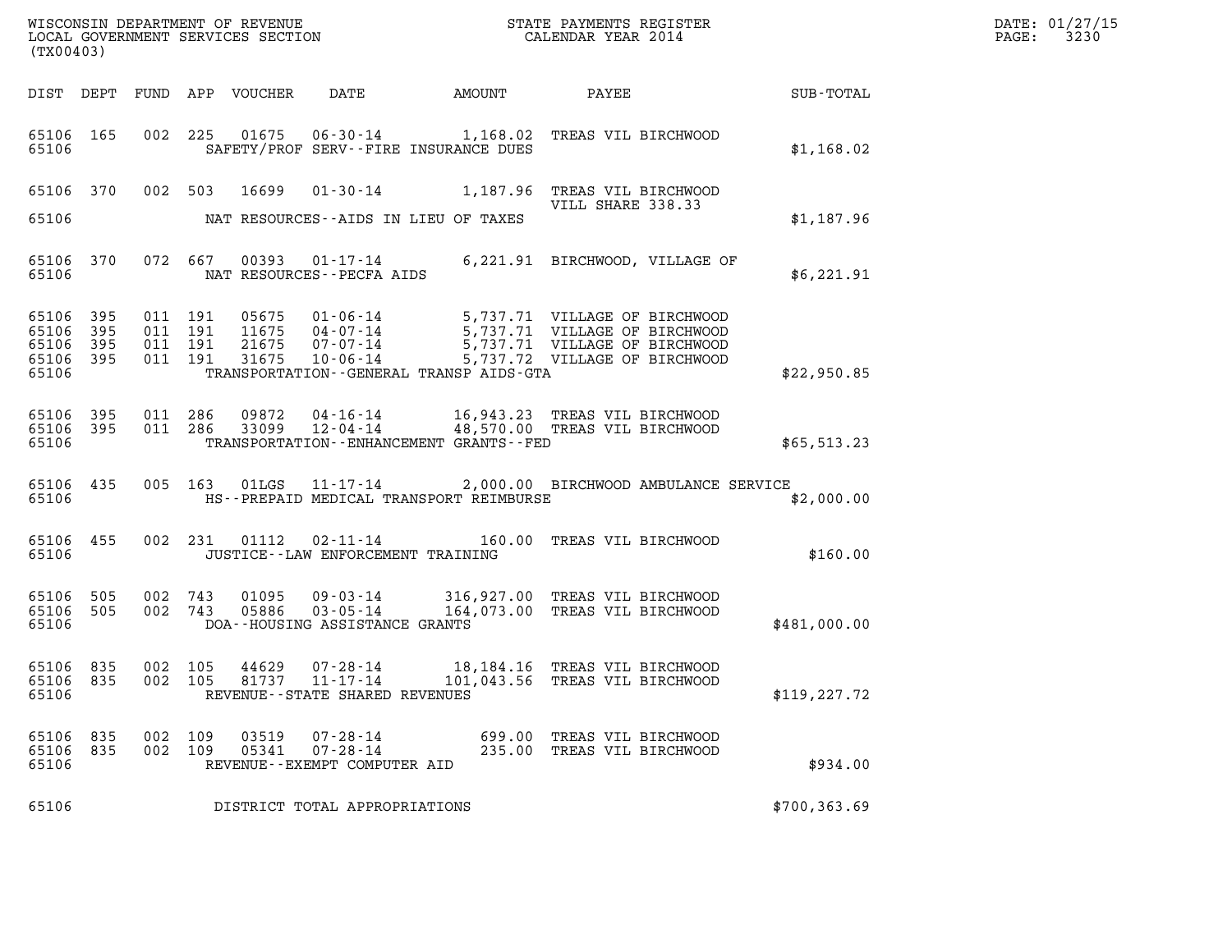| (TX00403)                                             |     |                               |         |                            |                                                            |                                                                                                                                                                                                          |               | DATE: 01/27/15<br>3230<br>$\mathtt{PAGE:}$ |
|-------------------------------------------------------|-----|-------------------------------|---------|----------------------------|------------------------------------------------------------|----------------------------------------------------------------------------------------------------------------------------------------------------------------------------------------------------------|---------------|--------------------------------------------|
|                                                       |     |                               |         | DIST DEPT FUND APP VOUCHER | DATE                                                       |                                                                                                                                                                                                          |               |                                            |
| 65106 165<br>65106                                    |     |                               |         |                            | SAFETY/PROF SERV--FIRE INSURANCE DUES                      | 002 225 01675 06-30-14 1,168.02 TREAS VIL BIRCHWOOD                                                                                                                                                      | \$1,168.02    |                                            |
|                                                       |     |                               |         |                            |                                                            | 65106 370 002 503 16699 01-30-14 1,187.96 TREAS VIL BIRCHWOOD<br>VILL SHARE 338.33                                                                                                                       |               |                                            |
| 65106                                                 |     |                               |         |                            | NAT RESOURCES--AIDS IN LIEU OF TAXES                       |                                                                                                                                                                                                          | \$1,187.96    |                                            |
| 65106                                                 |     |                               |         |                            | NAT RESOURCES - - PECFA AIDS                               | 65106 370 072 667 00393 01-17-14 6,221.91 BIRCHWOOD, VILLAGE OF                                                                                                                                          | \$6,221.91    |                                            |
| 65106 395<br>65106 395<br>65106<br>65106 395<br>65106 | 395 | 011 191<br>011 191<br>011 191 | 011 191 |                            | TRANSPORTATION--GENERAL TRANSP AIDS-GTA                    | 05675  01-06-14  5,737.71  VILLAGE OF BIRCHWOOD<br>11675  04-07-14  5,737.71  VILLAGE OF BIRCHWOOD<br>21675  07-07-14  5,737.71  VILLAGE OF BIRCHWOOD<br>31675  10-06-14  5,737.72  VILLAGE OF BIRCHWOOD | \$22,950.85   |                                            |
| 65106 395 011 286<br>65106 395<br>65106               |     |                               |         |                            | TRANSPORTATION - - ENHANCEMENT GRANTS - - FED              | 09872  04-16-14   16,943.23   TREAS VIL BIRCHWOOD<br>011 286 33099 12-04-14 48,570.00 TREAS VIL BIRCHWOOD                                                                                                | \$65,513.23   |                                            |
| 65106 435<br>65106                                    |     |                               |         |                            | HS--PREPAID MEDICAL TRANSPORT REIMBURSE                    | 005 163 01LGS 11-17-14 2,000.00 BIRCHWOOD AMBULANCE SERVICE                                                                                                                                              | \$2,000.00    |                                            |
| 65106 455<br>65106                                    |     |                               |         |                            | JUSTICE--LAW ENFORCEMENT TRAINING                          | 002 231 01112 02-11-14 160.00 TREAS VIL BIRCHWOOD                                                                                                                                                        | \$160.00      |                                            |
| 65106 505<br>65106 505<br>65106                       |     | 002 743                       |         | 01095<br>002 743 05886     | DOA--HOUSING ASSISTANCE GRANTS                             | 09-03-14 316,927.00 TREAS VIL BIRCHWOOD<br>03-05-14 164,073.00 TREAS VIL BIRCHWOOD                                                                                                                       | \$481,000.00  |                                            |
| 65106 835<br>65106                                    |     | 002 105                       |         |                            | 81737 11-17-14<br>REVENUE--STATE SHARED REVENUES           | 65106 835 002 105 44629 07-28-14 18,184.16 TREAS VIL BIRCHWOOD<br>101,043.56 TREAS VIL BIRCHWOOD                                                                                                         | \$119, 227.72 |                                            |
| 65106 835<br>65106 835<br>65106                       |     | 002 109<br>002 109            |         | 03519<br>05341             | 07-28-14<br>$07 - 28 - 14$<br>REVENUE--EXEMPT COMPUTER AID | 699.00 TREAS VIL BIRCHWOOD<br>235.00 TREAS VIL BIRCHWOOD                                                                                                                                                 | \$934.00      |                                            |
| 65106                                                 |     |                               |         |                            | DISTRICT TOTAL APPROPRIATIONS                              |                                                                                                                                                                                                          | \$700, 363.69 |                                            |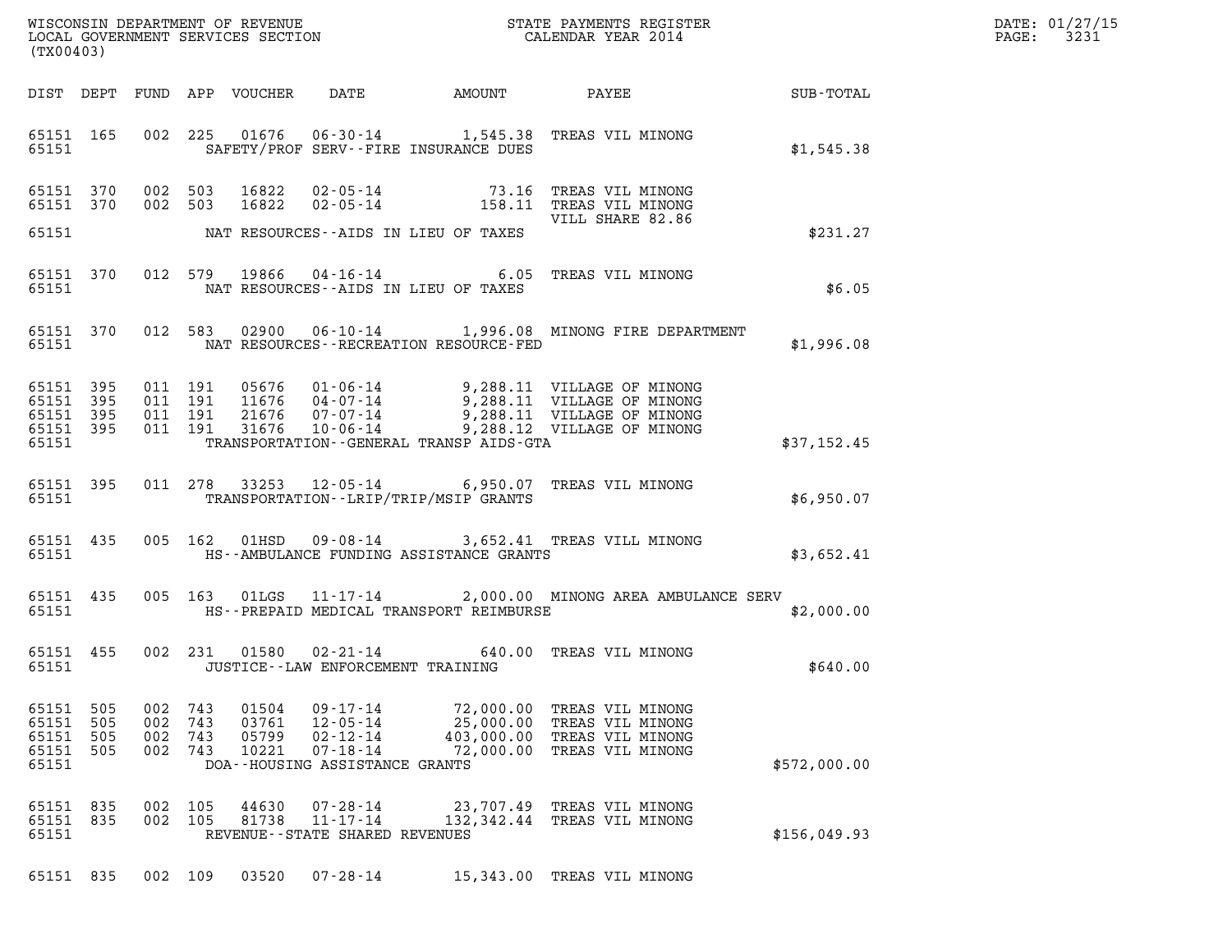|            |                                                                                                                                                                                                                                         |                                                                                                            |               |                                                                                                                                                                                                                                                                                                                            |                                                                                                                                                                                                                                                                                                                                                                                                                                                                                                                                                                                                                                                                                                                                                                                                                                                                                                                                   | DATE: 01/27/15<br>$\mathtt{PAGE:}$<br>3231                                                                                                                                        |
|------------|-----------------------------------------------------------------------------------------------------------------------------------------------------------------------------------------------------------------------------------------|------------------------------------------------------------------------------------------------------------|---------------|----------------------------------------------------------------------------------------------------------------------------------------------------------------------------------------------------------------------------------------------------------------------------------------------------------------------------|-----------------------------------------------------------------------------------------------------------------------------------------------------------------------------------------------------------------------------------------------------------------------------------------------------------------------------------------------------------------------------------------------------------------------------------------------------------------------------------------------------------------------------------------------------------------------------------------------------------------------------------------------------------------------------------------------------------------------------------------------------------------------------------------------------------------------------------------------------------------------------------------------------------------------------------|-----------------------------------------------------------------------------------------------------------------------------------------------------------------------------------|
|            |                                                                                                                                                                                                                                         |                                                                                                            |               |                                                                                                                                                                                                                                                                                                                            |                                                                                                                                                                                                                                                                                                                                                                                                                                                                                                                                                                                                                                                                                                                                                                                                                                                                                                                                   |                                                                                                                                                                                   |
|            |                                                                                                                                                                                                                                         |                                                                                                            |               |                                                                                                                                                                                                                                                                                                                            | \$1,545.38                                                                                                                                                                                                                                                                                                                                                                                                                                                                                                                                                                                                                                                                                                                                                                                                                                                                                                                        |                                                                                                                                                                                   |
|            |                                                                                                                                                                                                                                         | 16822<br>16822                                                                                             |               | VILL SHARE 82.86                                                                                                                                                                                                                                                                                                           |                                                                                                                                                                                                                                                                                                                                                                                                                                                                                                                                                                                                                                                                                                                                                                                                                                                                                                                                   |                                                                                                                                                                                   |
|            |                                                                                                                                                                                                                                         |                                                                                                            |               |                                                                                                                                                                                                                                                                                                                            | \$231.27                                                                                                                                                                                                                                                                                                                                                                                                                                                                                                                                                                                                                                                                                                                                                                                                                                                                                                                          |                                                                                                                                                                                   |
|            |                                                                                                                                                                                                                                         |                                                                                                            |               |                                                                                                                                                                                                                                                                                                                            | \$6.05                                                                                                                                                                                                                                                                                                                                                                                                                                                                                                                                                                                                                                                                                                                                                                                                                                                                                                                            |                                                                                                                                                                                   |
|            |                                                                                                                                                                                                                                         |                                                                                                            |               |                                                                                                                                                                                                                                                                                                                            | \$1,996.08                                                                                                                                                                                                                                                                                                                                                                                                                                                                                                                                                                                                                                                                                                                                                                                                                                                                                                                        |                                                                                                                                                                                   |
|            |                                                                                                                                                                                                                                         |                                                                                                            |               |                                                                                                                                                                                                                                                                                                                            | \$37,152.45                                                                                                                                                                                                                                                                                                                                                                                                                                                                                                                                                                                                                                                                                                                                                                                                                                                                                                                       |                                                                                                                                                                                   |
|            |                                                                                                                                                                                                                                         |                                                                                                            |               |                                                                                                                                                                                                                                                                                                                            | \$6,950.07                                                                                                                                                                                                                                                                                                                                                                                                                                                                                                                                                                                                                                                                                                                                                                                                                                                                                                                        |                                                                                                                                                                                   |
|            |                                                                                                                                                                                                                                         |                                                                                                            |               |                                                                                                                                                                                                                                                                                                                            | \$3,652.41                                                                                                                                                                                                                                                                                                                                                                                                                                                                                                                                                                                                                                                                                                                                                                                                                                                                                                                        |                                                                                                                                                                                   |
|            |                                                                                                                                                                                                                                         |                                                                                                            |               |                                                                                                                                                                                                                                                                                                                            | \$2,000.00                                                                                                                                                                                                                                                                                                                                                                                                                                                                                                                                                                                                                                                                                                                                                                                                                                                                                                                        |                                                                                                                                                                                   |
|            |                                                                                                                                                                                                                                         |                                                                                                            |               |                                                                                                                                                                                                                                                                                                                            | \$640.00                                                                                                                                                                                                                                                                                                                                                                                                                                                                                                                                                                                                                                                                                                                                                                                                                                                                                                                          |                                                                                                                                                                                   |
| 505<br>505 |                                                                                                                                                                                                                                         | 01504<br>03761<br>05799<br>10221                                                                           |               |                                                                                                                                                                                                                                                                                                                            | \$572,000.00                                                                                                                                                                                                                                                                                                                                                                                                                                                                                                                                                                                                                                                                                                                                                                                                                                                                                                                      |                                                                                                                                                                                   |
|            | (TX00403)<br>65151 165<br>65151 370<br>65151 370<br>65151 370<br>65151<br>65151 370<br>65151 395<br>65151 395<br>65151 395<br>65151 395<br>65151 395<br>65151 435<br>65151 435<br>65151 455<br>65151 505<br>65151<br>65151 505<br>65151 | 002 503<br>002 503<br>011 191<br>011 191<br>011 191<br>011 191<br>002 743<br>002 743<br>002 743<br>002 743 | 005 162 01HSD | SAFETY/PROF SERV--FIRE INSURANCE DUES<br>02 - 05 - 14<br>02 - 05 - 14<br>NAT RESOURCES--AIDS IN LIEU OF TAXES<br>NAT RESOURCES--AIDS IN LIEU OF TAXES<br>NAT RESOURCES - - RECREATION RESOURCE - FED<br>TRANSPORTATION - - LRIP/TRIP/MSIP GRANTS<br>JUSTICE - - LAW ENFORCEMENT TRAINING<br>DOA--HOUSING ASSISTANCE GRANTS | WISCONSIN DEPARTMENT OF REVENUE<br>LOCAL GOVERNMENT SERVICES SECTION<br>CALENDAR YEAR 2014<br>002 225 01676 06-30-14 1,545.38 TREAS VIL MINONG<br>73.16 TREAS VIL MINONG<br>158.11 TREAS VIL MINONG<br>012 579 19866 04-16-14 6.05 TREAS VIL MINONG<br>05676  01-06-14  9,288.11  VILLAGE OF MINONG<br>11676  04-07-14  9,288.11  VILLAGE OF MINONG<br>21676  07-07-14  9,288.11  VILLAGE OF MINONG<br>31676  10-06-14  9,288.12  VILLAGE OF MINONG<br>TRANSPORTATION--GENERAL TRANSP AIDS-GTA<br>011 278 33253 12-05-14 6,950.07 TREAS VIL MINONG<br>09-08-14 3,652.41 TREAS VILL MINONG<br>HS--AMBULANCE FUNDING ASSISTANCE GRANTS<br>HS--PREPAID MEDICAL TRANSPORT REIMBURSE<br>002 231 01580 02-21-14 640.00 TREAS VIL MINONG<br>09–17–14            72,000.00   TREAS VIL MINONG<br>12–05–14           25,000.00   TREAS VIL MINONG<br>02–12–14         403,000.00   TREAS VIL MINONG<br>07-18-14 72,000.00 TREAS VIL MINONG | DIST DEPT FUND APP VOUCHER DATE AMOUNT PAYEE TO SUB-TOTAL<br>012 583 02900 06-10-14 1,996.08 MINONG FIRE DEPARTMENT<br>005 163 01LGS 11-17-14 2,000.00 MINONG AREA AMBULANCE SERV |

| 65151                                   |  |       | DOA--HOUSING ASSISTANCE GRANTS                                           |                                                           | \$572,000.00 |
|-----------------------------------------|--|-------|--------------------------------------------------------------------------|-----------------------------------------------------------|--------------|
| 65151 835 002 105<br>65151 835<br>65151 |  | 44630 | 07 - 28 - 14<br>002 105 81738 11-17-14<br>REVENUE--STATE SHARED REVENUES | 23,707.49 TREAS VIL MINONG<br>132,342.44 TREAS VIL MINONG | \$156,049.93 |

65151 835 002 109 03520 07-28-14 15,343.00 TREAS VIL MINONG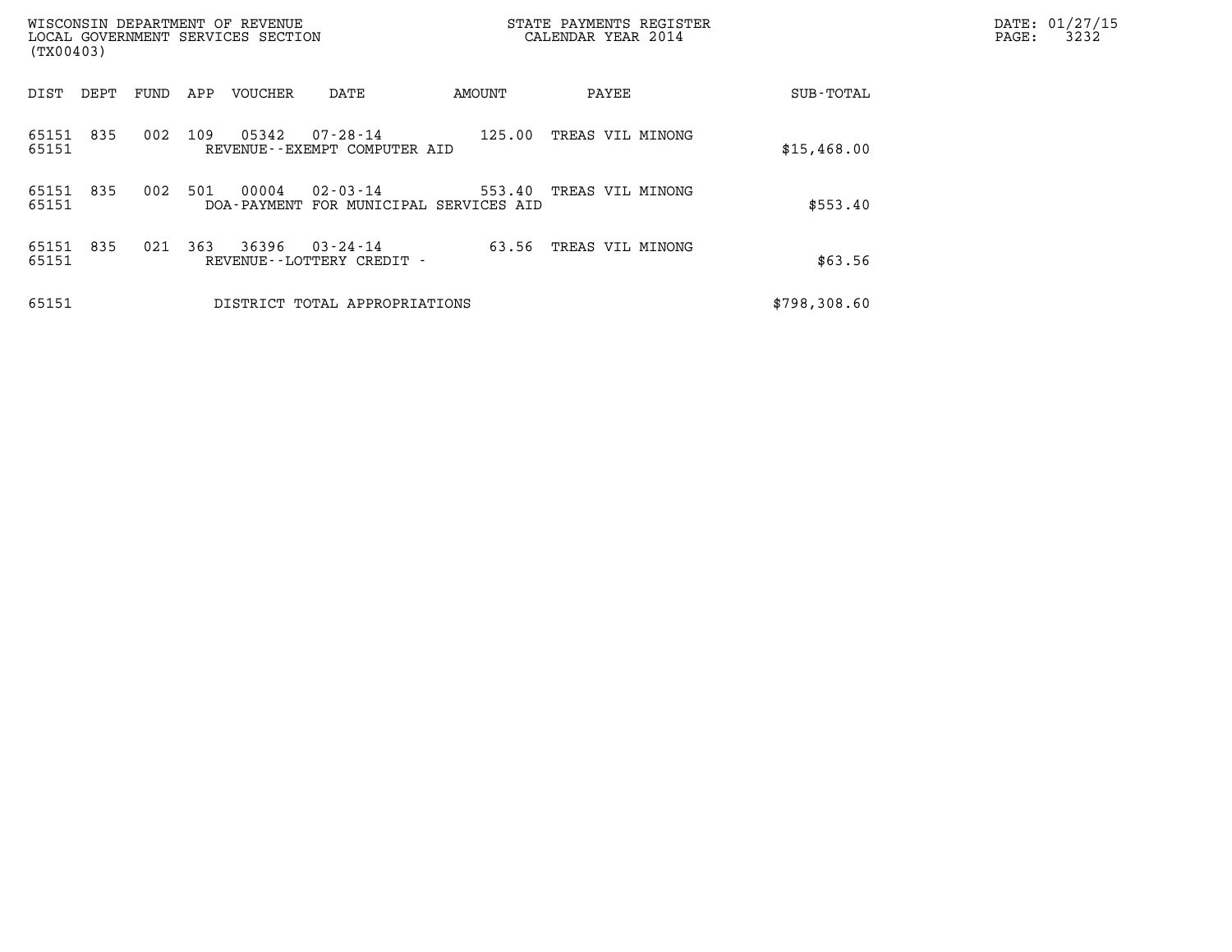| (TX00403)      |      |      |     | WISCONSIN DEPARTMENT OF REVENUE<br>LOCAL GOVERNMENT SERVICES SECTION |                                             |                                                  | STATE PAYMENTS REGISTER<br>CALENDAR YEAR 2014 |  | DATE: 01/27/15<br>3232<br>PAGE: |  |
|----------------|------|------|-----|----------------------------------------------------------------------|---------------------------------------------|--------------------------------------------------|-----------------------------------------------|--|---------------------------------|--|
| DIST           | DEPT | FUND | APP | VOUCHER                                                              | DATE                                        | AMOUNT                                           | PAYEE                                         |  | SUB-TOTAL                       |  |
| 65151<br>65151 | 835  | 002  | 109 | 05342                                                                | 07-28-14<br>REVENUE--EXEMPT COMPUTER AID    | 125.00                                           | TREAS VIL MINONG                              |  | \$15,468.00                     |  |
| 65151<br>65151 | 835  | 002  | 501 | 00004                                                                | $02 - 03 - 14$                              | 553.40<br>DOA-PAYMENT FOR MUNICIPAL SERVICES AID | TREAS VIL MINONG                              |  | \$553.40                        |  |
| 65151<br>65151 | 835  | 021  | 363 | 36396                                                                | $03 - 24 - 14$<br>REVENUE--LOTTERY CREDIT - | 63.56                                            | TREAS VIL MINONG                              |  | \$63.56                         |  |
| 65151          |      |      |     |                                                                      | DISTRICT TOTAL APPROPRIATIONS               |                                                  |                                               |  | \$798,308.60                    |  |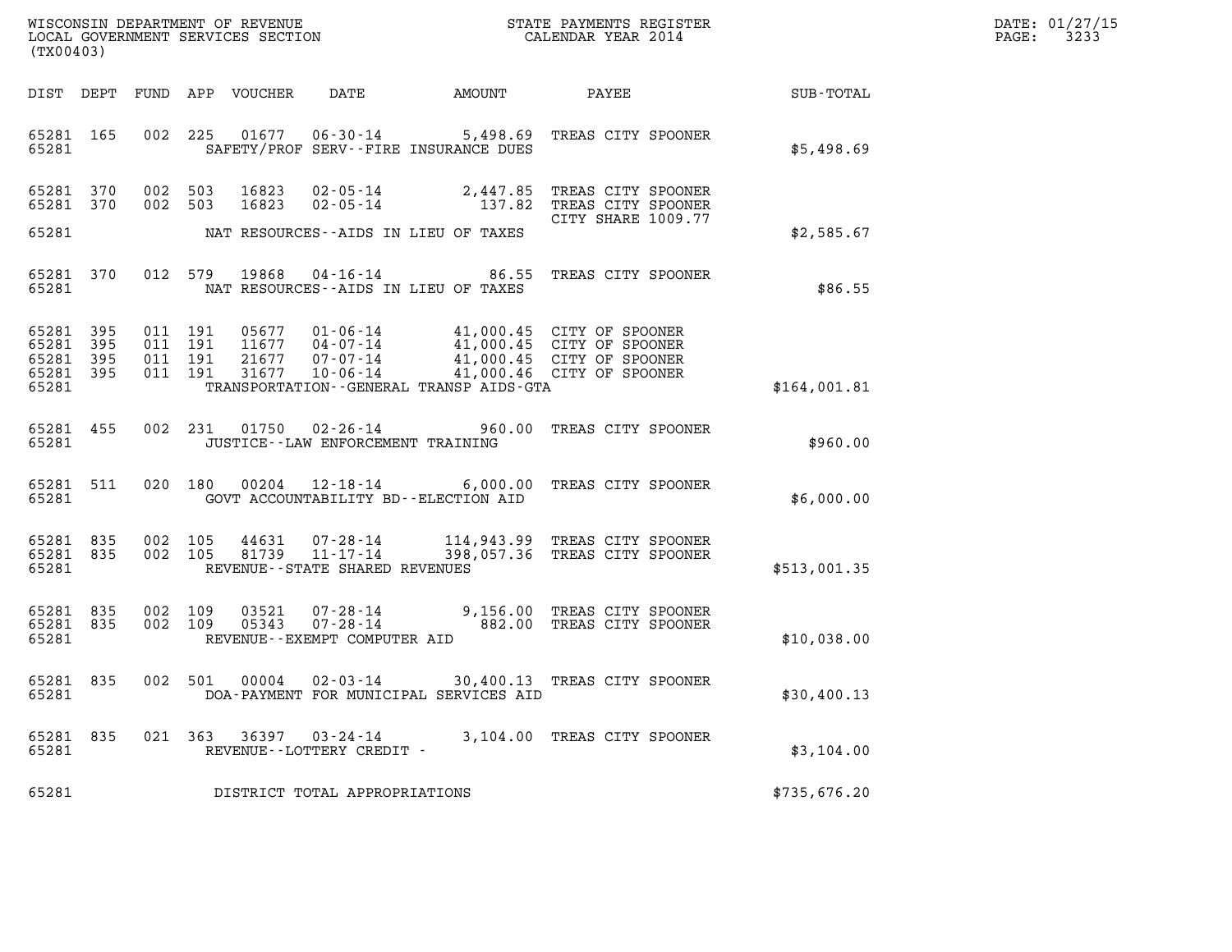| DATE: | 01/27/15 |
|-------|----------|
| PAGE: | 3233     |

| (TX00403)                                                 |  |         |                                                        |                                            |                                                                                                                              |              | DATE: 01/27/15<br>PAGE: 3233 |
|-----------------------------------------------------------|--|---------|--------------------------------------------------------|--------------------------------------------|------------------------------------------------------------------------------------------------------------------------------|--------------|------------------------------|
|                                                           |  |         |                                                        |                                            |                                                                                                                              |              |                              |
| 65281 200                                                 |  |         |                                                        | SAFETY/PROF SERV--FIRE INSURANCE DUES      | 65281 165 002 225 01677 06-30-14 5,498.69 TREAS CITY SPOONER                                                                 | \$5,498.69   |                              |
| 65281 370<br>65281 370                                    |  |         |                                                        |                                            | 002 503 16823 02-05-14 2,447.85 TREAS CITY SPOONER<br>002 503 16823 02-05-14 137.82 TREAS CITY SPOONER<br>CITY SHARE 1009.77 |              |                              |
|                                                           |  |         |                                                        | 65281 MAT RESOURCES--AIDS IN LIEU OF TAXES |                                                                                                                              | \$2,585.67   |                              |
|                                                           |  |         |                                                        | 65281 MAT RESOURCES--AIDS IN LIEU OF TAXES | 65281 370 012 579 19868 04-16-14 86.55 TREAS CITY SPOONER                                                                    | \$86.55      |                              |
| 65281 395<br>65281 395<br>65281 395<br>65281 395<br>65281 |  |         |                                                        |                                            | TRANSPORTATION--GENERAL TRANSP AIDS-GTA                                                                                      | \$164,001.81 |                              |
|                                                           |  |         | 65281 JUSTICE - LAW ENFORCEMENT TRAINING               |                                            | 65281 455 002 231 01750 02-26-14 960.00 TREAS CITY SPOONER                                                                   | \$960.00     |                              |
| 65281 511                                                 |  |         |                                                        |                                            | 020 180 00204 12-18-14 6,000.00 TREAS CITY SPOONER<br>65281 GOVT ACCOUNTABILITY BD--ELECTION AID                             | \$6,000.00   |                              |
| 65281 835<br>65281 835                                    |  |         | 65281 REVENUE--STATE SHARED REVENUES                   |                                            | 002 105 44631 07-28-14 114,943.99 TREAS CITY SPOONER<br>002 105 81739 11-17-14 398,057.36 TREAS CITY SPOONER                 | \$513,001.35 |                              |
| 65281 835<br>65281 835<br>65281                           |  |         | REVENUE--EXEMPT COMPUTER AID                           |                                            | 002 109 03521 07-28-14 9,156.00 TREAS CITY SPOONER<br>002 109 05343 07-28-14 882.00 TREAS CITY SPOONER                       | \$10,038.00  |                              |
| 65281 835<br>65281                                        |  | 002 501 | $00004$ $02 - 03 - 14$                                 | DOA-PAYMENT FOR MUNICIPAL SERVICES AID     | 30,400.13 TREAS CITY SPOONER                                                                                                 | \$30,400.13  |                              |
| 65281 835<br>65281                                        |  |         | 021 363 36397 03-24-14<br>REVENUE - - LOTTERY CREDIT - |                                            | 3,104.00 TREAS CITY SPOONER                                                                                                  | \$3,104.00   |                              |
| 65281                                                     |  |         | DISTRICT TOTAL APPROPRIATIONS                          |                                            |                                                                                                                              | \$735,676.20 |                              |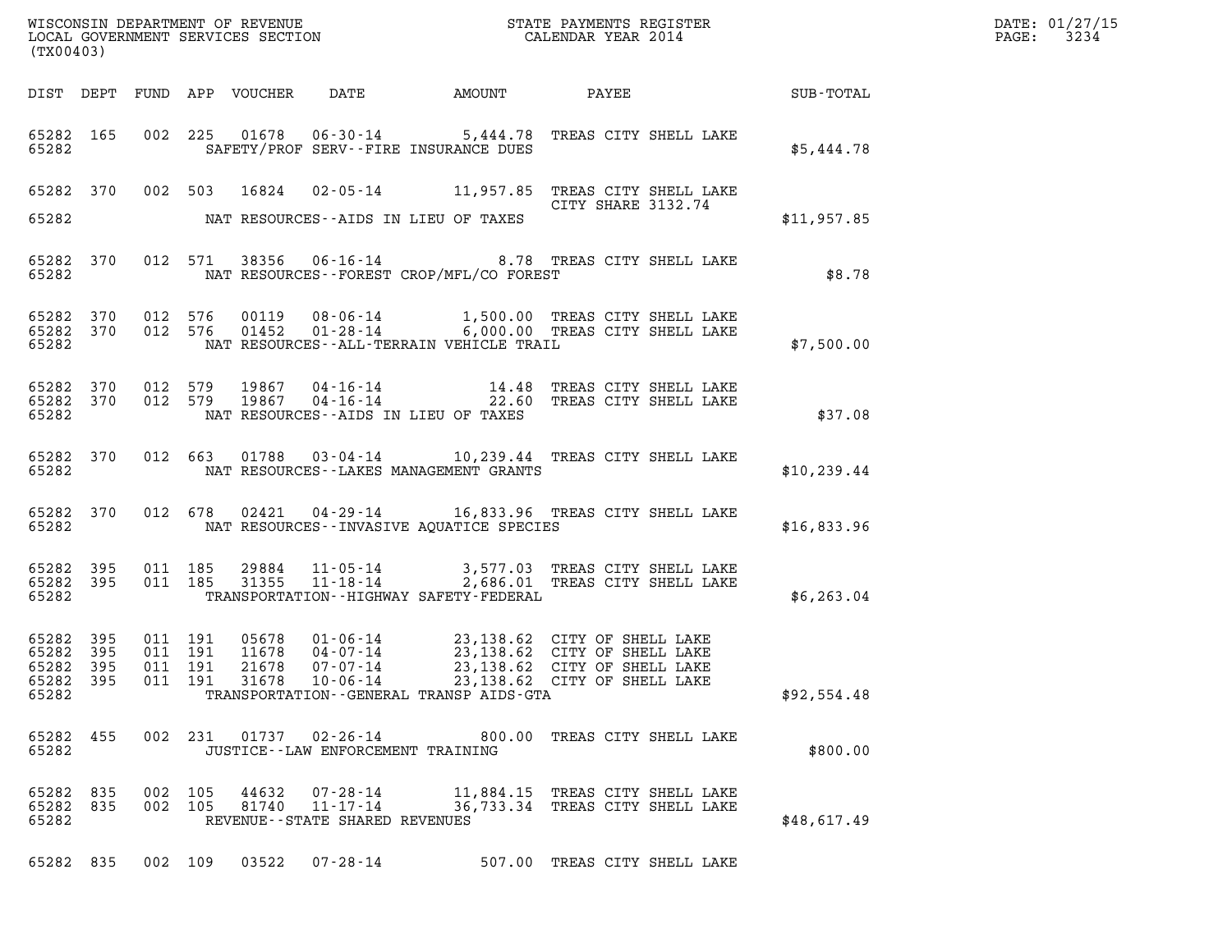| WISCONSIN DEPARTMENT OF REVENUE<br>LOCAL GOVERNMENT SERVICES SECTION<br>(TYOLOCAL GOVERNMENT SERVICES SECTION)<br>(TX00403) |  |         |         |  |                                                        |                                                                                                                                                                                                                                                        |                 | DATE: 01/27/15<br>PAGE: 3234 |
|-----------------------------------------------------------------------------------------------------------------------------|--|---------|---------|--|--------------------------------------------------------|--------------------------------------------------------------------------------------------------------------------------------------------------------------------------------------------------------------------------------------------------------|-----------------|------------------------------|
|                                                                                                                             |  |         |         |  |                                                        |                                                                                                                                                                                                                                                        |                 |                              |
|                                                                                                                             |  |         |         |  |                                                        | 65282 165 002 225 01678 06-30-14 5,444.78 TREAS CITY SHELL LAKE<br>65282 SAFETY/PROF SERV--FIRE INSURANCE DUES                                                                                                                                         | \$5,444.78      |                              |
|                                                                                                                             |  |         |         |  | 65282 NAT RESOURCES--AIDS IN LIEU OF TAXES             | 65282 370 002 503 16824 02-05-14 11,957.85 TREAS CITY SHELL LAKE<br>CITY SHARE 3132.74                                                                                                                                                                 | \$11,957.85     |                              |
|                                                                                                                             |  |         |         |  |                                                        |                                                                                                                                                                                                                                                        |                 |                              |
|                                                                                                                             |  |         |         |  | 65282 NAT RESOURCES--FOREST CROP/MFL/CO FOREST         | 65282 370 012 571 38356 06-16-14 8.78 TREAS CITY SHELL LAKE                                                                                                                                                                                            | \$8.78          |                              |
|                                                                                                                             |  |         |         |  | 65282 NAT RESOURCES--ALL-TERRAIN VEHICLE TRAIL         | 65282 370 012 576 00119 08-06-14 1,500.00 TREAS CITY SHELL LAKE 65282 370 012 576 01452 01-28-14 6,000.00 TREAS CITY SHELL LAKE                                                                                                                        | E<br>\$7,500.00 |                              |
| 65282                                                                                                                       |  |         |         |  | NAT RESOURCES--AIDS IN LIEU OF TAXES                   | 65282 370 012 579 19867 04-16-14 14.48 TREAS CITY SHELL LAKE 65282 370 012 579 19867 04-16-14 22.60 TREAS CITY SHELL LAKE                                                                                                                              | \$37.08         |                              |
|                                                                                                                             |  |         |         |  | 65282 NAT RESOURCES--LAKES MANAGEMENT GRANTS           | 65282 370 012 663 01788 03-04-14 10,239.44 TREAS CITY SHELL LAKE                                                                                                                                                                                       | \$10, 239.44    |                              |
|                                                                                                                             |  |         |         |  | 65282 MAT RESOURCES--INVASIVE AQUATICE SPECIES         | 65282 370 012 678 02421 04-29-14 16,833.96 TREAS CITY SHELL LAKE                                                                                                                                                                                       | \$16,833.96     |                              |
| 65282                                                                                                                       |  |         |         |  | TRANSPORTATION - - HIGHWAY SAFETY - FEDERAL            | 65282 395 011 185 29884 11-05-14 3,577.03 TREAS CITY SHELL LAKE<br>65282 395 011 185 31355 11-18-14 2,686.01 TREAS CITY SHELL LAKE                                                                                                                     | \$6, 263.04     |                              |
| 65282 395<br>65282                                                                                                          |  |         |         |  | TRANSPORTATION--GENERAL TRANSP AIDS-GTA                | 65282 395 011 191 05678 01-06-14 23,138.62 CITY OF SHELL LAKE<br>65282 395 011 191 11678 04-07-14 23,138.62 CITY OF SHELL LAKE<br>65282 395 011 191 21678 07-07-14 23,138.62 CITY OF SHELL LAKE<br>011 191 31678 10-06-14 23,138.62 CITY OF SHELL LAKE | \$92,554.48     |                              |
| 65282 455<br>65282                                                                                                          |  |         |         |  | JUSTICE -- LAW ENFORCEMENT TRAINING                    | 002 231 01737 02-26-14 800.00 TREAS CITY SHELL LAKE                                                                                                                                                                                                    | \$800.00        |                              |
| 65282 835<br>65282 835<br>65282                                                                                             |  | 002 105 | 002 105 |  | 81740    11-17-14<br>REVENUE - - STATE SHARED REVENUES | 44632 07-28-14 11,884.15 TREAS CITY SHELL LAKE<br>36,733.34 TREAS CITY SHELL LAKE                                                                                                                                                                      | \$48,617.49     |                              |
|                                                                                                                             |  |         |         |  | 65282 835 002 109 03522 07-28-14                       | 507.00 TREAS CITY SHELL LAKE                                                                                                                                                                                                                           |                 |                              |